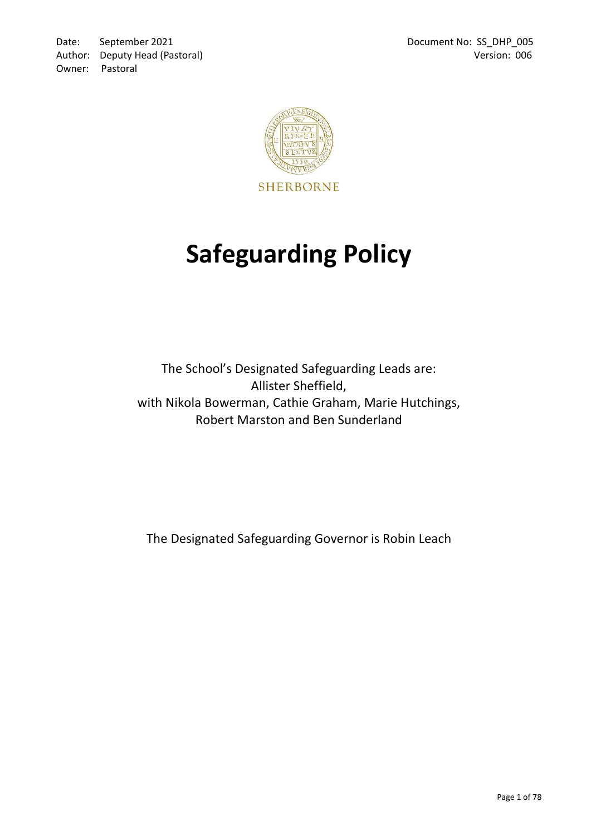

# **Safeguarding Policy**

The School's Designated Safeguarding Leads are: Allister Sheffield, with Nikola Bowerman, Cathie Graham, Marie Hutchings, Robert Marston and Ben Sunderland

The Designated Safeguarding Governor is Robin Leach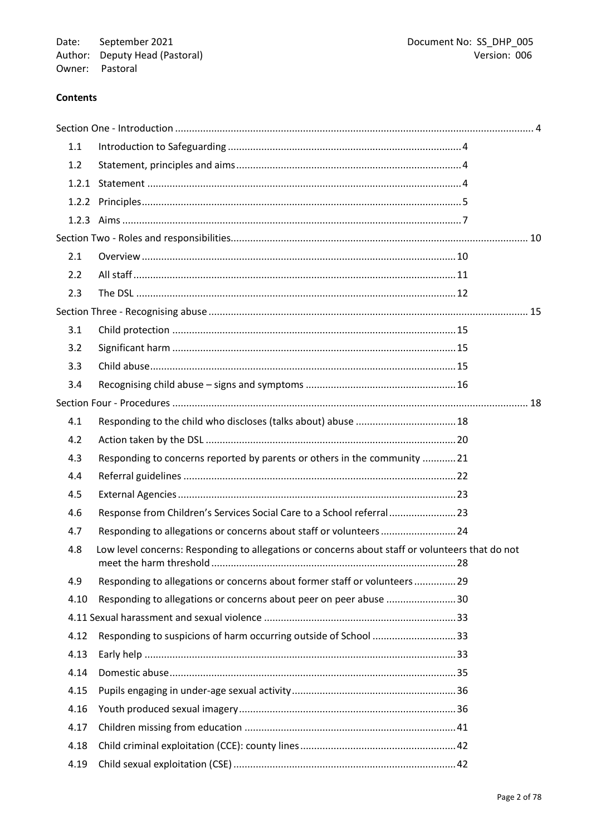## **Contents**

| 1.1  |                                                                                                 |    |
|------|-------------------------------------------------------------------------------------------------|----|
| 1.2  |                                                                                                 |    |
|      |                                                                                                 |    |
|      |                                                                                                 |    |
|      |                                                                                                 |    |
|      |                                                                                                 |    |
| 2.1  |                                                                                                 |    |
| 2.2  |                                                                                                 |    |
| 2.3  |                                                                                                 |    |
|      |                                                                                                 |    |
| 3.1  |                                                                                                 |    |
| 3.2  |                                                                                                 |    |
| 3.3  |                                                                                                 |    |
| 3.4  |                                                                                                 |    |
|      |                                                                                                 |    |
| 4.1  | Responding to the child who discloses (talks about) abuse  18                                   |    |
| 4.2  |                                                                                                 |    |
| 4.3  | Responding to concerns reported by parents or others in the community 21                        |    |
| 4.4  |                                                                                                 |    |
| 4.5  |                                                                                                 |    |
| 4.6  | Response from Children's Services Social Care to a School referral23                            |    |
| 4.7  | Responding to allegations or concerns about staff or volunteers  24                             |    |
| 4.8  | Low level concerns: Responding to allegations or concerns about staff or volunteers that do not | 28 |
| 4.9  | Responding to allegations or concerns about former staff or volunteers  29                      |    |
| 4.10 | Responding to allegations or concerns about peer on peer abuse 30                               |    |
|      |                                                                                                 |    |
| 4.12 | Responding to suspicions of harm occurring outside of School 33                                 |    |
| 4.13 |                                                                                                 |    |
| 4.14 |                                                                                                 |    |
| 4.15 |                                                                                                 |    |
| 4.16 |                                                                                                 |    |
| 4.17 |                                                                                                 |    |
| 4.18 |                                                                                                 |    |
| 4.19 |                                                                                                 |    |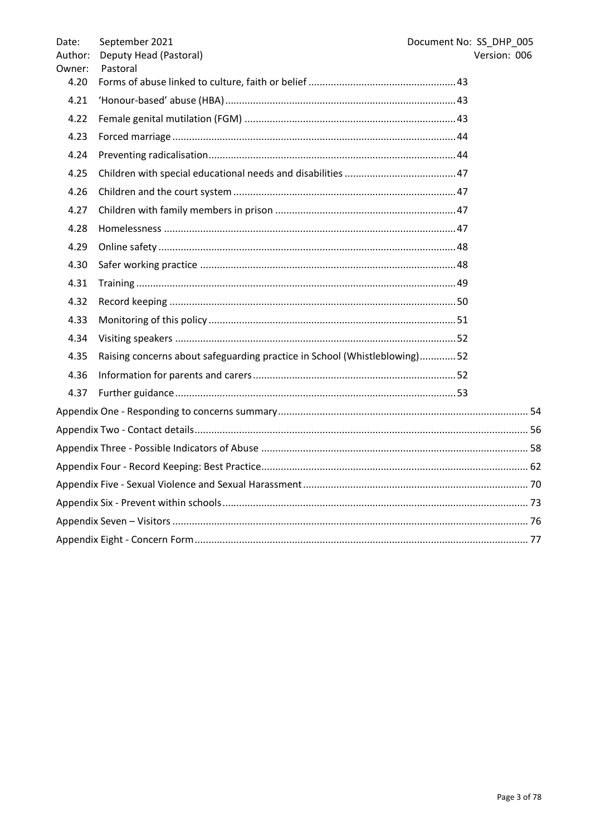| Date:             | September 2021<br>Deputy Head (Pastoral)                                  | Document No: SS_DHP_005<br>Version: 006 |  |
|-------------------|---------------------------------------------------------------------------|-----------------------------------------|--|
| Author:<br>Owner: | Pastoral                                                                  |                                         |  |
| 4.20              |                                                                           |                                         |  |
| 4.21              |                                                                           |                                         |  |
| 4.22              |                                                                           |                                         |  |
| 4.23              |                                                                           |                                         |  |
| 4.24              |                                                                           |                                         |  |
| 4.25              |                                                                           |                                         |  |
| 4.26              |                                                                           |                                         |  |
| 4.27              |                                                                           |                                         |  |
| 4.28              |                                                                           |                                         |  |
| 4.29              |                                                                           |                                         |  |
| 4.30              |                                                                           |                                         |  |
| 4.31              |                                                                           |                                         |  |
| 4.32              |                                                                           |                                         |  |
| 4.33              |                                                                           |                                         |  |
| 4.34              |                                                                           |                                         |  |
| 4.35              | Raising concerns about safeguarding practice in School (Whistleblowing)52 |                                         |  |
| 4.36              |                                                                           |                                         |  |
| 4.37              |                                                                           |                                         |  |
|                   |                                                                           |                                         |  |
|                   |                                                                           |                                         |  |
|                   |                                                                           |                                         |  |
|                   |                                                                           |                                         |  |
|                   |                                                                           |                                         |  |
|                   |                                                                           |                                         |  |
|                   |                                                                           |                                         |  |
|                   |                                                                           |                                         |  |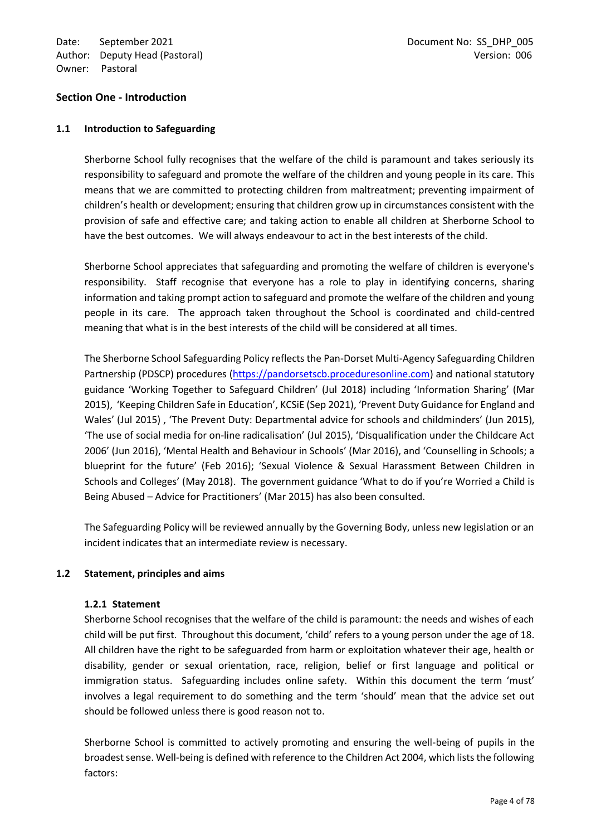## <span id="page-3-0"></span>**Section One - Introduction**

## <span id="page-3-1"></span>**1.1 Introduction to Safeguarding**

Sherborne School fully recognises that the welfare of the child is paramount and takes seriously its responsibility to safeguard and promote the welfare of the children and young people in its care. This means that we are committed to protecting children from maltreatment; preventing impairment of children's health or development; ensuring that children grow up in circumstances consistent with the provision of safe and effective care; and taking action to enable all children at Sherborne School to have the best outcomes. We will always endeavour to act in the best interests of the child.

Sherborne School appreciates that safeguarding and promoting the welfare of children is everyone's responsibility. Staff recognise that everyone has a role to play in identifying concerns, sharing information and taking prompt action to safeguard and promote the welfare of the children and young people in its care. The approach taken throughout the School is coordinated and child-centred meaning that what is in the best interests of the child will be considered at all times.

The Sherborne School Safeguarding Policy reflects the Pan-Dorset Multi-Agency Safeguarding Children Partnership (PDSCP) procedures (https://pandorsetscb.proceduresonline.com) and national statutory guidance 'Working Together to Safeguard Children' (Jul 2018) including 'Information Sharing' (Mar 2015), 'Keeping Children Safe in Education', KCSiE (Sep 2021), 'Prevent Duty Guidance for England and Wales' (Jul 2015) , 'The Prevent Duty: Departmental advice for schools and childminders' (Jun 2015), 'The use of social media for on-line radicalisation' (Jul 2015), 'Disqualification under the Childcare Act 2006' (Jun 2016), 'Mental Health and Behaviour in Schools' (Mar 2016), and 'Counselling in Schools; a blueprint for the future' (Feb 2016); 'Sexual Violence & Sexual Harassment Between Children in Schools and Colleges' (May 2018). The government guidance 'What to do if you're Worried a Child is Being Abused – Advice for Practitioners' (Mar 2015) has also been consulted.

The Safeguarding Policy will be reviewed annually by the Governing Body, unless new legislation or an incident indicates that an intermediate review is necessary.

## <span id="page-3-3"></span><span id="page-3-2"></span>**1.2 Statement, principles and aims**

#### **1.2.1 Statement**

Sherborne School recognises that the welfare of the child is paramount: the needs and wishes of each child will be put first. Throughout this document, 'child' refers to a young person under the age of 18. All children have the right to be safeguarded from harm or exploitation whatever their age, health or disability, gender or sexual orientation, race, religion, belief or first language and political or immigration status. Safeguarding includes online safety. Within this document the term 'must' involves a legal requirement to do something and the term 'should' mean that the advice set out should be followed unless there is good reason not to.

Sherborne School is committed to actively promoting and ensuring the well-being of pupils in the broadest sense. Well-being is defined with reference to the Children Act 2004, which lists the following factors: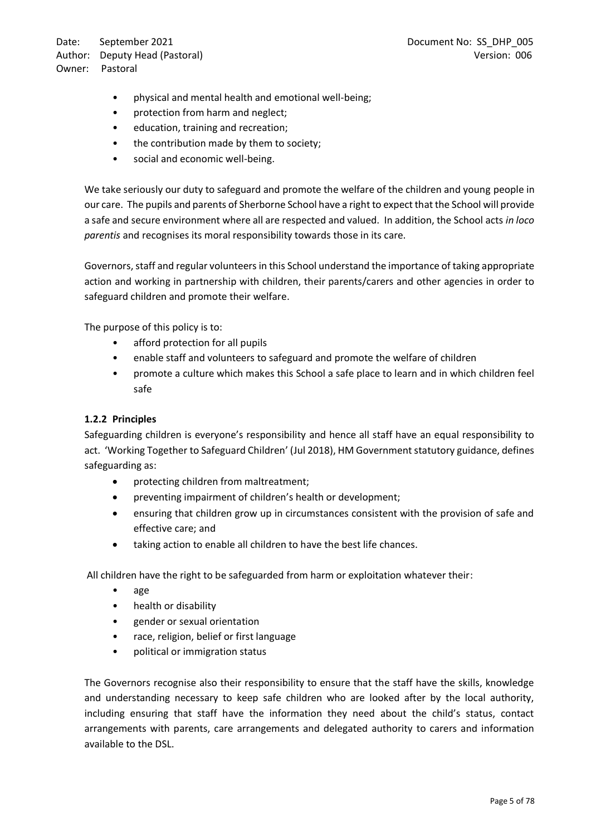- physical and mental health and emotional well-being;
- protection from harm and neglect;
- education, training and recreation;
- the contribution made by them to society;
- social and economic well-being.

We take seriously our duty to safeguard and promote the welfare of the children and young people in our care. The pupils and parents of Sherborne School have a right to expect that the School will provide a safe and secure environment where all are respected and valued. In addition, the School acts *in loco parentis* and recognises its moral responsibility towards those in its care.

Governors, staff and regular volunteers in this School understand the importance of taking appropriate action and working in partnership with children, their parents/carers and other agencies in order to safeguard children and promote their welfare.

The purpose of this policy is to:

- afford protection for all pupils
- enable staff and volunteers to safeguard and promote the welfare of children
- promote a culture which makes this School a safe place to learn and in which children feel safe

## <span id="page-4-0"></span>**1.2.2 Principles**

Safeguarding children is everyone's responsibility and hence all staff have an equal responsibility to act. 'Working Together to Safeguard Children' (Jul 2018), HM Government statutory guidance, defines safeguarding as:

- protecting children from maltreatment;
- preventing impairment of children's health or development;
- ensuring that children grow up in circumstances consistent with the provision of safe and effective care; and
- taking action to enable all children to have the best life chances.

All children have the right to be safeguarded from harm or exploitation whatever their:

- age
- health or disability
- gender or sexual orientation
- race, religion, belief or first language
- political or immigration status

The Governors recognise also their responsibility to ensure that the staff have the skills, knowledge and understanding necessary to keep safe children who are looked after by the local authority, including ensuring that staff have the information they need about the child's status, contact arrangements with parents, care arrangements and delegated authority to carers and information available to the DSL.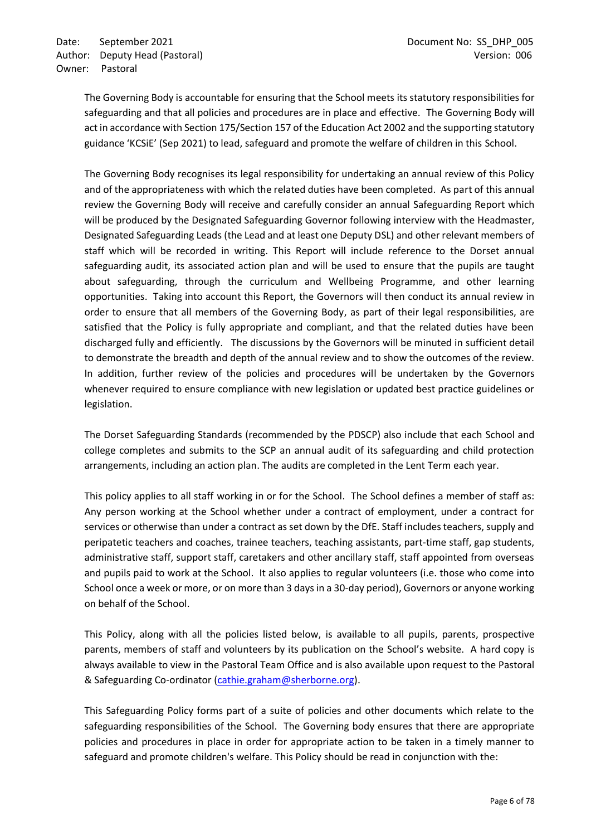The Governing Body is accountable for ensuring that the School meets its statutory responsibilities for safeguarding and that all policies and procedures are in place and effective. The Governing Body will act in accordance with Section 175/Section 157 of the Education Act 2002 and the supporting statutory guidance 'KCSiE' (Sep 2021) to lead, safeguard and promote the welfare of children in this School.

The Governing Body recognises its legal responsibility for undertaking an annual review of this Policy and of the appropriateness with which the related duties have been completed. As part of this annual review the Governing Body will receive and carefully consider an annual Safeguarding Report which will be produced by the Designated Safeguarding Governor following interview with the Headmaster, Designated Safeguarding Leads (the Lead and at least one Deputy DSL) and other relevant members of staff which will be recorded in writing. This Report will include reference to the Dorset annual safeguarding audit, its associated action plan and will be used to ensure that the pupils are taught about safeguarding, through the curriculum and Wellbeing Programme, and other learning opportunities. Taking into account this Report, the Governors will then conduct its annual review in order to ensure that all members of the Governing Body, as part of their legal responsibilities, are satisfied that the Policy is fully appropriate and compliant, and that the related duties have been discharged fully and efficiently. The discussions by the Governors will be minuted in sufficient detail to demonstrate the breadth and depth of the annual review and to show the outcomes of the review. In addition, further review of the policies and procedures will be undertaken by the Governors whenever required to ensure compliance with new legislation or updated best practice guidelines or legislation.

The Dorset Safeguarding Standards (recommended by the PDSCP) also include that each School and college completes and submits to the SCP an annual audit of its safeguarding and child protection arrangements, including an action plan. The audits are completed in the Lent Term each year.

This policy applies to all staff working in or for the School. The School defines a member of staff as: Any person working at the School whether under a contract of employment, under a contract for services or otherwise than under a contract as set down by the DfE. Staff includes teachers, supply and peripatetic teachers and coaches, trainee teachers, teaching assistants, part-time staff, gap students, administrative staff, support staff, caretakers and other ancillary staff, staff appointed from overseas and pupils paid to work at the School. It also applies to regular volunteers (i.e. those who come into School once a week or more, or on more than 3 daysin a 30-day period), Governors or anyone working on behalf of the School.

This Policy, along with all the policies listed below, is available to all pupils, parents, prospective parents, members of staff and volunteers by its publication on the School's website. A hard copy is always available to view in the Pastoral Team Office and is also available upon request to the Pastoral & Safeguarding Co-ordinator [\(cathie.graham@sherborne.org\)](mailto:cathie.graham@sherborne.org).

This Safeguarding Policy forms part of a suite of policies and other documents which relate to the safeguarding responsibilities of the School. The Governing body ensures that there are appropriate policies and procedures in place in order for appropriate action to be taken in a timely manner to safeguard and promote children's welfare. This Policy should be read in conjunction with the: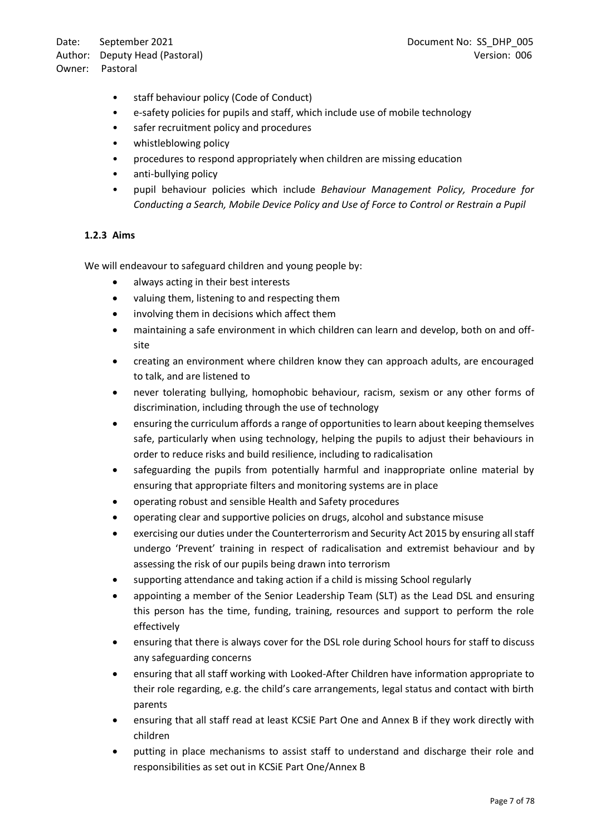- staff behaviour policy (Code of Conduct)
- e-safety policies for pupils and staff, which include use of mobile technology
- safer recruitment policy and procedures
- whistleblowing policy
- procedures to respond appropriately when children are missing education
- anti-bullying policy
- pupil behaviour policies which include *Behaviour Management Policy, Procedure for Conducting a Search, Mobile Device Policy and Use of Force to Control or Restrain a Pupil*

## <span id="page-6-0"></span>**1.2.3 Aims**

We will endeavour to safeguard children and young people by:

- always acting in their best interests
- valuing them, listening to and respecting them
- involving them in decisions which affect them
- maintaining a safe environment in which children can learn and develop, both on and offsite
- creating an environment where children know they can approach adults, are encouraged to talk, and are listened to
- never tolerating bullying, homophobic behaviour, racism, sexism or any other forms of discrimination, including through the use of technology
- ensuring the curriculum affords a range of opportunities to learn about keeping themselves safe, particularly when using technology, helping the pupils to adjust their behaviours in order to reduce risks and build resilience, including to radicalisation
- safeguarding the pupils from potentially harmful and inappropriate online material by ensuring that appropriate filters and monitoring systems are in place
- operating robust and sensible Health and Safety procedures
- operating clear and supportive policies on drugs, alcohol and substance misuse
- exercising our duties under the Counterterrorism and Security Act 2015 by ensuring all staff undergo 'Prevent' training in respect of radicalisation and extremist behaviour and by assessing the risk of our pupils being drawn into terrorism
- supporting attendance and taking action if a child is missing School regularly
- appointing a member of the Senior Leadership Team (SLT) as the Lead DSL and ensuring this person has the time, funding, training, resources and support to perform the role effectively
- ensuring that there is always cover for the DSL role during School hours for staff to discuss any safeguarding concerns
- ensuring that all staff working with Looked-After Children have information appropriate to their role regarding, e.g. the child's care arrangements, legal status and contact with birth parents
- ensuring that all staff read at least KCSiE Part One and Annex B if they work directly with children
- putting in place mechanisms to assist staff to understand and discharge their role and responsibilities as set out in KCSiE Part One/Annex B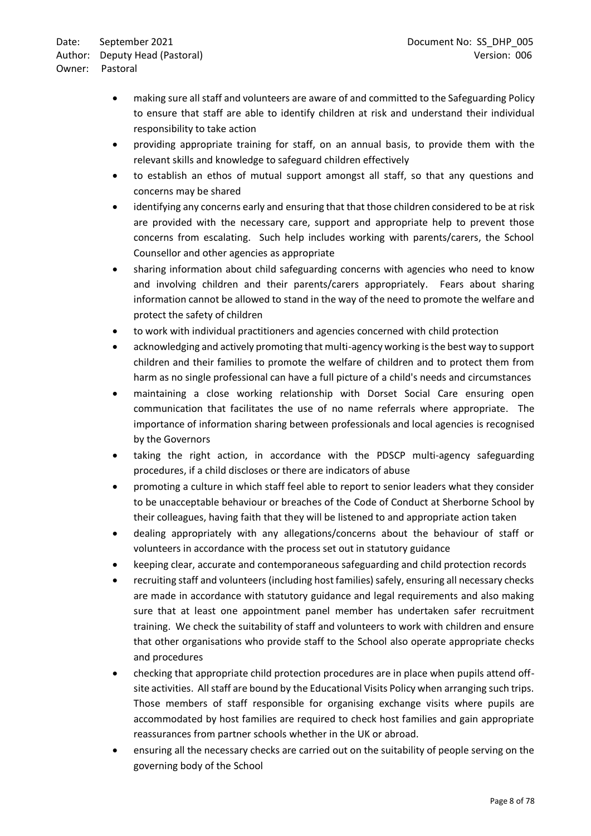- making sure all staff and volunteers are aware of and committed to the Safeguarding Policy to ensure that staff are able to identify children at risk and understand their individual responsibility to take action
- providing appropriate training for staff, on an annual basis, to provide them with the relevant skills and knowledge to safeguard children effectively
- to establish an ethos of mutual support amongst all staff, so that any questions and concerns may be shared
- identifying any concerns early and ensuring that that those children considered to be at risk are provided with the necessary care, support and appropriate help to prevent those concerns from escalating. Such help includes working with parents/carers, the School Counsellor and other agencies as appropriate
- sharing information about child safeguarding concerns with agencies who need to know and involving children and their parents/carers appropriately. Fears about sharing information cannot be allowed to stand in the way of the need to promote the welfare and protect the safety of children
- to work with individual practitioners and agencies concerned with child protection
- acknowledging and actively promoting that multi-agency working is the best way to support children and their families to promote the welfare of children and to protect them from harm as no single professional can have a full picture of a child's needs and circumstances
- maintaining a close working relationship with Dorset Social Care ensuring open communication that facilitates the use of no name referrals where appropriate. The importance of information sharing between professionals and local agencies is recognised by the Governors
- taking the right action, in accordance with the PDSCP multi-agency safeguarding procedures, if a child discloses or there are indicators of abuse
- promoting a culture in which staff feel able to report to senior leaders what they consider to be unacceptable behaviour or breaches of the Code of Conduct at Sherborne School by their colleagues, having faith that they will be listened to and appropriate action taken
- dealing appropriately with any allegations/concerns about the behaviour of staff or volunteers in accordance with the process set out in statutory guidance
- keeping clear, accurate and contemporaneous safeguarding and child protection records
- recruiting staff and volunteers (including host families) safely, ensuring all necessary checks are made in accordance with statutory guidance and legal requirements and also making sure that at least one appointment panel member has undertaken safer recruitment training. We check the suitability of staff and volunteers to work with children and ensure that other organisations who provide staff to the School also operate appropriate checks and procedures
- checking that appropriate child protection procedures are in place when pupils attend offsite activities. All staff are bound by the Educational Visits Policy when arranging such trips. Those members of staff responsible for organising exchange visits where pupils are accommodated by host families are required to check host families and gain appropriate reassurances from partner schools whether in the UK or abroad.
- ensuring all the necessary checks are carried out on the suitability of people serving on the governing body of the School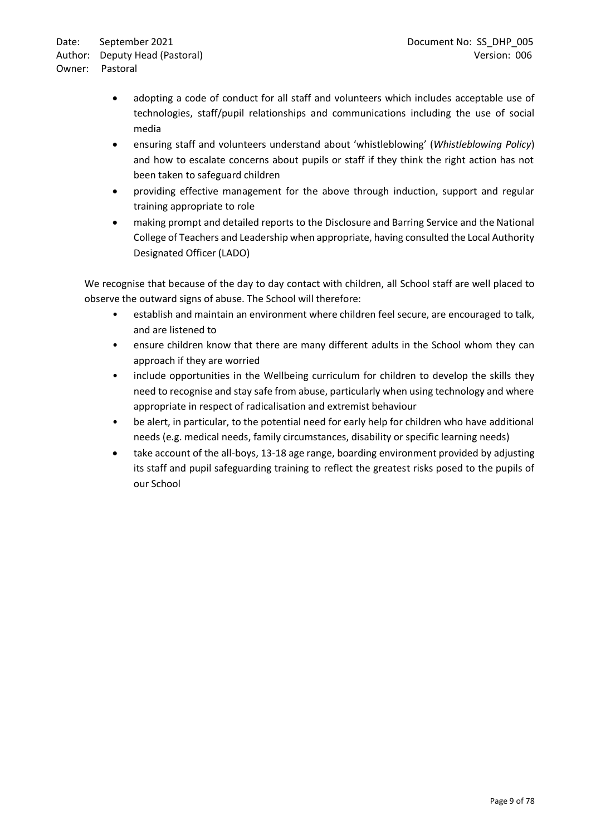- adopting a code of conduct for all staff and volunteers which includes acceptable use of technologies, staff/pupil relationships and communications including the use of social media
- ensuring staff and volunteers understand about 'whistleblowing' (*Whistleblowing Policy*) and how to escalate concerns about pupils or staff if they think the right action has not been taken to safeguard children
- providing effective management for the above through induction, support and regular training appropriate to role
- making prompt and detailed reports to the Disclosure and Barring Service and the National College of Teachers and Leadership when appropriate, having consulted the Local Authority Designated Officer (LADO)

We recognise that because of the day to day contact with children, all School staff are well placed to observe the outward signs of abuse. The School will therefore:

- establish and maintain an environment where children feel secure, are encouraged to talk, and are listened to
- ensure children know that there are many different adults in the School whom they can approach if they are worried
- include opportunities in the Wellbeing curriculum for children to develop the skills they need to recognise and stay safe from abuse, particularly when using technology and where appropriate in respect of radicalisation and extremist behaviour
- be alert, in particular, to the potential need for early help for children who have additional needs (e.g. medical needs, family circumstances, disability or specific learning needs)
- take account of the all-boys, 13-18 age range, boarding environment provided by adjusting its staff and pupil safeguarding training to reflect the greatest risks posed to the pupils of our School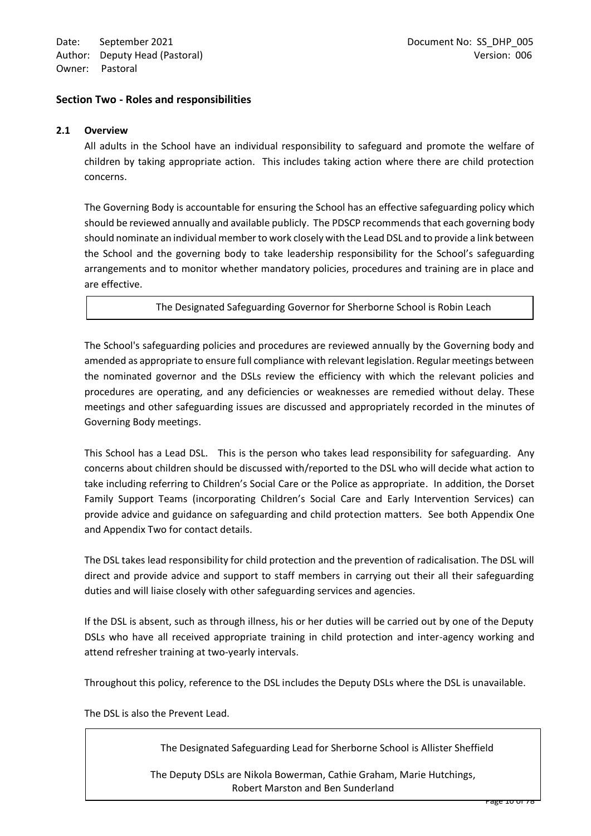Date: September 2021 **Date:** September 2021 Author: Deputy Head (Pastoral) Version: 006 Owner: Pastoral

## <span id="page-9-0"></span>**Section Two - Roles and responsibilities**

#### <span id="page-9-1"></span>**2.1 Overview**

All adults in the School have an individual responsibility to safeguard and promote the welfare of children by taking appropriate action. This includes taking action where there are child protection concerns.

The Governing Body is accountable for ensuring the School has an effective safeguarding policy which should be reviewed annually and available publicly. The PDSCP recommends that each governing body should nominate an individual member to work closely with the Lead DSL and to provide a link between the School and the governing body to take leadership responsibility for the School's safeguarding arrangements and to monitor whether mandatory policies, procedures and training are in place and are effective.

The Designated Safeguarding Governor for Sherborne School is Robin Leach

The School's safeguarding policies and procedures are reviewed annually by the Governing body and amended as appropriate to ensure full compliance with relevant legislation. Regular meetings between the nominated governor and the DSLs review the efficiency with which the relevant policies and procedures are operating, and any deficiencies or weaknesses are remedied without delay. These meetings and other safeguarding issues are discussed and appropriately recorded in the minutes of Governing Body meetings.

This School has a Lead DSL. This is the person who takes lead responsibility for safeguarding. Any concerns about children should be discussed with/reported to the DSL who will decide what action to take including referring to Children's Social Care or the Police as appropriate. In addition, the Dorset Family Support Teams (incorporating Children's Social Care and Early Intervention Services) can provide advice and guidance on safeguarding and child protection matters. See both Appendix One and Appendix Two for contact details.

The DSL takes lead responsibility for child protection and the prevention of radicalisation. The DSL will direct and provide advice and support to staff members in carrying out their all their safeguarding duties and will liaise closely with other safeguarding services and agencies.

If the DSL is absent, such as through illness, his or her duties will be carried out by one of the Deputy DSLs who have all received appropriate training in child protection and inter-agency working and attend refresher training at two-yearly intervals.

Throughout this policy, reference to the DSL includes the Deputy DSLs where the DSL is unavailable.

The DSL is also the Prevent Lead.

Le Poidevin

The Designated Safeguarding Lead for Sherborne School is Allister Sheffield

The Deputy DSLs are Nikola Bowerman, Cathie Graham, Marie Hutchings, Robert Marston and Ben Sunderland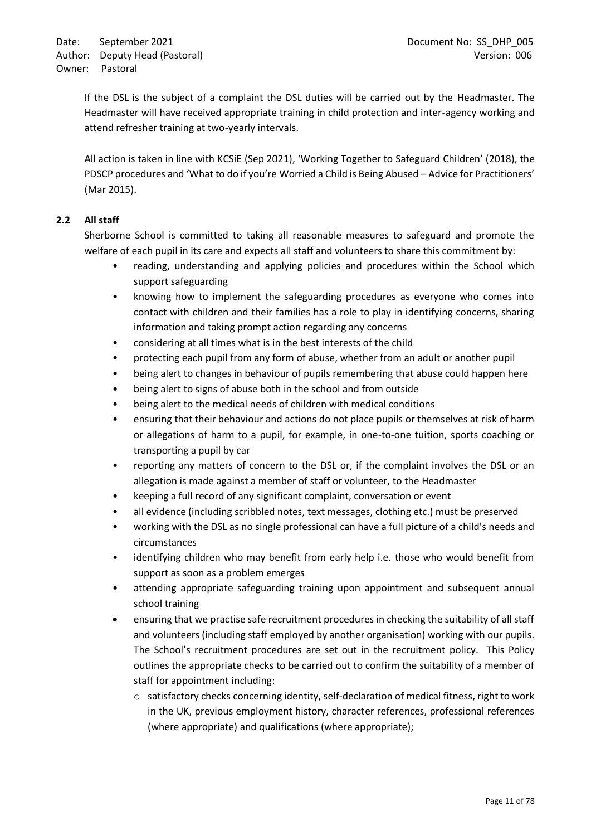If the DSL is the subject of a complaint the DSL duties will be carried out by the Headmaster. The Headmaster will have received appropriate training in child protection and inter-agency working and attend refresher training at two-yearly intervals.

All action is taken in line with KCSiE (Sep 2021), 'Working Together to Safeguard Children' (2018), the PDSCP procedures and 'What to do if you're Worried a Child is Being Abused – Advice for Practitioners' (Mar 2015).

## <span id="page-10-0"></span>**2.2 All staff**

Sherborne School is committed to taking all reasonable measures to safeguard and promote the welfare of each pupil in its care and expects all staff and volunteers to share this commitment by:

- reading, understanding and applying policies and procedures within the School which support safeguarding
- knowing how to implement the safeguarding procedures as everyone who comes into contact with children and their families has a role to play in identifying concerns, sharing information and taking prompt action regarding any concerns
- considering at all times what is in the best interests of the child
- protecting each pupil from any form of abuse, whether from an adult or another pupil
- being alert to changes in behaviour of pupils remembering that abuse could happen here
- being alert to signs of abuse both in the school and from outside
- being alert to the medical needs of children with medical conditions
- ensuring that their behaviour and actions do not place pupils or themselves at risk of harm or allegations of harm to a pupil, for example, in one-to-one tuition, sports coaching or transporting a pupil by car
- reporting any matters of concern to the DSL or, if the complaint involves the DSL or an allegation is made against a member of staff or volunteer, to the Headmaster
- keeping a full record of any significant complaint, conversation or event
- all evidence (including scribbled notes, text messages, clothing etc.) must be preserved
- working with the DSL as no single professional can have a full picture of a child's needs and circumstances
- identifying children who may benefit from early help i.e. those who would benefit from support as soon as a problem emerges
- attending appropriate safeguarding training upon appointment and subsequent annual school training
- ensuring that we practise safe recruitment procedures in checking the suitability of all staff and volunteers (including staff employed by another organisation) working with our pupils. The School's recruitment procedures are set out in the recruitment policy. This Policy outlines the appropriate checks to be carried out to confirm the suitability of a member of staff for appointment including:
	- $\circ$  satisfactory checks concerning identity, self-declaration of medical fitness, right to work in the UK, previous employment history, character references, professional references (where appropriate) and qualifications (where appropriate);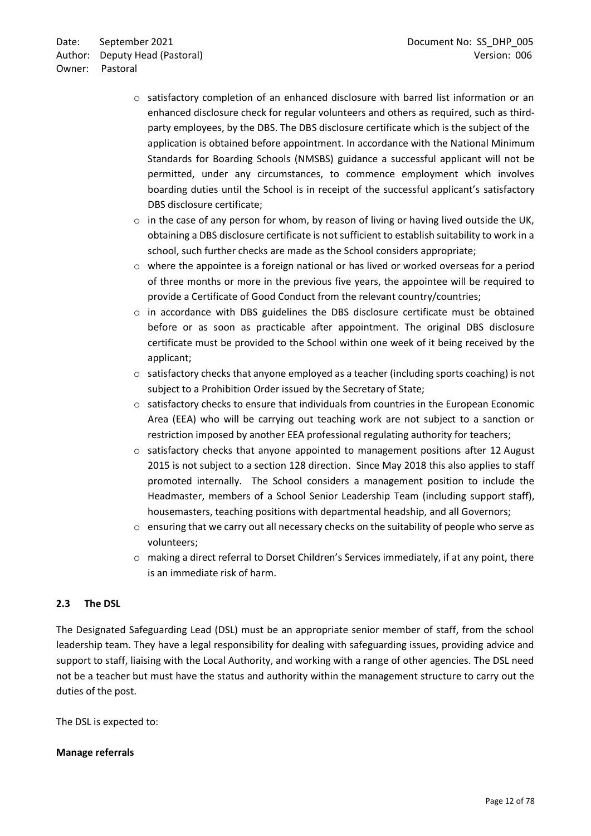- o satisfactory completion of an enhanced disclosure with barred list information or an enhanced disclosure check for regular volunteers and others as required, such as thirdparty employees, by the DBS. The DBS disclosure certificate which is the subject of the application is obtained before appointment. In accordance with the National Minimum Standards for Boarding Schools (NMSBS) guidance a successful applicant will not be permitted, under any circumstances, to commence employment which involves boarding duties until the School is in receipt of the successful applicant's satisfactory DBS disclosure certificate;
- $\circ$  in the case of any person for whom, by reason of living or having lived outside the UK, obtaining a DBS disclosure certificate is not sufficient to establish suitability to work in a school, such further checks are made as the School considers appropriate;
- $\circ$  where the appointee is a foreign national or has lived or worked overseas for a period of three months or more in the previous five years, the appointee will be required to provide a Certificate of Good Conduct from the relevant country/countries;
- $\circ$  in accordance with DBS guidelines the DBS disclosure certificate must be obtained before or as soon as practicable after appointment. The original DBS disclosure certificate must be provided to the School within one week of it being received by the applicant;
- o satisfactory checks that anyone employed as a teacher (including sports coaching) is not subject to a Prohibition Order issued by the Secretary of State;
- o satisfactory checks to ensure that individuals from countries in the European Economic Area (EEA) who will be carrying out teaching work are not subject to a sanction or restriction imposed by another EEA professional regulating authority for teachers;
- o satisfactory checks that anyone appointed to management positions after 12 August 2015 is not subject to a section 128 direction. Since May 2018 this also applies to staff promoted internally. The School considers a management position to include the Headmaster, members of a School Senior Leadership Team (including support staff), housemasters, teaching positions with departmental headship, and all Governors;
- $\circ$  ensuring that we carry out all necessary checks on the suitability of people who serve as volunteers;
- o making a direct referral to Dorset Children's Services immediately, if at any point, there is an immediate risk of harm.

## <span id="page-11-0"></span>**2.3 The DSL**

The Designated Safeguarding Lead (DSL) must be an appropriate senior member of staff, from the school leadership team. They have a legal responsibility for dealing with safeguarding issues, providing advice and support to staff, liaising with the Local Authority, and working with a range of other agencies. The DSL need not be a teacher but must have the status and authority within the management structure to carry out the duties of the post.

The DSL is expected to:

## **Manage referrals**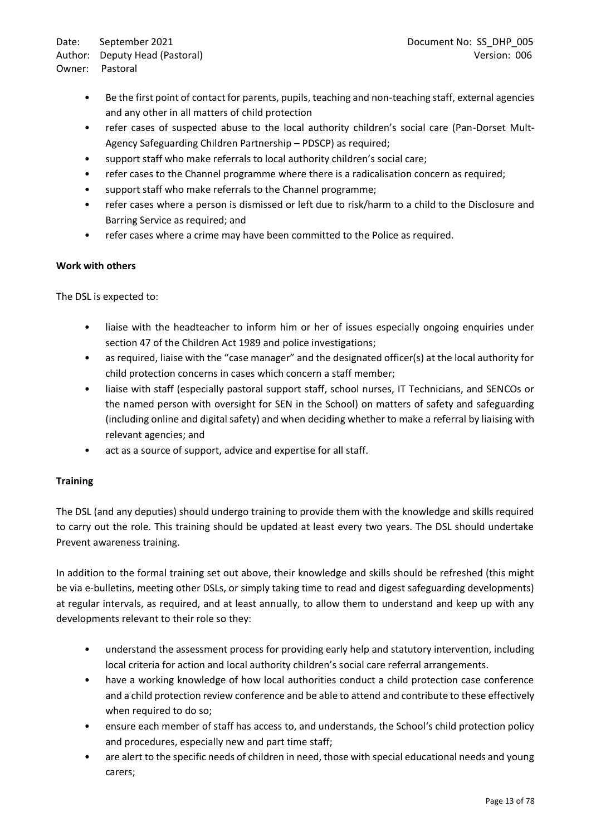Date: September 2021 **Document No: SS\_DHP\_005** Author: Deputy Head (Pastoral) and the control of the control of the Version: 006 Owner: Pastoral

- Be the first point of contact for parents, pupils, teaching and non-teaching staff, external agencies and any other in all matters of child protection
- refer cases of suspected abuse to the local authority children's social care (Pan-Dorset Mult-Agency Safeguarding Children Partnership – PDSCP) as required;
- support staff who make referrals to local authority children's social care;
- refer cases to the Channel programme where there is a radicalisation concern as required;
- support staff who make referrals to the Channel programme;
- refer cases where a person is dismissed or left due to risk/harm to a child to the Disclosure and Barring Service as required; and
- refer cases where a crime may have been committed to the Police as required.

## **Work with others**

The DSL is expected to:

- liaise with the headteacher to inform him or her of issues especially ongoing enquiries under section 47 of the Children Act 1989 and police investigations;
- as required, liaise with the "case manager" and the designated officer(s) at the local authority for child protection concerns in cases which concern a staff member;
- liaise with staff (especially pastoral support staff, school nurses, IT Technicians, and SENCOs or the named person with oversight for SEN in the School) on matters of safety and safeguarding (including online and digital safety) and when deciding whether to make a referral by liaising with relevant agencies; and
- act as a source of support, advice and expertise for all staff.

## **Training**

The DSL (and any deputies) should undergo training to provide them with the knowledge and skills required to carry out the role. This training should be updated at least every two years. The DSL should undertake Prevent awareness training.

In addition to the formal training set out above, their knowledge and skills should be refreshed (this might be via e-bulletins, meeting other DSLs, or simply taking time to read and digest safeguarding developments) at regular intervals, as required, and at least annually, to allow them to understand and keep up with any developments relevant to their role so they:

- understand the assessment process for providing early help and statutory intervention, including local criteria for action and local authority children's social care referral arrangements.
- have a working knowledge of how local authorities conduct a child protection case conference and a child protection review conference and be able to attend and contribute to these effectively when required to do so;
- ensure each member of staff has access to, and understands, the School's child protection policy and procedures, especially new and part time staff;
- are alert to the specific needs of children in need, those with special educational needs and young carers;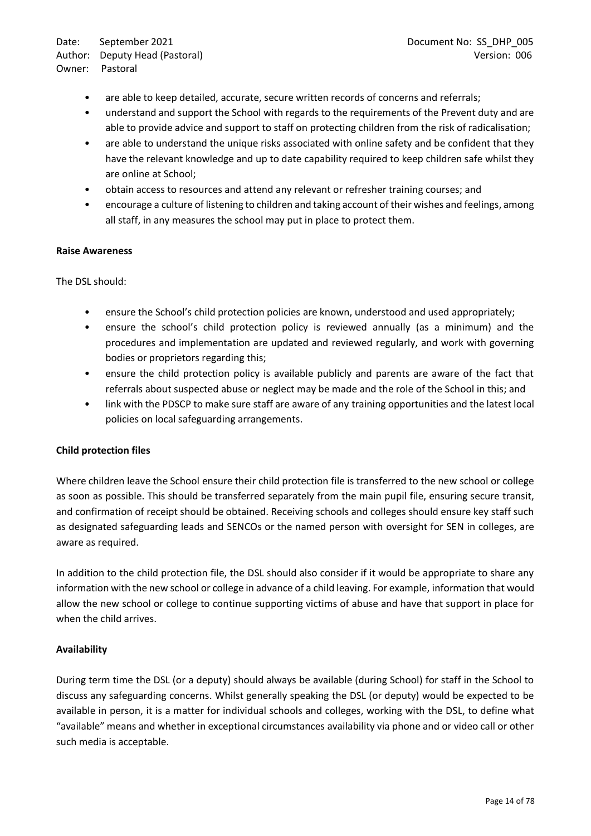- are able to keep detailed, accurate, secure written records of concerns and referrals;
- understand and support the School with regards to the requirements of the Prevent duty and are able to provide advice and support to staff on protecting children from the risk of radicalisation;
- are able to understand the unique risks associated with online safety and be confident that they have the relevant knowledge and up to date capability required to keep children safe whilst they are online at School;
- obtain access to resources and attend any relevant or refresher training courses; and
- encourage a culture of listening to children and taking account of their wishes and feelings, among all staff, in any measures the school may put in place to protect them.

## **Raise Awareness**

The DSL should:

- ensure the School's child protection policies are known, understood and used appropriately;
- ensure the school's child protection policy is reviewed annually (as a minimum) and the procedures and implementation are updated and reviewed regularly, and work with governing bodies or proprietors regarding this;
- ensure the child protection policy is available publicly and parents are aware of the fact that referrals about suspected abuse or neglect may be made and the role of the School in this; and
- link with the PDSCP to make sure staff are aware of any training opportunities and the latest local policies on local safeguarding arrangements.

## **Child protection files**

Where children leave the School ensure their child protection file is transferred to the new school or college as soon as possible. This should be transferred separately from the main pupil file, ensuring secure transit, and confirmation of receipt should be obtained. Receiving schools and colleges should ensure key staff such as designated safeguarding leads and SENCOs or the named person with oversight for SEN in colleges, are aware as required.

In addition to the child protection file, the DSL should also consider if it would be appropriate to share any information with the new school or college in advance of a child leaving. For example, information that would allow the new school or college to continue supporting victims of abuse and have that support in place for when the child arrives.

## **Availability**

During term time the DSL (or a deputy) should always be available (during School) for staff in the School to discuss any safeguarding concerns. Whilst generally speaking the DSL (or deputy) would be expected to be available in person, it is a matter for individual schools and colleges, working with the DSL, to define what "available" means and whether in exceptional circumstances availability via phone and or video call or other such media is acceptable.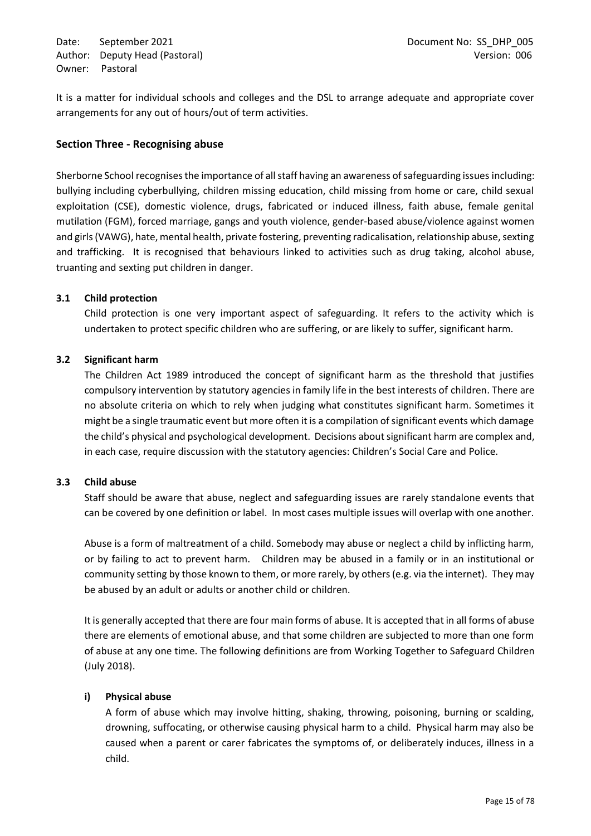Date: September 2021 **Date:** September 2021 Author: Deputy Head (Pastoral) Version: 006 Owner: Pastoral

It is a matter for individual schools and colleges and the DSL to arrange adequate and appropriate cover arrangements for any out of hours/out of term activities.

## <span id="page-14-0"></span>**Section Three - Recognising abuse**

Sherborne School recognises the importance of all staff having an awareness of safeguarding issues including: bullying including cyberbullying, children missing education, child missing from home or care, child sexual exploitation (CSE), domestic violence, drugs, fabricated or induced illness, faith abuse, female genital mutilation (FGM), forced marriage, gangs and youth violence, gender-based abuse/violence against women and girls (VAWG), hate, mental health, private fostering, preventing radicalisation, relationship abuse, sexting and trafficking. It is recognised that behaviours linked to activities such as drug taking, alcohol abuse, truanting and sexting put children in danger.

## <span id="page-14-1"></span>**3.1 Child protection**

Child protection is one very important aspect of safeguarding. It refers to the activity which is undertaken to protect specific children who are suffering, or are likely to suffer, significant harm.

## <span id="page-14-2"></span>**3.2 Significant harm**

The Children Act 1989 introduced the concept of significant harm as the threshold that justifies compulsory intervention by statutory agencies in family life in the best interests of children. There are no absolute criteria on which to rely when judging what constitutes significant harm. Sometimes it might be a single traumatic event but more often it is a compilation of significant events which damage the child's physical and psychological development. Decisions about significant harm are complex and, in each case, require discussion with the statutory agencies: Children's Social Care and Police.

## <span id="page-14-3"></span>**3.3 Child abuse**

Staff should be aware that abuse, neglect and safeguarding issues are rarely standalone events that can be covered by one definition or label. In most cases multiple issues will overlap with one another.

Abuse is a form of maltreatment of a child. Somebody may abuse or neglect a child by inflicting harm, or by failing to act to prevent harm. Children may be abused in a family or in an institutional or community setting by those known to them, or more rarely, by others (e.g. via the internet). They may be abused by an adult or adults or another child or children.

It is generally accepted that there are four main forms of abuse. It is accepted that in all forms of abuse there are elements of emotional abuse, and that some children are subjected to more than one form of abuse at any one time. The following definitions are from Working Together to Safeguard Children (July 2018).

## **i) Physical abuse**

A form of abuse which may involve hitting, shaking, throwing, poisoning, burning or scalding, drowning, suffocating, or otherwise causing physical harm to a child. Physical harm may also be caused when a parent or carer fabricates the symptoms of, or deliberately induces, illness in a child.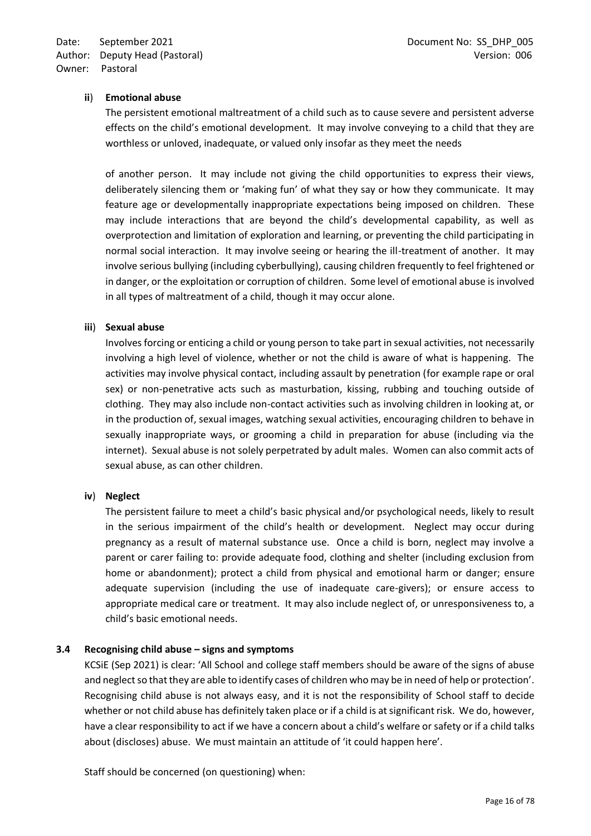## **ii**) **Emotional abuse**

The persistent emotional maltreatment of a child such as to cause severe and persistent adverse effects on the child's emotional development. It may involve conveying to a child that they are worthless or unloved, inadequate, or valued only insofar as they meet the needs

of another person. It may include not giving the child opportunities to express their views, deliberately silencing them or 'making fun' of what they say or how they communicate. It may feature age or developmentally inappropriate expectations being imposed on children. These may include interactions that are beyond the child's developmental capability, as well as overprotection and limitation of exploration and learning, or preventing the child participating in normal social interaction. It may involve seeing or hearing the ill-treatment of another. It may involve serious bullying (including cyberbullying), causing children frequently to feel frightened or in danger, or the exploitation or corruption of children. Some level of emotional abuse is involved in all types of maltreatment of a child, though it may occur alone.

## **iii**) **Sexual abuse**

Involves forcing or enticing a child or young person to take part in sexual activities, not necessarily involving a high level of violence, whether or not the child is aware of what is happening. The activities may involve physical contact, including assault by penetration (for example rape or oral sex) or non-penetrative acts such as masturbation, kissing, rubbing and touching outside of clothing. They may also include non-contact activities such as involving children in looking at, or in the production of, sexual images, watching sexual activities, encouraging children to behave in sexually inappropriate ways, or grooming a child in preparation for abuse (including via the internet). Sexual abuse is not solely perpetrated by adult males. Women can also commit acts of sexual abuse, as can other children.

## **iv**) **Neglect**

The persistent failure to meet a child's basic physical and/or psychological needs, likely to result in the serious impairment of the child's health or development. Neglect may occur during pregnancy as a result of maternal substance use. Once a child is born, neglect may involve a parent or carer failing to: provide adequate food, clothing and shelter (including exclusion from home or abandonment); protect a child from physical and emotional harm or danger; ensure adequate supervision (including the use of inadequate care-givers); or ensure access to appropriate medical care or treatment. It may also include neglect of, or unresponsiveness to, a child's basic emotional needs.

## <span id="page-15-0"></span>**3.4 Recognising child abuse – signs and symptoms**

KCSiE (Sep 2021) is clear: 'All School and college staff members should be aware of the signs of abuse and neglect so that they are able to identify cases of children who may be in need of help or protection'. Recognising child abuse is not always easy, and it is not the responsibility of School staff to decide whether or not child abuse has definitely taken place or if a child is at significant risk. We do, however, have a clear responsibility to act if we have a concern about a child's welfare or safety or if a child talks about (discloses) abuse. We must maintain an attitude of 'it could happen here'.

Staff should be concerned (on questioning) when: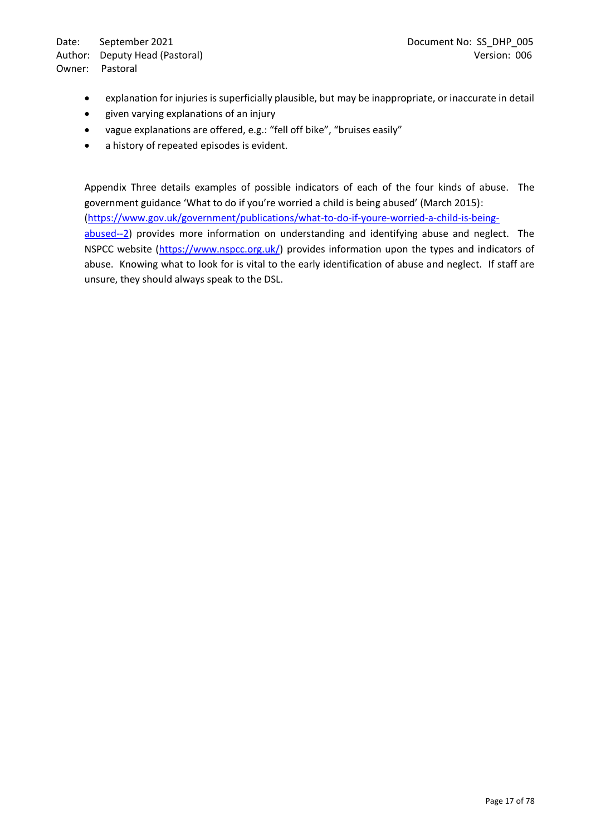Date: September 2021 and the contract of the Document No: SS\_DHP\_005 Author: Deputy Head (Pastoral) Version: 006 Owner: Pastoral

- explanation for injuries is superficially plausible, but may be inappropriate, or inaccurate in detail
- given varying explanations of an injury
- vague explanations are offered, e.g.: "fell off bike", "bruises easily"
- a history of repeated episodes is evident.

Appendix Three details examples of possible indicators of each of the four kinds of abuse. The government guidance 'What to do if you're worried a child is being abused' (March 2015): [\(https://www.gov.uk/government/publications/what-to-do-if-youre-worried-a-child-is-being](https://www.gov.uk/government/publications/what-to-do-if-youre-worried-a-child-is-being-abused--2)[abused--2\)](https://www.gov.uk/government/publications/what-to-do-if-youre-worried-a-child-is-being-abused--2) provides more information on understanding and identifying abuse and neglect. The NSPCC website [\(https://www.nspcc.org.uk/\)](https://www.nspcc.org.uk/) provides information upon the types and indicators of abuse. Knowing what to look for is vital to the early identification of abuse and neglect. If staff are unsure, they should always speak to the DSL.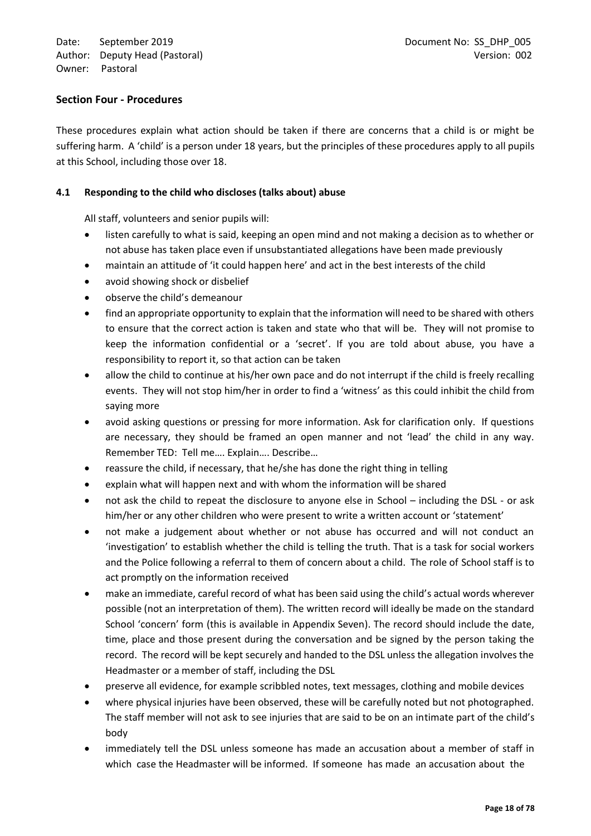## <span id="page-17-0"></span>**Section Four - Procedures**

These procedures explain what action should be taken if there are concerns that a child is or might be suffering harm. A 'child' is a person under 18 years, but the principles of these procedures apply to all pupils at this School, including those over 18.

## <span id="page-17-1"></span>**4.1 Responding to the child who discloses (talks about) abuse**

All staff, volunteers and senior pupils will:

- listen carefully to what is said, keeping an open mind and not making a decision as to whether or not abuse has taken place even if unsubstantiated allegations have been made previously
- maintain an attitude of 'it could happen here' and act in the best interests of the child
- avoid showing shock or disbelief
- observe the child's demeanour
- find an appropriate opportunity to explain that the information will need to be shared with others to ensure that the correct action is taken and state who that will be. They will not promise to keep the information confidential or a 'secret'. If you are told about abuse, you have a responsibility to report it, so that action can be taken
- allow the child to continue at his/her own pace and do not interrupt if the child is freely recalling events. They will not stop him/her in order to find a 'witness' as this could inhibit the child from saying more
- avoid asking questions or pressing for more information. Ask for clarification only. If questions are necessary, they should be framed an open manner and not 'lead' the child in any way. Remember TED: Tell me…. Explain…. Describe…
- reassure the child, if necessary, that he/she has done the right thing in telling
- explain what will happen next and with whom the information will be shared
- not ask the child to repeat the disclosure to anyone else in School including the DSL or ask him/her or any other children who were present to write a written account or 'statement'
- not make a judgement about whether or not abuse has occurred and will not conduct an 'investigation' to establish whether the child is telling the truth. That is a task for social workers and the Police following a referral to them of concern about a child. The role of School staff is to act promptly on the information received
- make an immediate, careful record of what has been said using the child's actual words wherever possible (not an interpretation of them). The written record will ideally be made on the standard School 'concern' form (this is available in Appendix Seven). The record should include the date, time, place and those present during the conversation and be signed by the person taking the record. The record will be kept securely and handed to the DSL unless the allegation involves the Headmaster or a member of staff, including the DSL
- preserve all evidence, for example scribbled notes, text messages, clothing and mobile devices
- where physical injuries have been observed, these will be carefully noted but not photographed. The staff member will not ask to see injuries that are said to be on an intimate part of the child's body
- immediately tell the DSL unless someone has made an accusation about a member of staff in which case the Headmaster will be informed. If someone has made an accusation about the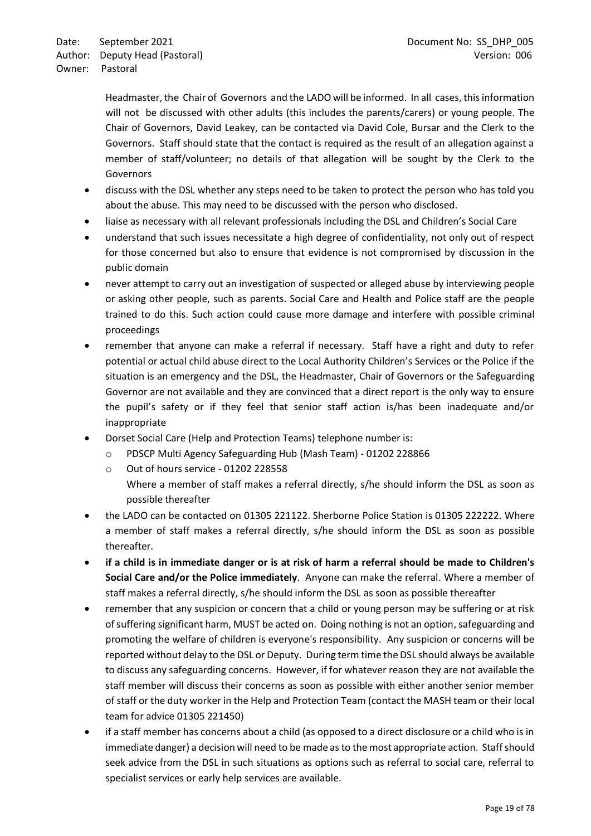Headmaster, the Chair of Governors and the LADO will be informed. In all cases, this information will not be discussed with other adults (this includes the parents/carers) or young people. The Chair of Governors, David Leakey, can be contacted via David Cole, Bursar and the Clerk to the Governors. Staff should state that the contact is required as the result of an allegation against a member of staff/volunteer; no details of that allegation will be sought by the Clerk to the Governors

- discuss with the DSL whether any steps need to be taken to protect the person who has told you about the abuse. This may need to be discussed with the person who disclosed.
- liaise as necessary with all relevant professionals including the DSL and Children's Social Care
- understand that such issues necessitate a high degree of confidentiality, not only out of respect for those concerned but also to ensure that evidence is not compromised by discussion in the public domain
- never attempt to carry out an investigation of suspected or alleged abuse by interviewing people or asking other people, such as parents. Social Care and Health and Police staff are the people trained to do this. Such action could cause more damage and interfere with possible criminal proceedings
- remember that anyone can make a referral if necessary. Staff have a right and duty to refer potential or actual child abuse direct to the Local Authority Children's Services or the Police if the situation is an emergency and the DSL, the Headmaster, Chair of Governors or the Safeguarding Governor are not available and they are convinced that a direct report is the only way to ensure the pupil's safety or if they feel that senior staff action is/has been inadequate and/or inappropriate
- Dorset Social Care (Help and Protection Teams) telephone number is:
	- o PDSCP Multi Agency Safeguarding Hub (Mash Team) 01202 228866
	- o Out of hours service 01202 228558
		- Where a member of staff makes a referral directly, s/he should inform the DSL as soon as possible thereafter
- the LADO can be contacted on 01305 221122. Sherborne Police Station is 01305 222222. Where a member of staff makes a referral directly, s/he should inform the DSL as soon as possible thereafter.
- **if a child is in immediate danger or is at risk of harm a referral should be made to Children's Social Care and/or the Police immediately**. Anyone can make the referral. Where a member of staff makes a referral directly, s/he should inform the DSL as soon as possible thereafter
- remember that any suspicion or concern that a child or young person may be suffering or at risk of suffering significant harm, MUST be acted on. Doing nothing is not an option, safeguarding and promoting the welfare of children is everyone's responsibility. Any suspicion or concerns will be reported without delay to the DSL or Deputy. During term time the DSL should always be available to discuss any safeguarding concerns. However, if for whatever reason they are not available the staff member will discuss their concerns as soon as possible with either another senior member of staff or the duty worker in the Help and Protection Team (contact the MASH team or their local team for advice 01305 221450)
- if a staff member has concerns about a child (as opposed to a direct disclosure or a child who is in immediate danger) a decision will need to be made as to the most appropriate action. Staff should seek advice from the DSL in such situations as options such as referral to social care, referral to specialist services or early help services are available.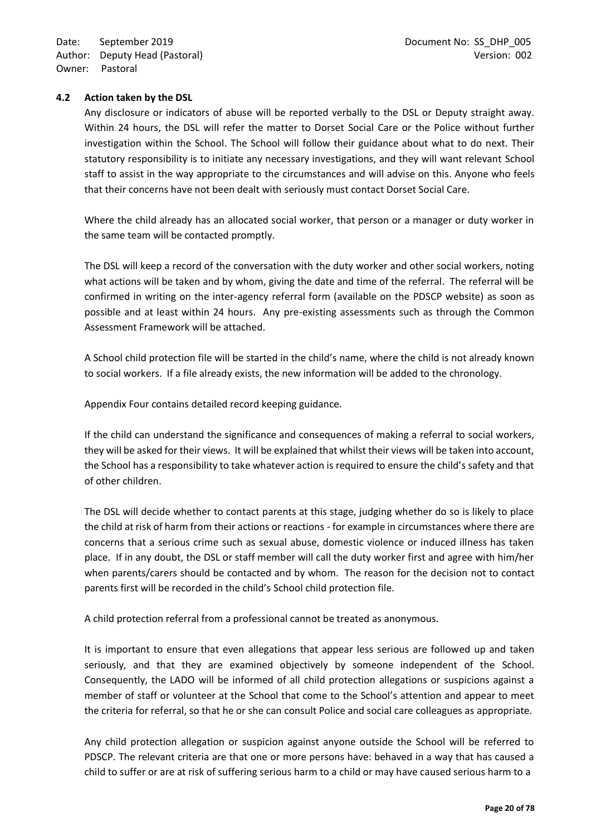## <span id="page-19-0"></span>**4.2 Action taken by the DSL**

Any disclosure or indicators of abuse will be reported verbally to the DSL or Deputy straight away. Within 24 hours, the DSL will refer the matter to Dorset Social Care or the Police without further investigation within the School. The School will follow their guidance about what to do next. Their statutory responsibility is to initiate any necessary investigations, and they will want relevant School staff to assist in the way appropriate to the circumstances and will advise on this. Anyone who feels that their concerns have not been dealt with seriously must contact Dorset Social Care.

Where the child already has an allocated social worker, that person or a manager or duty worker in the same team will be contacted promptly.

The DSL will keep a record of the conversation with the duty worker and other social workers, noting what actions will be taken and by whom, giving the date and time of the referral. The referral will be confirmed in writing on the inter-agency referral form (available on the PDSCP website) as soon as possible and at least within 24 hours. Any pre-existing assessments such as through the Common Assessment Framework will be attached.

A School child protection file will be started in the child's name, where the child is not already known to social workers. If a file already exists, the new information will be added to the chronology.

Appendix Four contains detailed record keeping guidance.

If the child can understand the significance and consequences of making a referral to social workers, they will be asked for their views. It will be explained that whilst their views will be taken into account, the School has a responsibility to take whatever action is required to ensure the child's safety and that of other children.

The DSL will decide whether to contact parents at this stage, judging whether do so is likely to place the child at risk of harm from their actions or reactions - for example in circumstances where there are concerns that a serious crime such as sexual abuse, domestic violence or induced illness has taken place. If in any doubt, the DSL or staff member will call the duty worker first and agree with him/her when parents/carers should be contacted and by whom. The reason for the decision not to contact parents first will be recorded in the child's School child protection file.

A child protection referral from a professional cannot be treated as anonymous.

It is important to ensure that even allegations that appear less serious are followed up and taken seriously, and that they are examined objectively by someone independent of the School. Consequently, the LADO will be informed of all child protection allegations or suspicions against a member of staff or volunteer at the School that come to the School's attention and appear to meet the criteria for referral, so that he or she can consult Police and social care colleagues as appropriate.

Any child protection allegation or suspicion against anyone outside the School will be referred to PDSCP. The relevant criteria are that one or more persons have: behaved in a way that has caused a child to suffer or are at risk of suffering serious harm to a child or may have caused serious harm to a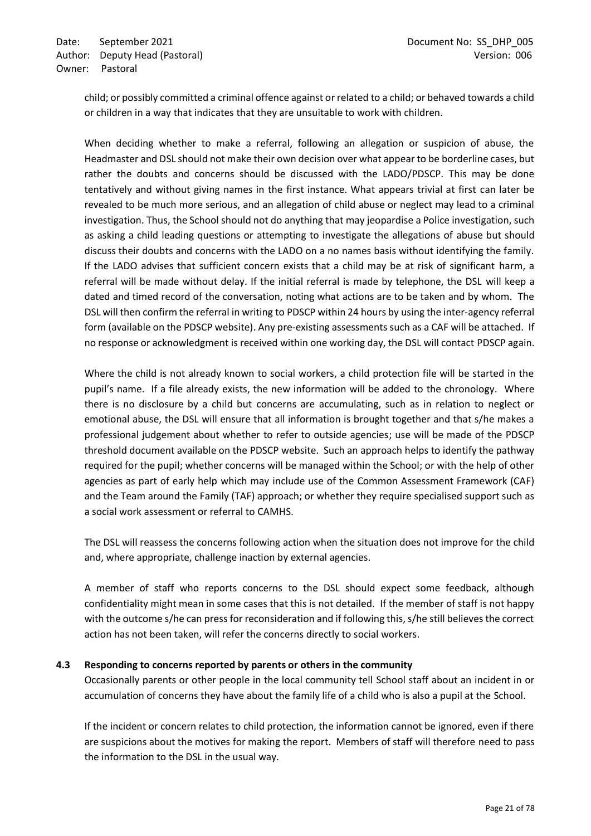child; or possibly committed a criminal offence against or related to a child; or behaved towards a child or children in a way that indicates that they are unsuitable to work with children.

When deciding whether to make a referral, following an allegation or suspicion of abuse, the Headmaster and DSL should not make their own decision over what appear to be borderline cases, but rather the doubts and concerns should be discussed with the LADO/PDSCP. This may be done tentatively and without giving names in the first instance. What appears trivial at first can later be revealed to be much more serious, and an allegation of child abuse or neglect may lead to a criminal investigation. Thus, the School should not do anything that may jeopardise a Police investigation, such as asking a child leading questions or attempting to investigate the allegations of abuse but should discuss their doubts and concerns with the LADO on a no names basis without identifying the family. If the LADO advises that sufficient concern exists that a child may be at risk of significant harm, a referral will be made without delay. If the initial referral is made by telephone, the DSL will keep a dated and timed record of the conversation, noting what actions are to be taken and by whom. The DSL will then confirm the referral in writing to PDSCP within 24 hours by using the inter-agency referral form (available on the PDSCP website). Any pre-existing assessments such as a CAF will be attached. If no response or acknowledgment is received within one working day, the DSL will contact PDSCP again.

Where the child is not already known to social workers, a child protection file will be started in the pupil's name. If a file already exists, the new information will be added to the chronology. Where there is no disclosure by a child but concerns are accumulating, such as in relation to neglect or emotional abuse, the DSL will ensure that all information is brought together and that s/he makes a professional judgement about whether to refer to outside agencies; use will be made of the PDSCP threshold document available on the PDSCP website. Such an approach helps to identify the pathway required for the pupil; whether concerns will be managed within the School; or with the help of other agencies as part of early help which may include use of the Common Assessment Framework (CAF) and the Team around the Family (TAF) approach; or whether they require specialised support such as a social work assessment or referral to CAMHS.

The DSL will reassess the concerns following action when the situation does not improve for the child and, where appropriate, challenge inaction by external agencies.

A member of staff who reports concerns to the DSL should expect some feedback, although confidentiality might mean in some cases that this is not detailed. If the member of staff is not happy with the outcome s/he can press for reconsideration and if following this, s/he still believes the correct action has not been taken, will refer the concerns directly to social workers.

## <span id="page-20-0"></span>**4.3 Responding to concerns reported by parents or others in the community**

Occasionally parents or other people in the local community tell School staff about an incident in or accumulation of concerns they have about the family life of a child who is also a pupil at the School.

If the incident or concern relates to child protection, the information cannot be ignored, even if there are suspicions about the motives for making the report. Members of staff will therefore need to pass the information to the DSL in the usual way.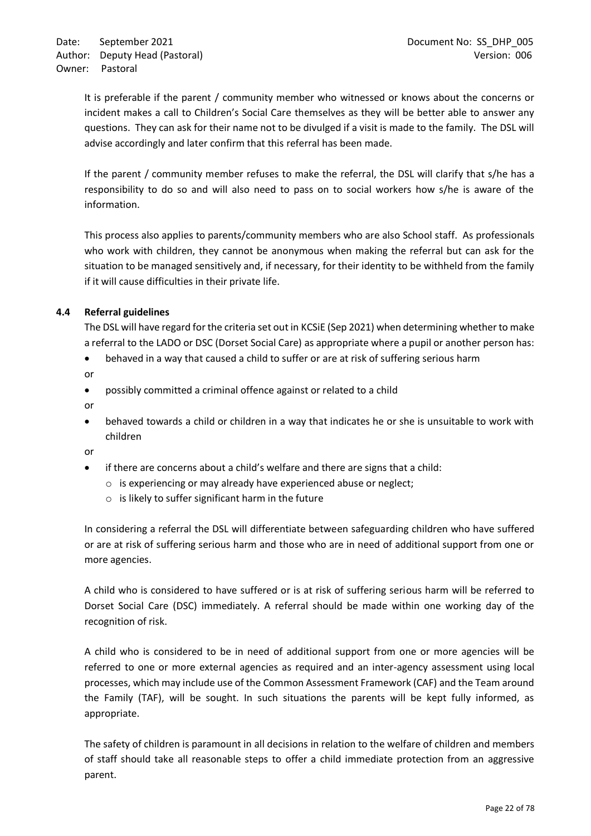It is preferable if the parent / community member who witnessed or knows about the concerns or incident makes a call to Children's Social Care themselves as they will be better able to answer any questions. They can ask for their name not to be divulged if a visit is made to the family. The DSL will advise accordingly and later confirm that this referral has been made.

If the parent / community member refuses to make the referral, the DSL will clarify that s/he has a responsibility to do so and will also need to pass on to social workers how s/he is aware of the information.

This process also applies to parents/community members who are also School staff. As professionals who work with children, they cannot be anonymous when making the referral but can ask for the situation to be managed sensitively and, if necessary, for their identity to be withheld from the family if it will cause difficulties in their private life.

## <span id="page-21-0"></span>**4.4 Referral guidelines**

The DSL will have regard for the criteria set out in KCSiE (Sep 2021) when determining whether to make a referral to the LADO or DSC (Dorset Social Care) as appropriate where a pupil or another person has:

- behaved in a way that caused a child to suffer or are at risk of suffering serious harm
- or
- possibly committed a criminal offence against or related to a child
- or
- behaved towards a child or children in a way that indicates he or she is unsuitable to work with children

or

- if there are concerns about a child's welfare and there are signs that a child:
	- o is experiencing or may already have experienced abuse or neglect;
	- $\circ$  is likely to suffer significant harm in the future

In considering a referral the DSL will differentiate between safeguarding children who have suffered or are at risk of suffering serious harm and those who are in need of additional support from one or more agencies.

A child who is considered to have suffered or is at risk of suffering serious harm will be referred to Dorset Social Care (DSC) immediately. A referral should be made within one working day of the recognition of risk.

A child who is considered to be in need of additional support from one or more agencies will be referred to one or more external agencies as required and an inter-agency assessment using local processes, which may include use of the Common Assessment Framework (CAF) and the Team around the Family (TAF), will be sought. In such situations the parents will be kept fully informed, as appropriate.

The safety of children is paramount in all decisions in relation to the welfare of children and members of staff should take all reasonable steps to offer a child immediate protection from an aggressive parent.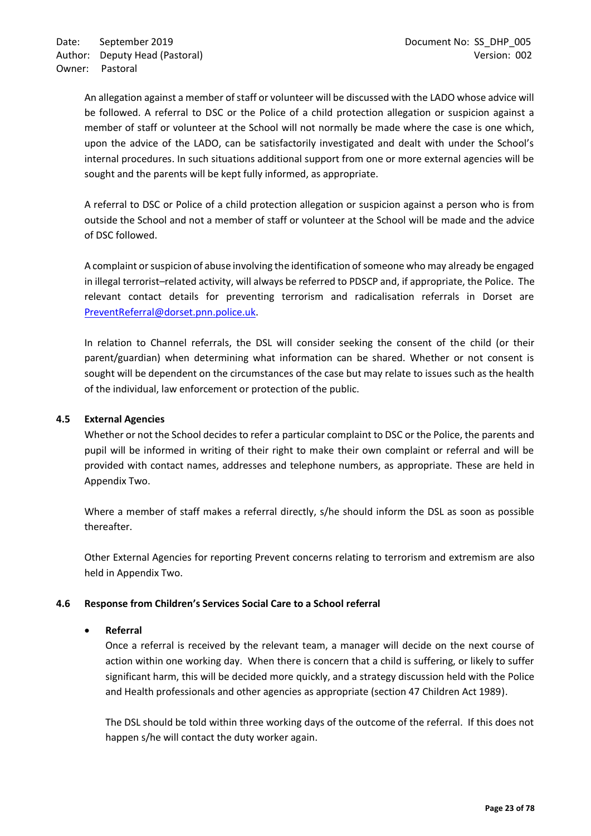An allegation against a member of staff or volunteer will be discussed with the LADO whose advice will be followed. A referral to DSC or the Police of a child protection allegation or suspicion against a member of staff or volunteer at the School will not normally be made where the case is one which, upon the advice of the LADO, can be satisfactorily investigated and dealt with under the School's internal procedures. In such situations additional support from one or more external agencies will be sought and the parents will be kept fully informed, as appropriate.

A referral to DSC or Police of a child protection allegation or suspicion against a person who is from outside the School and not a member of staff or volunteer at the School will be made and the advice of DSC followed.

A complaint or suspicion of abuse involving the identification of someone who may already be engaged in illegal terrorist–related activity, will always be referred to PDSCP and, if appropriate, the Police. The relevant contact details for preventing terrorism and radicalisation referrals in Dorset are [PreventReferral@dorset.pnn.police.uk.](mailto:MASH@dorset.pnn.police.uk)

In relation to Channel referrals, the DSL will consider seeking the consent of the child (or their parent/guardian) when determining what information can be shared. Whether or not consent is sought will be dependent on the circumstances of the case but may relate to issues such as the health of the individual, law enforcement or protection of the public.

## <span id="page-22-0"></span>**4.5 External Agencies**

Whether or not the School decides to refer a particular complaint to DSC or the Police, the parents and pupil will be informed in writing of their right to make their own complaint or referral and will be provided with contact names, addresses and telephone numbers, as appropriate. These are held in Appendix Two.

Where a member of staff makes a referral directly, s/he should inform the DSL as soon as possible thereafter.

Other External Agencies for reporting Prevent concerns relating to terrorism and extremism are also held in Appendix Two.

## <span id="page-22-1"></span>**4.6 Response from Children's Services Social Care to a School referral**

## • **Referral**

Once a referral is received by the relevant team, a manager will decide on the next course of action within one working day. When there is concern that a child is suffering, or likely to suffer significant harm, this will be decided more quickly, and a strategy discussion held with the Police and Health professionals and other agencies as appropriate (section 47 Children Act 1989).

The DSL should be told within three working days of the outcome of the referral. If this does not happen s/he will contact the duty worker again.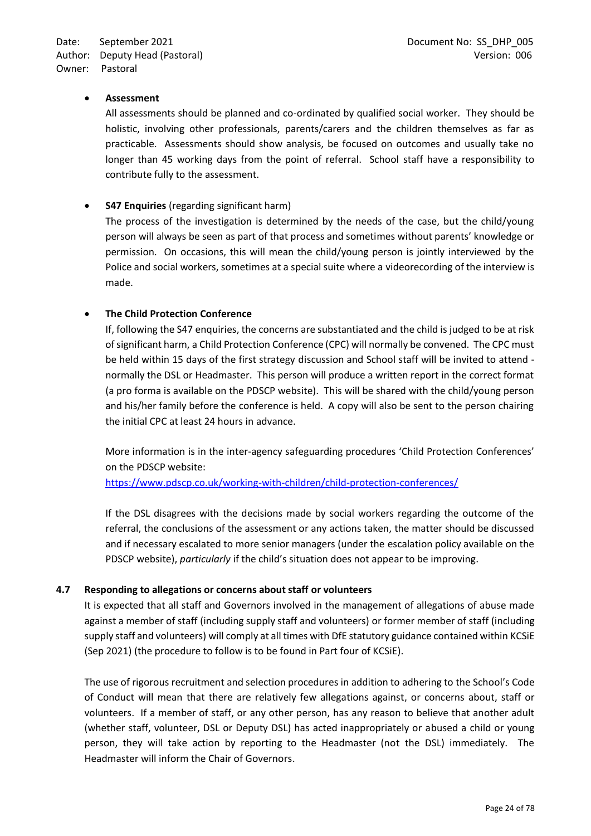## • **Assessment**

All assessments should be planned and co-ordinated by qualified social worker. They should be holistic, involving other professionals, parents/carers and the children themselves as far as practicable. Assessments should show analysis, be focused on outcomes and usually take no longer than 45 working days from the point of referral. School staff have a responsibility to contribute fully to the assessment.

## • **S47 Enquiries** (regarding significant harm)

The process of the investigation is determined by the needs of the case, but the child/young person will always be seen as part of that process and sometimes without parents' knowledge or permission. On occasions, this will mean the child/young person is jointly interviewed by the Police and social workers, sometimes at a special suite where a videorecording of the interview is made.

## • **The Child Protection Conference**

If, following the S47 enquiries, the concerns are substantiated and the child is judged to be at risk of significant harm, a Child Protection Conference (CPC) will normally be convened. The CPC must be held within 15 days of the first strategy discussion and School staff will be invited to attend normally the DSL or Headmaster. This person will produce a written report in the correct format (a pro forma is available on the PDSCP website). This will be shared with the child/young person and his/her family before the conference is held. A copy will also be sent to the person chairing the initial CPC at least 24 hours in advance.

More information is in the inter-agency safeguarding procedures 'Child Protection Conferences' on the PDSCP website:

<https://www.pdscp.co.uk/working-with-children/child-protection-conferences/>

If the DSL disagrees with the decisions made by social workers regarding the outcome of the referral, the conclusions of the assessment or any actions taken, the matter should be discussed and if necessary escalated to more senior managers (under the escalation policy available on the PDSCP website), *particularly* if the child's situation does not appear to be improving.

## <span id="page-23-0"></span>**4.7 Responding to allegations or concerns about staff or volunteers**

It is expected that all staff and Governors involved in the management of allegations of abuse made against a member of staff (including supply staff and volunteers) or former member of staff (including supply staff and volunteers) will comply at all times with DfE statutory guidance contained within KCSiE (Sep 2021) (the procedure to follow is to be found in Part four of KCSiE).

The use of rigorous recruitment and selection procedures in addition to adhering to the School's Code of Conduct will mean that there are relatively few allegations against, or concerns about, staff or volunteers. If a member of staff, or any other person, has any reason to believe that another adult (whether staff, volunteer, DSL or Deputy DSL) has acted inappropriately or abused a child or young person, they will take action by reporting to the Headmaster (not the DSL) immediately. The Headmaster will inform the Chair of Governors.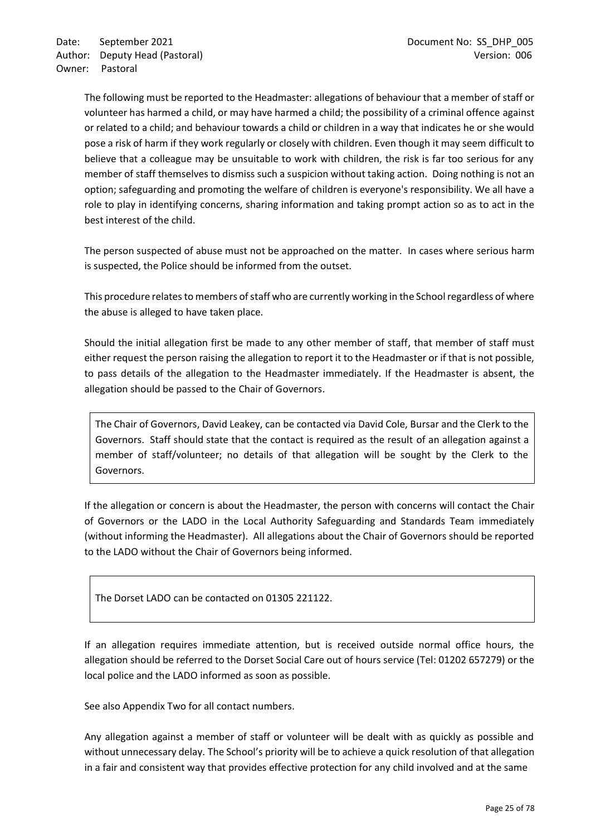The following must be reported to the Headmaster: allegations of behaviour that a member of staff or volunteer has harmed a child, or may have harmed a child; the possibility of a criminal offence against or related to a child; and behaviour towards a child or children in a way that indicates he or she would pose a risk of harm if they work regularly or closely with children. Even though it may seem difficult to believe that a colleague may be unsuitable to work with children, the risk is far too serious for any member of staff themselves to dismiss such a suspicion without taking action. Doing nothing is not an option; safeguarding and promoting the welfare of children is everyone's responsibility. We all have a role to play in identifying concerns, sharing information and taking prompt action so as to act in the best interest of the child.

The person suspected of abuse must not be approached on the matter. In cases where serious harm is suspected, the Police should be informed from the outset.

This procedure relates to members of staff who are currently working in the School regardless of where the abuse is alleged to have taken place.

Should the initial allegation first be made to any other member of staff, that member of staff must either request the person raising the allegation to report it to the Headmaster or if that is not possible, to pass details of the allegation to the Headmaster immediately. If the Headmaster is absent, the allegation should be passed to the Chair of Governors.

The Chair of Governors, David Leakey, can be contacted via David Cole, Bursar and the Clerk to the Governors. Staff should state that the contact is required as the result of an allegation against a member of staff/volunteer; no details of that allegation will be sought by the Clerk to the Governors.

If the allegation or concern is about the Headmaster, the person with concerns will contact the Chair of Governors or the LADO in the Local Authority Safeguarding and Standards Team immediately (without informing the Headmaster). All allegations about the Chair of Governors should be reported to the LADO without the Chair of Governors being informed.

The Dorset LADO can be contacted on 01305 221122.

If an allegation requires immediate attention, but is received outside normal office hours, the allegation should be referred to the Dorset Social Care out of hours service (Tel: 01202 657279) or the local police and the LADO informed as soon as possible.

See also Appendix Two for all contact numbers.

Any allegation against a member of staff or volunteer will be dealt with as quickly as possible and without unnecessary delay. The School's priority will be to achieve a quick resolution of that allegation in a fair and consistent way that provides effective protection for any child involved and at the same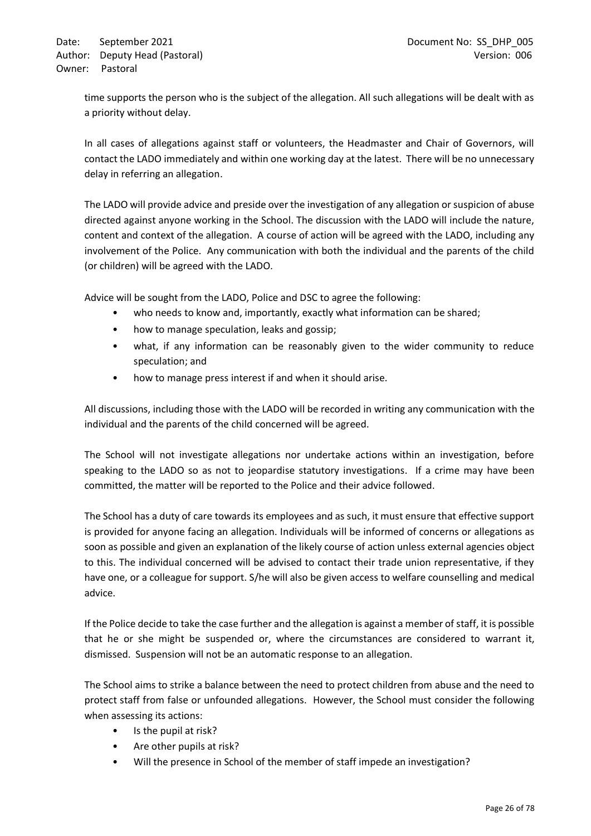time supports the person who is the subject of the allegation. All such allegations will be dealt with as a priority without delay.

In all cases of allegations against staff or volunteers, the Headmaster and Chair of Governors, will contact the LADO immediately and within one working day at the latest. There will be no unnecessary delay in referring an allegation.

The LADO will provide advice and preside over the investigation of any allegation or suspicion of abuse directed against anyone working in the School. The discussion with the LADO will include the nature, content and context of the allegation. A course of action will be agreed with the LADO, including any involvement of the Police. Any communication with both the individual and the parents of the child (or children) will be agreed with the LADO.

Advice will be sought from the LADO, Police and DSC to agree the following:

- who needs to know and, importantly, exactly what information can be shared;
- how to manage speculation, leaks and gossip;
- what, if any information can be reasonably given to the wider community to reduce speculation; and
- how to manage press interest if and when it should arise.

All discussions, including those with the LADO will be recorded in writing any communication with the individual and the parents of the child concerned will be agreed.

The School will not investigate allegations nor undertake actions within an investigation, before speaking to the LADO so as not to jeopardise statutory investigations. If a crime may have been committed, the matter will be reported to the Police and their advice followed.

The School has a duty of care towards its employees and as such, it must ensure that effective support is provided for anyone facing an allegation. Individuals will be informed of concerns or allegations as soon as possible and given an explanation of the likely course of action unless external agencies object to this. The individual concerned will be advised to contact their trade union representative, if they have one, or a colleague for support. S/he will also be given access to welfare counselling and medical advice.

If the Police decide to take the case further and the allegation is against a member of staff, it is possible that he or she might be suspended or, where the circumstances are considered to warrant it, dismissed. Suspension will not be an automatic response to an allegation.

The School aims to strike a balance between the need to protect children from abuse and the need to protect staff from false or unfounded allegations. However, the School must consider the following when assessing its actions:

- Is the pupil at risk?
- Are other pupils at risk?
- Will the presence in School of the member of staff impede an investigation?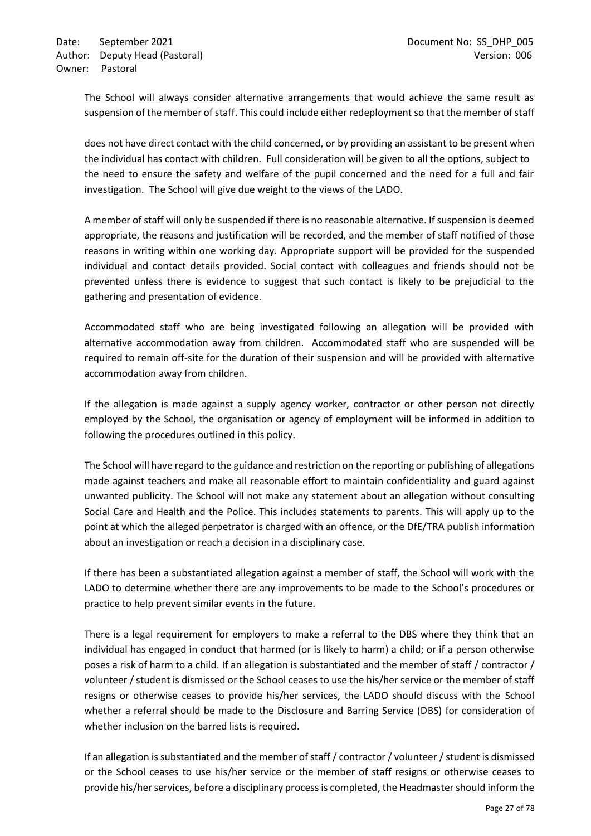The School will always consider alternative arrangements that would achieve the same result as suspension of the member of staff. This could include either redeployment so that the member of staff

does not have direct contact with the child concerned, or by providing an assistant to be present when the individual has contact with children. Full consideration will be given to all the options, subject to the need to ensure the safety and welfare of the pupil concerned and the need for a full and fair investigation. The School will give due weight to the views of the LADO.

A member of staff will only be suspended if there is no reasonable alternative. If suspension is deemed appropriate, the reasons and justification will be recorded, and the member of staff notified of those reasons in writing within one working day. Appropriate support will be provided for the suspended individual and contact details provided. Social contact with colleagues and friends should not be prevented unless there is evidence to suggest that such contact is likely to be prejudicial to the gathering and presentation of evidence.

Accommodated staff who are being investigated following an allegation will be provided with alternative accommodation away from children. Accommodated staff who are suspended will be required to remain off-site for the duration of their suspension and will be provided with alternative accommodation away from children.

If the allegation is made against a supply agency worker, contractor or other person not directly employed by the School, the organisation or agency of employment will be informed in addition to following the procedures outlined in this policy.

The School will have regard to the guidance and restriction on the reporting or publishing of allegations made against teachers and make all reasonable effort to maintain confidentiality and guard against unwanted publicity. The School will not make any statement about an allegation without consulting Social Care and Health and the Police. This includes statements to parents. This will apply up to the point at which the alleged perpetrator is charged with an offence, or the DfE/TRA publish information about an investigation or reach a decision in a disciplinary case.

If there has been a substantiated allegation against a member of staff, the School will work with the LADO to determine whether there are any improvements to be made to the School's procedures or practice to help prevent similar events in the future.

There is a legal requirement for employers to make a referral to the DBS where they think that an individual has engaged in conduct that harmed (or is likely to harm) a child; or if a person otherwise poses a risk of harm to a child. If an allegation is substantiated and the member of staff / contractor / volunteer / student is dismissed or the School ceases to use the his/her service or the member of staff resigns or otherwise ceases to provide his/her services, the LADO should discuss with the School whether a referral should be made to the Disclosure and Barring Service (DBS) for consideration of whether inclusion on the barred lists is required.

If an allegation is substantiated and the member of staff / contractor / volunteer / student is dismissed or the School ceases to use his/her service or the member of staff resigns or otherwise ceases to provide his/her services, before a disciplinary process is completed, the Headmaster should inform the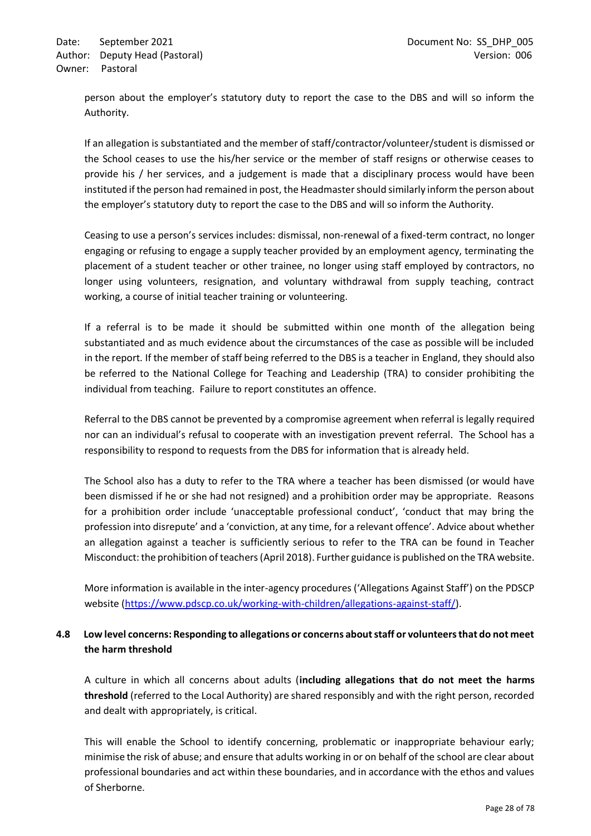person about the employer's statutory duty to report the case to the DBS and will so inform the Authority.

If an allegation is substantiated and the member of staff/contractor/volunteer/student is dismissed or the School ceases to use the his/her service or the member of staff resigns or otherwise ceases to provide his / her services, and a judgement is made that a disciplinary process would have been instituted if the person had remained in post, the Headmaster should similarly inform the person about the employer's statutory duty to report the case to the DBS and will so inform the Authority.

Ceasing to use a person's services includes: dismissal, non-renewal of a fixed-term contract, no longer engaging or refusing to engage a supply teacher provided by an employment agency, terminating the placement of a student teacher or other trainee, no longer using staff employed by contractors, no longer using volunteers, resignation, and voluntary withdrawal from supply teaching, contract working, a course of initial teacher training or volunteering.

If a referral is to be made it should be submitted within one month of the allegation being substantiated and as much evidence about the circumstances of the case as possible will be included in the report. If the member of staff being referred to the DBS is a teacher in England, they should also be referred to the National College for Teaching and Leadership (TRA) to consider prohibiting the individual from teaching. Failure to report constitutes an offence.

Referral to the DBS cannot be prevented by a compromise agreement when referral is legally required nor can an individual's refusal to cooperate with an investigation prevent referral. The School has a responsibility to respond to requests from the DBS for information that is already held.

The School also has a duty to refer to the TRA where a teacher has been dismissed (or would have been dismissed if he or she had not resigned) and a prohibition order may be appropriate. Reasons for a prohibition order include 'unacceptable professional conduct', 'conduct that may bring the profession into disrepute' and a 'conviction, at any time, for a relevant offence'. Advice about whether an allegation against a teacher is sufficiently serious to refer to the TRA can be found in Teacher Misconduct: the prohibition of teachers (April 2018). Further guidance is published on the TRA website.

More information is available in the inter-agency procedures ('Allegations Against Staff') on the PDSCP website [\(https://www.pdscp.co.uk/working-with-children/allegations-against-staff/\)](https://www.pdscp.co.uk/working-with-children/allegations-against-staff/).

## <span id="page-27-0"></span>**4.8 Low level concerns: Responding to allegations or concerns about staff or volunteers that do not meet the harm threshold**

A culture in which all concerns about adults (**including allegations that do not meet the harms threshold** (referred to the Local Authority) are shared responsibly and with the right person, recorded and dealt with appropriately, is critical.

This will enable the School to identify concerning, problematic or inappropriate behaviour early; minimise the risk of abuse; and ensure that adults working in or on behalf of the school are clear about professional boundaries and act within these boundaries, and in accordance with the ethos and values of Sherborne.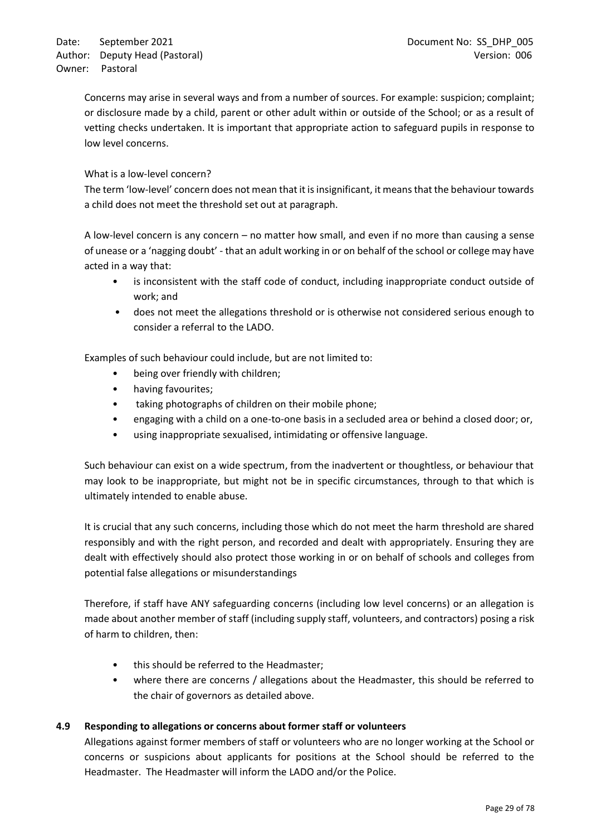Concerns may arise in several ways and from a number of sources. For example: suspicion; complaint; or disclosure made by a child, parent or other adult within or outside of the School; or as a result of vetting checks undertaken. It is important that appropriate action to safeguard pupils in response to low level concerns.

## What is a low-level concern?

The term 'low-level' concern does not mean that it is insignificant, it means that the behaviour towards a child does not meet the threshold set out at paragraph.

A low-level concern is any concern – no matter how small, and even if no more than causing a sense of unease or a 'nagging doubt' - that an adult working in or on behalf of the school or college may have acted in a way that:

- is inconsistent with the staff code of conduct, including inappropriate conduct outside of work; and
- does not meet the allegations threshold or is otherwise not considered serious enough to consider a referral to the LADO.

Examples of such behaviour could include, but are not limited to:

- being over friendly with children;
- having favourites;
- taking photographs of children on their mobile phone;
- engaging with a child on a one-to-one basis in a secluded area or behind a closed door; or,
- using inappropriate sexualised, intimidating or offensive language.

Such behaviour can exist on a wide spectrum, from the inadvertent or thoughtless, or behaviour that may look to be inappropriate, but might not be in specific circumstances, through to that which is ultimately intended to enable abuse.

It is crucial that any such concerns, including those which do not meet the harm threshold are shared responsibly and with the right person, and recorded and dealt with appropriately. Ensuring they are dealt with effectively should also protect those working in or on behalf of schools and colleges from potential false allegations or misunderstandings

Therefore, if staff have ANY safeguarding concerns (including low level concerns) or an allegation is made about another member of staff (including supply staff, volunteers, and contractors) posing a risk of harm to children, then:

- this should be referred to the Headmaster;
- where there are concerns / allegations about the Headmaster, this should be referred to the chair of governors as detailed above.

## <span id="page-28-0"></span>**4.9 Responding to allegations or concerns about former staff or volunteers**

Allegations against former members of staff or volunteers who are no longer working at the School or concerns or suspicions about applicants for positions at the School should be referred to the Headmaster. The Headmaster will inform the LADO and/or the Police.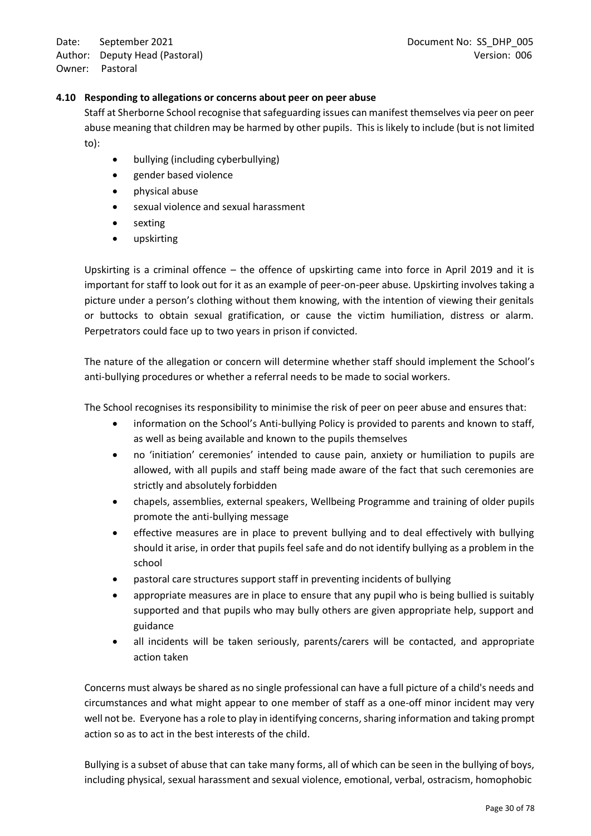Date: September 2021 **Date:** September 2021 Author: Deputy Head (Pastoral) **Version: 006** Version: 006 Owner: Pastoral

## <span id="page-29-0"></span>**4.10 Responding to allegations or concerns about peer on peer abuse**

Staff at Sherborne School recognise that safeguarding issues can manifest themselves via peer on peer abuse meaning that children may be harmed by other pupils. This is likely to include (but is not limited to):

- bullying (including cyberbullying)
- gender based violence
- physical abuse
- sexual violence and sexual harassment
- sexting
- upskirting

Upskirting is a criminal offence – the offence of upskirting came into force in April 2019 and it is important for staff to look out for it as an example of peer-on-peer abuse. Upskirting involves taking a picture under a person's clothing without them knowing, with the intention of viewing their genitals or buttocks to obtain sexual gratification, or cause the victim humiliation, distress or alarm. Perpetrators could face up to two years in prison if convicted.

The nature of the allegation or concern will determine whether staff should implement the School's anti-bullying procedures or whether a referral needs to be made to social workers.

The School recognises its responsibility to minimise the risk of peer on peer abuse and ensures that:

- information on the School's Anti-bullying Policy is provided to parents and known to staff, as well as being available and known to the pupils themselves
- no 'initiation' ceremonies' intended to cause pain, anxiety or humiliation to pupils are allowed, with all pupils and staff being made aware of the fact that such ceremonies are strictly and absolutely forbidden
- chapels, assemblies, external speakers, Wellbeing Programme and training of older pupils promote the anti-bullying message
- effective measures are in place to prevent bullying and to deal effectively with bullying should it arise, in order that pupils feel safe and do not identify bullying as a problem in the school
- pastoral care structures support staff in preventing incidents of bullying
- appropriate measures are in place to ensure that any pupil who is being bullied is suitably supported and that pupils who may bully others are given appropriate help, support and guidance
- all incidents will be taken seriously, parents/carers will be contacted, and appropriate action taken

Concerns must always be shared as no single professional can have a full picture of a child's needs and circumstances and what might appear to one member of staff as a one-off minor incident may very well not be. Everyone has a role to play in identifying concerns, sharing information and taking prompt action so as to act in the best interests of the child.

Bullying is a subset of abuse that can take many forms, all of which can be seen in the bullying of boys, including physical, sexual harassment and sexual violence, emotional, verbal, ostracism, homophobic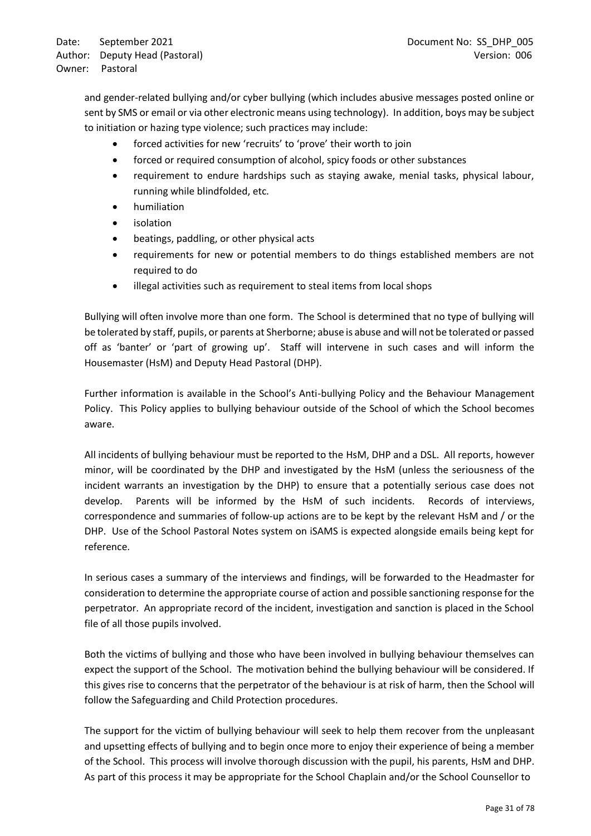and gender-related bullying and/or cyber bullying (which includes abusive messages posted online or sent by SMS or email or via other electronic means using technology). In addition, boys may be subject to initiation or hazing type violence; such practices may include:

- forced activities for new 'recruits' to 'prove' their worth to join
- forced or required consumption of alcohol, spicy foods or other substances
- requirement to endure hardships such as staying awake, menial tasks, physical labour, running while blindfolded, etc.
- humiliation
- **isolation**
- beatings, paddling, or other physical acts
- requirements for new or potential members to do things established members are not required to do
- illegal activities such as requirement to steal items from local shops

Bullying will often involve more than one form. The School is determined that no type of bullying will be tolerated by staff, pupils, or parents at Sherborne; abuse is abuse and will not be tolerated or passed off as 'banter' or 'part of growing up'. Staff will intervene in such cases and will inform the Housemaster (HsM) and Deputy Head Pastoral (DHP).

Further information is available in the School's Anti-bullying Policy and the Behaviour Management Policy. This Policy applies to bullying behaviour outside of the School of which the School becomes aware.

All incidents of bullying behaviour must be reported to the HsM, DHP and a DSL. All reports, however minor, will be coordinated by the DHP and investigated by the HsM (unless the seriousness of the incident warrants an investigation by the DHP) to ensure that a potentially serious case does not develop. Parents will be informed by the HsM of such incidents. Records of interviews, correspondence and summaries of follow-up actions are to be kept by the relevant HsM and / or the DHP. Use of the School Pastoral Notes system on iSAMS is expected alongside emails being kept for reference.

In serious cases a summary of the interviews and findings, will be forwarded to the Headmaster for consideration to determine the appropriate course of action and possible sanctioning response for the perpetrator. An appropriate record of the incident, investigation and sanction is placed in the School file of all those pupils involved.

Both the victims of bullying and those who have been involved in bullying behaviour themselves can expect the support of the School. The motivation behind the bullying behaviour will be considered. If this gives rise to concerns that the perpetrator of the behaviour is at risk of harm, then the School will follow the Safeguarding and Child Protection procedures.

The support for the victim of bullying behaviour will seek to help them recover from the unpleasant and upsetting effects of bullying and to begin once more to enjoy their experience of being a member of the School. This process will involve thorough discussion with the pupil, his parents, HsM and DHP. As part of this process it may be appropriate for the School Chaplain and/or the School Counsellor to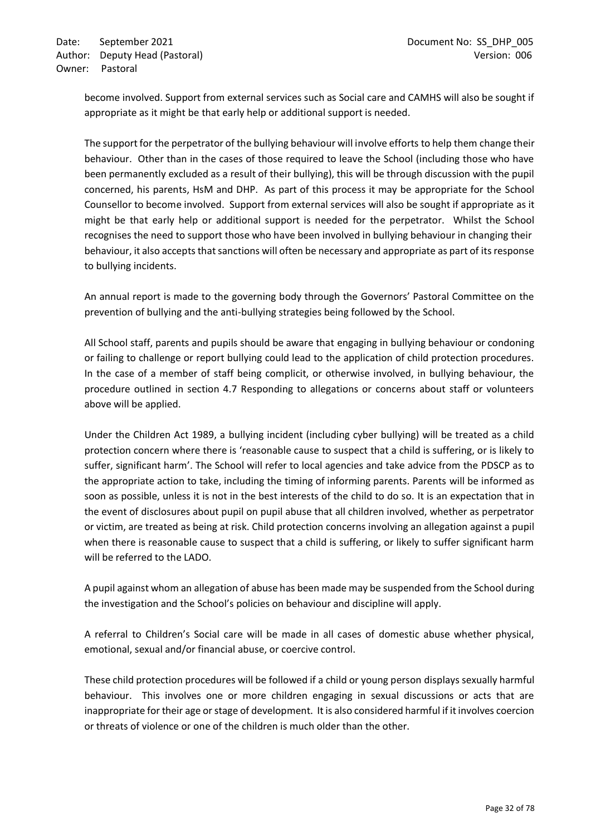become involved. Support from external services such as Social care and CAMHS will also be sought if appropriate as it might be that early help or additional support is needed.

The support for the perpetrator of the bullying behaviour will involve efforts to help them change their behaviour. Other than in the cases of those required to leave the School (including those who have been permanently excluded as a result of their bullying), this will be through discussion with the pupil concerned, his parents, HsM and DHP. As part of this process it may be appropriate for the School Counsellor to become involved. Support from external services will also be sought if appropriate as it might be that early help or additional support is needed for the perpetrator. Whilst the School recognises the need to support those who have been involved in bullying behaviour in changing their behaviour, it also accepts that sanctions will often be necessary and appropriate as part of its response to bullying incidents.

An annual report is made to the governing body through the Governors' Pastoral Committee on the prevention of bullying and the anti-bullying strategies being followed by the School.

All School staff, parents and pupils should be aware that engaging in bullying behaviour or condoning or failing to challenge or report bullying could lead to the application of child protection procedures. In the case of a member of staff being complicit, or otherwise involved, in bullying behaviour, the procedure outlined in section 4.7 Responding to allegations or concerns about staff or volunteers above will be applied.

Under the Children Act 1989, a bullying incident (including cyber bullying) will be treated as a child protection concern where there is 'reasonable cause to suspect that a child is suffering, or is likely to suffer, significant harm'. The School will refer to local agencies and take advice from the PDSCP as to the appropriate action to take, including the timing of informing parents. Parents will be informed as soon as possible, unless it is not in the best interests of the child to do so. It is an expectation that in the event of disclosures about pupil on pupil abuse that all children involved, whether as perpetrator or victim, are treated as being at risk. Child protection concerns involving an allegation against a pupil when there is reasonable cause to suspect that a child is suffering, or likely to suffer significant harm will be referred to the LADO.

A pupil against whom an allegation of abuse has been made may be suspended from the School during the investigation and the School's policies on behaviour and discipline will apply.

A referral to Children's Social care will be made in all cases of domestic abuse whether physical, emotional, sexual and/or financial abuse, or coercive control.

These child protection procedures will be followed if a child or young person displays sexually harmful behaviour. This involves one or more children engaging in sexual discussions or acts that are inappropriate for their age or stage of development. It is also considered harmful if it involves coercion or threats of violence or one of the children is much older than the other.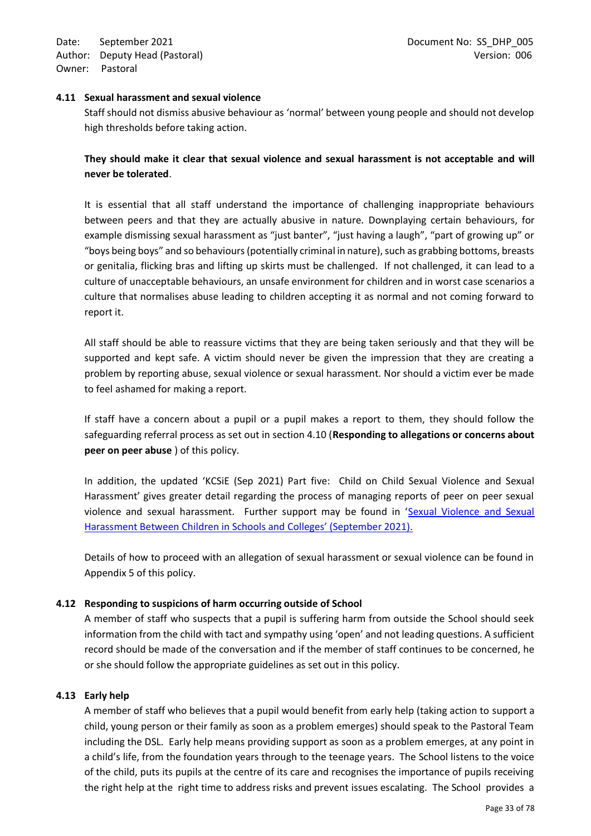## <span id="page-32-0"></span>**4.11 Sexual harassment and sexual violence**

Staff should not dismiss abusive behaviour as 'normal' between young people and should not develop high thresholds before taking action.

# **They should make it clear that sexual violence and sexual harassment is not acceptable and will never be tolerated**.

It is essential that all staff understand the importance of challenging inappropriate behaviours between peers and that they are actually abusive in nature. Downplaying certain behaviours, for example dismissing sexual harassment as "just banter", "just having a laugh", "part of growing up" or "boys being boys" and so behaviours (potentially criminal in nature), such as grabbing bottoms, breasts or genitalia, flicking bras and lifting up skirts must be challenged. If not challenged, it can lead to a culture of unacceptable behaviours, an unsafe environment for children and in worst case scenarios a culture that normalises abuse leading to children accepting it as normal and not coming forward to report it.

All staff should be able to reassure victims that they are being taken seriously and that they will be supported and kept safe. A victim should never be given the impression that they are creating a problem by reporting abuse, sexual violence or sexual harassment. Nor should a victim ever be made to feel ashamed for making a report.

If staff have a concern about a pupil or a pupil makes a report to them, they should follow the safeguarding referral process as set out in section 4.10 (**Responding to allegations or concerns about peer on peer abuse** ) of this policy.

In addition, the updated 'KCSiE (Sep 2021) Part five: Child on Child Sexual Violence and Sexual Harassment' gives greater detail regarding the process of managing reports of peer on peer sexual violence and sexual harassment. Further support may be found in 'Sexual Violence and Sexual [Harassment Between Children in Schools and Colleges' \(September 20](https://assets.publishing.service.gov.uk/government/uploads/system/uploads/attachment_data/file/1014224/Sexual_violence_and_sexual_harassment_between_children_in_schools_and_colleges.pdf)21).

Details of how to proceed with an allegation of sexual harassment or sexual violence can be found in Appendix 5 of this policy.

## <span id="page-32-1"></span>**4.12 Responding to suspicions of harm occurring outside of School**

A member of staff who suspects that a pupil is suffering harm from outside the School should seek information from the child with tact and sympathy using 'open' and not leading questions. A sufficient record should be made of the conversation and if the member of staff continues to be concerned, he or she should follow the appropriate guidelines as set out in this policy.

## <span id="page-32-2"></span>**4.13 Early help**

A member of staff who believes that a pupil would benefit from early help (taking action to support a child, young person or their family as soon as a problem emerges) should speak to the Pastoral Team including the DSL. Early help means providing support as soon as a problem emerges, at any point in a child's life, from the foundation years through to the teenage years. The School listens to the voice of the child, puts its pupils at the centre of its care and recognises the importance of pupils receiving the right help at the right time to address risks and prevent issues escalating. The School provides a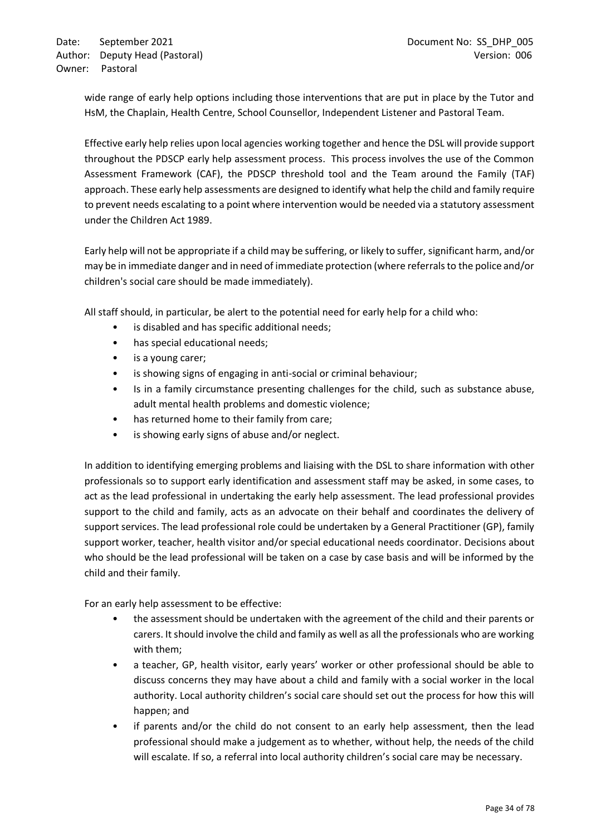wide range of early help options including those interventions that are put in place by the Tutor and HsM, the Chaplain, Health Centre, School Counsellor, Independent Listener and Pastoral Team.

Effective early help relies upon local agencies working together and hence the DSL will provide support throughout the PDSCP early help assessment process. This process involves the use of the Common Assessment Framework (CAF), the PDSCP threshold tool and the Team around the Family (TAF) approach. These early help assessments are designed to identify what help the child and family require to prevent needs escalating to a point where intervention would be needed via a statutory assessment under the Children Act 1989.

Early help will not be appropriate if a child may be suffering, or likely to suffer, significant harm, and/or may be in immediate danger and in need of immediate protection (where referrals to the police and/or children's social care should be made immediately).

All staff should, in particular, be alert to the potential need for early help for a child who:

- is disabled and has specific additional needs;
- has special educational needs;
- is a young carer;
- is showing signs of engaging in anti-social or criminal behaviour;
- Is in a family circumstance presenting challenges for the child, such as substance abuse, adult mental health problems and domestic violence;
- has returned home to their family from care;
- is showing early signs of abuse and/or neglect.

In addition to identifying emerging problems and liaising with the DSL to share information with other professionals so to support early identification and assessment staff may be asked, in some cases, to act as the lead professional in undertaking the early help assessment. The lead professional provides support to the child and family, acts as an advocate on their behalf and coordinates the delivery of support services. The lead professional role could be undertaken by a General Practitioner (GP), family support worker, teacher, health visitor and/or special educational needs coordinator. Decisions about who should be the lead professional will be taken on a case by case basis and will be informed by the child and their family.

For an early help assessment to be effective:

- the assessment should be undertaken with the agreement of the child and their parents or carers. It should involve the child and family as well as all the professionals who are working with them;
- a teacher, GP, health visitor, early years' worker or other professional should be able to discuss concerns they may have about a child and family with a social worker in the local authority. Local authority children's social care should set out the process for how this will happen; and
- if parents and/or the child do not consent to an early help assessment, then the lead professional should make a judgement as to whether, without help, the needs of the child will escalate. If so, a referral into local authority children's social care may be necessary.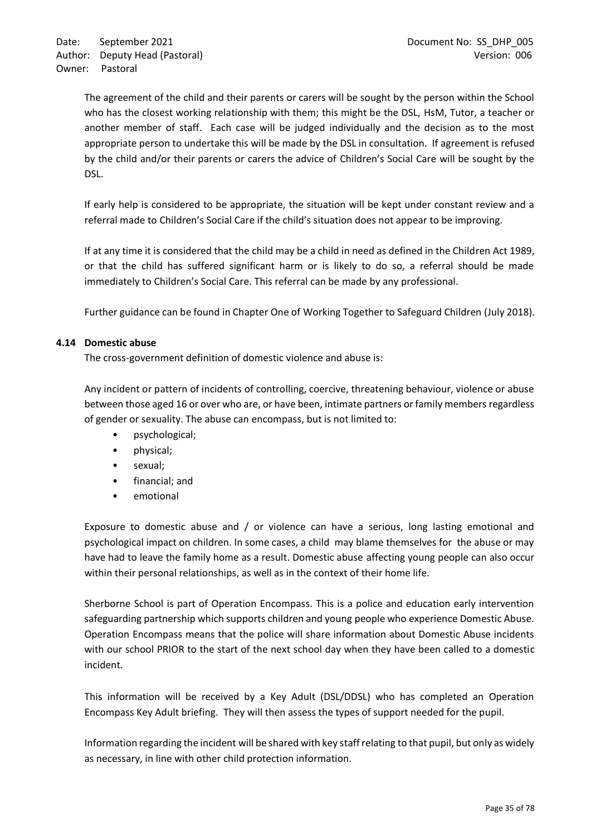The agreement of the child and their parents or carers will be sought by the person within the School who has the closest working relationship with them; this might be the DSL, HsM, Tutor, a teacher or another member of staff. Each case will be judged individually and the decision as to the most appropriate person to undertake this will be made by the DSL in consultation. If agreement is refused by the child and/or their parents or carers the advice of Children's Social Care will be sought by the DSL.

If early help is considered to be appropriate, the situation will be kept under constant review and a referral made to Children's Social Care if the child's situation does not appear to be improving.

If at any time it is considered that the child may be a child in need as defined in the Children Act 1989, or that the child has suffered significant harm or is likely to do so, a referral should be made immediately to Children's Social Care. This referral can be made by any professional.

Further guidance can be found in Chapter One of Working Together to Safeguard Children (July 2018).

## <span id="page-34-0"></span>**4.14 Domestic abuse**

The cross-government definition of domestic violence and abuse is:

Any incident or pattern of incidents of controlling, coercive, threatening behaviour, violence or abuse between those aged 16 or over who are, or have been, intimate partners or family members regardless of gender or sexuality. The abuse can encompass, but is not limited to:

- psychological;
- physical;
- sexual;
- financial; and
- emotional

Exposure to domestic abuse and / or violence can have a serious, long lasting emotional and psychological impact on children. In some cases, a child may blame themselves for the abuse or may have had to leave the family home as a result. Domestic abuse affecting young people can also occur within their personal relationships, as well as in the context of their home life.

Sherborne School is part of Operation Encompass. This is a police and education early intervention safeguarding partnership which supports children and young people who experience Domestic Abuse. Operation Encompass means that the police will share information about Domestic Abuse incidents with our school PRIOR to the start of the next school day when they have been called to a domestic incident.

This information will be received by a Key Adult (DSL/DDSL) who has completed an Operation Encompass Key Adult briefing. They will then assess the types of support needed for the pupil.

Information regarding the incident will be shared with key staff relating to that pupil, but only as widely as necessary, in line with other child protection information.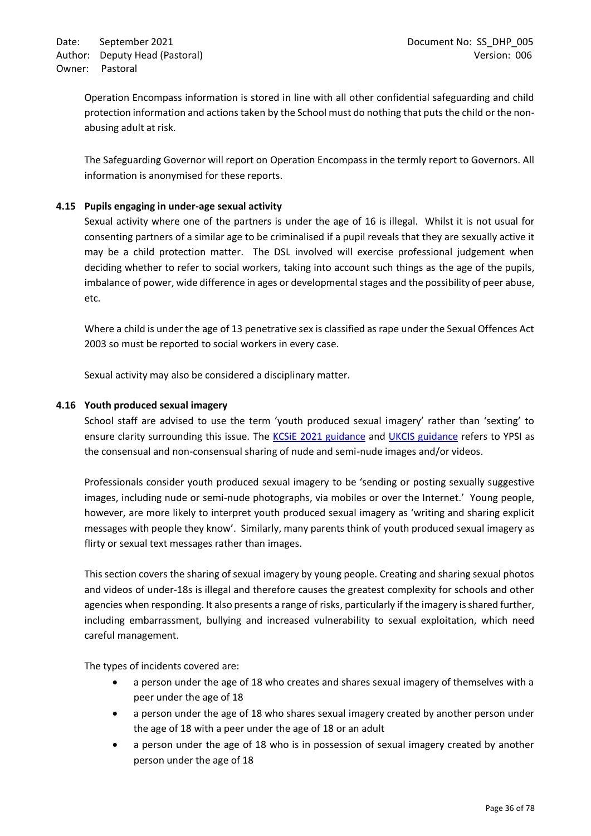Operation Encompass information is stored in line with all other confidential safeguarding and child protection information and actions taken by the School must do nothing that puts the child or the nonabusing adult at risk.

The Safeguarding Governor will report on Operation Encompass in the termly report to Governors. All information is anonymised for these reports.

## <span id="page-35-0"></span>**4.15 Pupils engaging in under-age sexual activity**

Sexual activity where one of the partners is under the age of 16 is illegal. Whilst it is not usual for consenting partners of a similar age to be criminalised if a pupil reveals that they are sexually active it may be a child protection matter. The DSL involved will exercise professional judgement when deciding whether to refer to social workers, taking into account such things as the age of the pupils, imbalance of power, wide difference in ages or developmental stages and the possibility of peer abuse, etc.

Where a child is under the age of 13 penetrative sex is classified as rape under the Sexual Offences Act 2003 so must be reported to social workers in every case.

Sexual activity may also be considered a disciplinary matter.

## <span id="page-35-1"></span>**4.16 Youth produced sexual imagery**

School staff are advised to use the term 'youth produced sexual imagery' rather than 'sexting' to ensure clarity surrounding this issue. The [KCSiE 2021 guidance](https://assets.publishing.service.gov.uk/government/uploads/system/uploads/attachment_data/file/1014057/KCSIE_2021_September.pdf) and [UKCIS guidance](https://www.gov.uk/government/publications/sharing-nudes-and-semi-nudes-advice-for-education-settings-working-with-children-and-young-people/sharing-nudes-and-semi-nudes-advice-for-education-settings-working-with-children-and-young-people) refers to YPSI as the consensual and non-consensual sharing of nude and semi-nude images and/or videos.

Professionals consider youth produced sexual imagery to be 'sending or posting sexually suggestive images, including nude or semi-nude photographs, via mobiles or over the Internet.' Young people, however, are more likely to interpret youth produced sexual imagery as 'writing and sharing explicit messages with people they know'. Similarly, many parents think of youth produced sexual imagery as flirty or sexual text messages rather than images.

This section covers the sharing of sexual imagery by young people. Creating and sharing sexual photos and videos of under-18s is illegal and therefore causes the greatest complexity for schools and other agencies when responding. It also presents a range of risks, particularly if the imagery is shared further, including embarrassment, bullying and increased vulnerability to sexual exploitation, which need careful management.

The types of incidents covered are:

- a person under the age of 18 who creates and shares sexual imagery of themselves with a peer under the age of 18
- a person under the age of 18 who shares sexual imagery created by another person under the age of 18 with a peer under the age of 18 or an adult
- a person under the age of 18 who is in possession of sexual imagery created by another person under the age of 18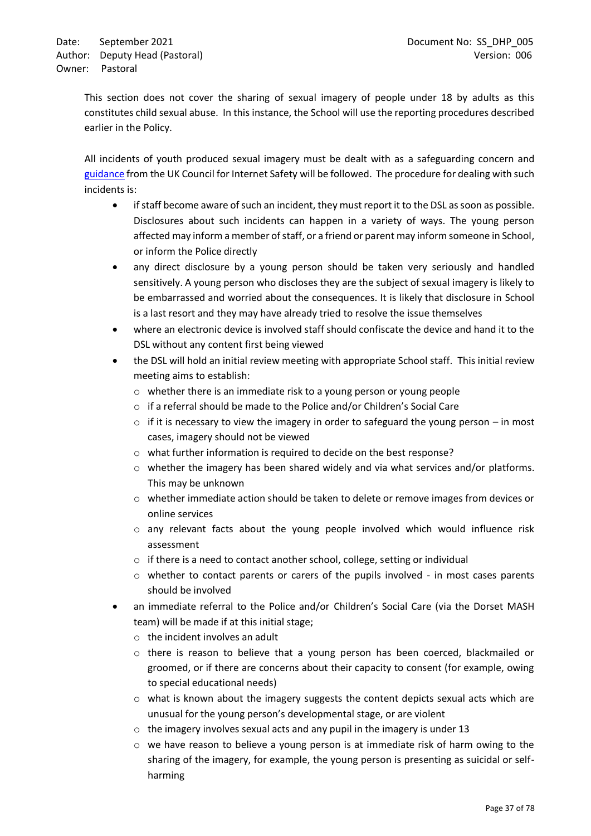This section does not cover the sharing of sexual imagery of people under 18 by adults as this constitutes child sexual abuse. In this instance, the School will use the reporting procedures described earlier in the Policy.

All incidents of youth produced sexual imagery must be dealt with as a safeguarding concern and [guidance](https://www.gov.uk/government/publications/sharing-nudes-and-semi-nudes-advice-for-education-settings-working-with-children-and-young-people) from the UK Council for Internet Safety will be followed. The procedure for dealing with such incidents is:

- if staff become aware of such an incident, they must report it to the DSL as soon as possible. Disclosures about such incidents can happen in a variety of ways. The young person affected may inform a member of staff, or a friend or parent may inform someone in School, or inform the Police directly
- any direct disclosure by a young person should be taken very seriously and handled sensitively. A young person who discloses they are the subject of sexual imagery is likely to be embarrassed and worried about the consequences. It is likely that disclosure in School is a last resort and they may have already tried to resolve the issue themselves
- where an electronic device is involved staff should confiscate the device and hand it to the DSL without any content first being viewed
- the DSL will hold an initial review meeting with appropriate School staff. This initial review meeting aims to establish:
	- o whether there is an immediate risk to a young person or young people
	- o if a referral should be made to the Police and/or Children's Social Care
	- $\circ$  if it is necessary to view the imagery in order to safeguard the young person in most cases, imagery should not be viewed
	- o what further information is required to decide on the best response?
	- $\circ$  whether the imagery has been shared widely and via what services and/or platforms. This may be unknown
	- o whether immediate action should be taken to delete or remove images from devices or online services
	- o any relevant facts about the young people involved which would influence risk assessment
	- o if there is a need to contact another school, college, setting or individual
	- $\circ$  whether to contact parents or carers of the pupils involved in most cases parents should be involved
- an immediate referral to the Police and/or Children's Social Care (via the Dorset MASH team) will be made if at this initial stage;
	- o the incident involves an adult
	- o there is reason to believe that a young person has been coerced, blackmailed or groomed, or if there are concerns about their capacity to consent (for example, owing to special educational needs)
	- $\circ$  what is known about the imagery suggests the content depicts sexual acts which are unusual for the young person's developmental stage, or are violent
	- o the imagery involves sexual acts and any pupil in the imagery is under 13
	- $\circ$  we have reason to believe a young person is at immediate risk of harm owing to the sharing of the imagery, for example, the young person is presenting as suicidal or selfharming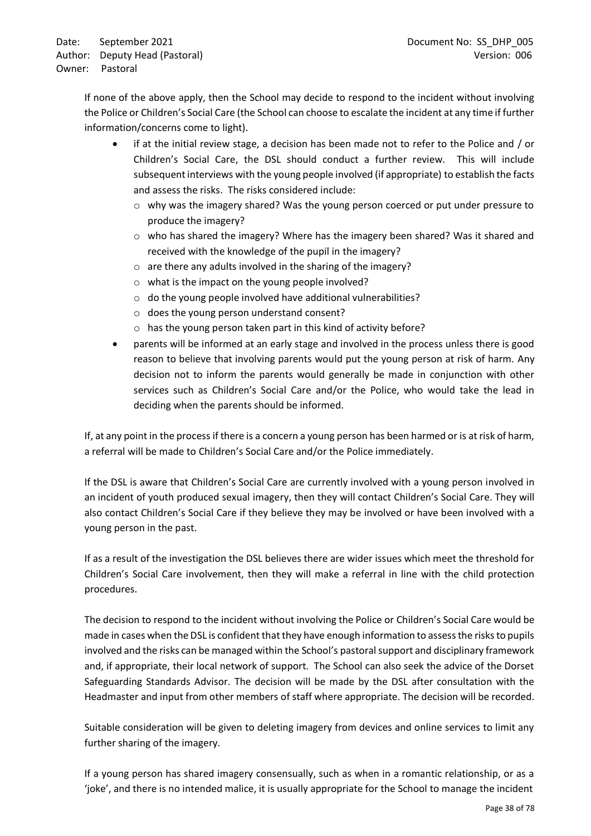If none of the above apply, then the School may decide to respond to the incident without involving the Police or Children's Social Care (the School can choose to escalate the incident at any time if further information/concerns come to light).

- if at the initial review stage, a decision has been made not to refer to the Police and / or Children's Social Care, the DSL should conduct a further review. This will include subsequentinterviews with the young people involved (if appropriate) to establish the facts and assess the risks. The risks considered include:
	- $\circ$  why was the imagery shared? Was the young person coerced or put under pressure to produce the imagery?
	- $\circ$  who has shared the imagery? Where has the imagery been shared? Was it shared and received with the knowledge of the pupil in the imagery?
	- o are there any adults involved in the sharing of the imagery?
	- o what is the impact on the young people involved?
	- o do the young people involved have additional vulnerabilities?
	- o does the young person understand consent?
	- o has the young person taken part in this kind of activity before?
- parents will be informed at an early stage and involved in the process unless there is good reason to believe that involving parents would put the young person at risk of harm. Any decision not to inform the parents would generally be made in conjunction with other services such as Children's Social Care and/or the Police, who would take the lead in deciding when the parents should be informed.

If, at any point in the process if there is a concern a young person has been harmed or is at risk of harm, a referral will be made to Children's Social Care and/or the Police immediately.

If the DSL is aware that Children's Social Care are currently involved with a young person involved in an incident of youth produced sexual imagery, then they will contact Children's Social Care. They will also contact Children's Social Care if they believe they may be involved or have been involved with a young person in the past.

If as a result of the investigation the DSL believes there are wider issues which meet the threshold for Children's Social Care involvement, then they will make a referral in line with the child protection procedures.

The decision to respond to the incident without involving the Police or Children's Social Care would be made in cases when the DSL is confident that they have enough information to assess the risks to pupils involved and the risks can be managed within the School's pastoral support and disciplinary framework and, if appropriate, their local network of support. The School can also seek the advice of the Dorset Safeguarding Standards Advisor. The decision will be made by the DSL after consultation with the Headmaster and input from other members of staff where appropriate. The decision will be recorded.

Suitable consideration will be given to deleting imagery from devices and online services to limit any further sharing of the imagery.

If a young person has shared imagery consensually, such as when in a romantic relationship, or as a 'joke', and there is no intended malice, it is usually appropriate for the School to manage the incident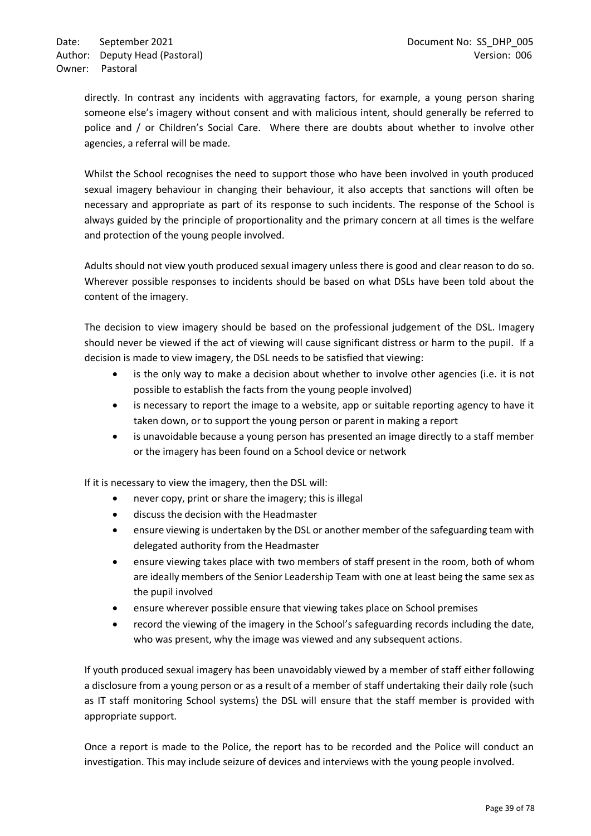directly. In contrast any incidents with aggravating factors, for example, a young person sharing someone else's imagery without consent and with malicious intent, should generally be referred to police and / or Children's Social Care. Where there are doubts about whether to involve other agencies, a referral will be made.

Whilst the School recognises the need to support those who have been involved in youth produced sexual imagery behaviour in changing their behaviour, it also accepts that sanctions will often be necessary and appropriate as part of its response to such incidents. The response of the School is always guided by the principle of proportionality and the primary concern at all times is the welfare and protection of the young people involved.

Adults should not view youth produced sexual imagery unless there is good and clear reason to do so. Wherever possible responses to incidents should be based on what DSLs have been told about the content of the imagery.

The decision to view imagery should be based on the professional judgement of the DSL. Imagery should never be viewed if the act of viewing will cause significant distress or harm to the pupil. If a decision is made to view imagery, the DSL needs to be satisfied that viewing:

- is the only way to make a decision about whether to involve other agencies (i.e. it is not possible to establish the facts from the young people involved)
- is necessary to report the image to a website, app or suitable reporting agency to have it taken down, or to support the young person or parent in making a report
- is unavoidable because a young person has presented an image directly to a staff member or the imagery has been found on a School device or network

If it is necessary to view the imagery, then the DSL will:

- never copy, print or share the imagery; this is illegal
- discuss the decision with the Headmaster
- ensure viewing is undertaken by the DSL or another member of the safeguarding team with delegated authority from the Headmaster
- ensure viewing takes place with two members of staff present in the room, both of whom are ideally members of the Senior Leadership Team with one at least being the same sex as the pupil involved
- ensure wherever possible ensure that viewing takes place on School premises
- record the viewing of the imagery in the School's safeguarding records including the date, who was present, why the image was viewed and any subsequent actions.

If youth produced sexual imagery has been unavoidably viewed by a member of staff either following a disclosure from a young person or as a result of a member of staff undertaking their daily role (such as IT staff monitoring School systems) the DSL will ensure that the staff member is provided with appropriate support.

Once a report is made to the Police, the report has to be recorded and the Police will conduct an investigation. This may include seizure of devices and interviews with the young people involved.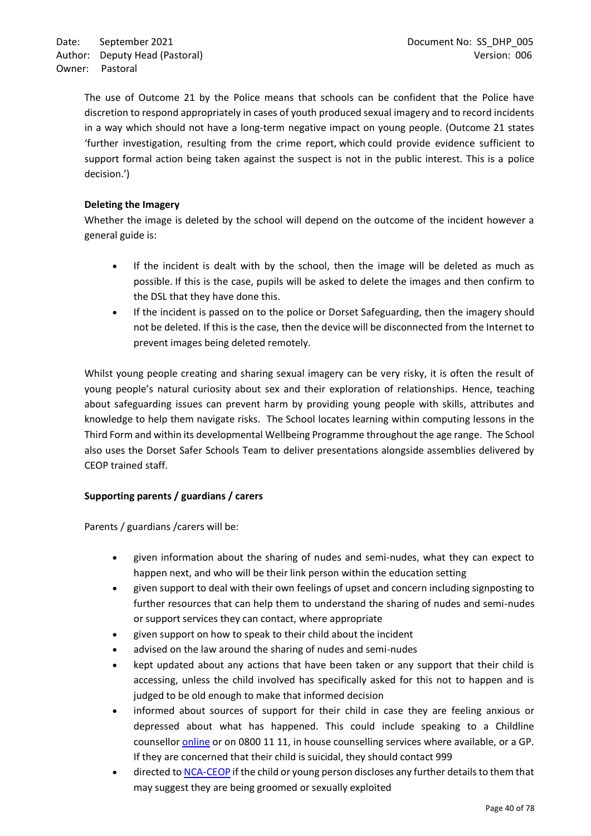The use of Outcome 21 by the Police means that schools can be confident that the Police have discretion to respond appropriately in cases of youth produced sexual imagery and to record incidents in a way which should not have a long-term negative impact on young people. (Outcome 21 states 'further investigation, resulting from the crime report, which could provide evidence sufficient to support formal action being taken against the suspect is not in the public interest. This is a police decision.')

### **Deleting the Imagery**

Whether the image is deleted by the school will depend on the outcome of the incident however a general guide is:

- If the incident is dealt with by the school, then the image will be deleted as much as possible. If this is the case, pupils will be asked to delete the images and then confirm to the DSL that they have done this.
- If the incident is passed on to the police or Dorset Safeguarding, then the imagery should not be deleted. If this is the case, then the device will be disconnected from the Internet to prevent images being deleted remotely.

Whilst young people creating and sharing sexual imagery can be very risky, it is often the result of young people's natural curiosity about sex and their exploration of relationships. Hence, teaching about safeguarding issues can prevent harm by providing young people with skills, attributes and knowledge to help them navigate risks. The School locates learning within computing lessons in the Third Form and within its developmental Wellbeing Programme throughout the age range. The School also uses the Dorset Safer Schools Team to deliver presentations alongside assemblies delivered by CEOP trained staff.

# **Supporting parents / guardians / carers**

Parents / guardians /carers will be:

- given information about the sharing of nudes and semi-nudes, what they can expect to happen next, and who will be their link person within the education setting
- given support to deal with their own feelings of upset and concern including signposting to further resources that can help them to understand the sharing of nudes and semi-nudes or support services they can contact, where appropriate
- given support on how to speak to their child about the incident
- advised on the law around the sharing of nudes and semi-nudes
- kept updated about any actions that have been taken or any support that their child is accessing, unless the child involved has specifically asked for this not to happen and is judged to be old enough to make that informed decision
- informed about sources of support for their child in case they are feeling anxious or depressed about what has happened. This could include speaking to a Childline counsellor *[online](https://www.childline.org.uk/)* or on 0800 11 11, in house counselling services where available, or a GP. If they are concerned that their child is suicidal, they should contact 999
- directed t[o NCA-CEOP](https://www.ceop.police.uk/safety-centre) if the child or young person discloses any further details to them that may suggest they are being groomed or sexually exploited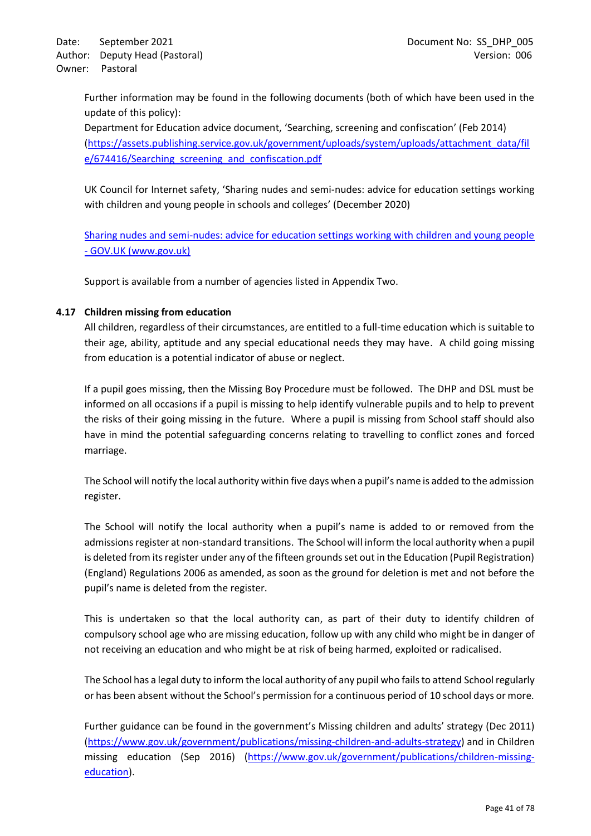Further information may be found in the following documents (both of which have been used in the update of this policy):

Department for Education advice document, 'Searching, screening and confiscation' (Feb 2014) [\(https://assets.publishing.service.gov.uk/government/uploads/system/uploads/attachment\\_data/fil](https://assets.publishing.service.gov.uk/government/uploads/system/uploads/attachment_data/file/674416/Searching_screening_and_confiscation.pdf) [e/674416/Searching\\_screening\\_and\\_confiscation.pdf](https://assets.publishing.service.gov.uk/government/uploads/system/uploads/attachment_data/file/674416/Searching_screening_and_confiscation.pdf)

UK Council for Internet safety, 'Sharing nudes and semi-nudes: advice for education settings working with children and young people in schools and colleges' (December 2020)

Sharing nudes and semi-nudes: advice [for education settings working with children and young people](https://www.gov.uk/government/publications/sharing-nudes-and-semi-nudes-advice-for-education-settings-working-with-children-and-young-people/sharing-nudes-and-semi-nudes-advice-for-education-settings-working-with-children-and-young-people)  - [GOV.UK \(www.gov.uk\)](https://www.gov.uk/government/publications/sharing-nudes-and-semi-nudes-advice-for-education-settings-working-with-children-and-young-people/sharing-nudes-and-semi-nudes-advice-for-education-settings-working-with-children-and-young-people)

Support is available from a number of agencies listed in Appendix Two.

### **4.17 Children missing from education**

All children, regardless of their circumstances, are entitled to a full-time education which is suitable to their age, ability, aptitude and any special educational needs they may have. A child going missing from education is a potential indicator of abuse or neglect.

If a pupil goes missing, then the Missing Boy Procedure must be followed. The DHP and DSL must be informed on all occasions if a pupil is missing to help identify vulnerable pupils and to help to prevent the risks of their going missing in the future. Where a pupil is missing from School staff should also have in mind the potential safeguarding concerns relating to travelling to conflict zones and forced marriage.

The School will notify the local authority within five days when a pupil's name is added to the admission register.

The School will notify the local authority when a pupil's name is added to or removed from the admissions register at non-standard transitions. The School will inform the local authority when a pupil is deleted from its register under any of the fifteen grounds set out in the Education (Pupil Registration) (England) Regulations 2006 as amended, as soon as the ground for deletion is met and not before the pupil's name is deleted from the register.

This is undertaken so that the local authority can, as part of their duty to identify children of compulsory school age who are missing education, follow up with any child who might be in danger of not receiving an education and who might be at risk of being harmed, exploited or radicalised.

The School has a legal duty to inform the local authority of any pupil who fails to attend Schoolregularly or has been absent without the School's permission for a continuous period of 10 school days or more.

Further guidance can be found in the government's Missing children and adults' strategy (Dec 2011) [\(https://www.gov.uk/government/publications/missing-children-and-adults-strategy\)](https://www.gov.uk/government/publications/missing-children-and-adults-strategy) and in Children missing education (Sep 2016) [\(https://www.gov.uk/government/publications/children-missing](https://www.gov.uk/government/publications/children-missing-education)[education\)](https://www.gov.uk/government/publications/children-missing-education).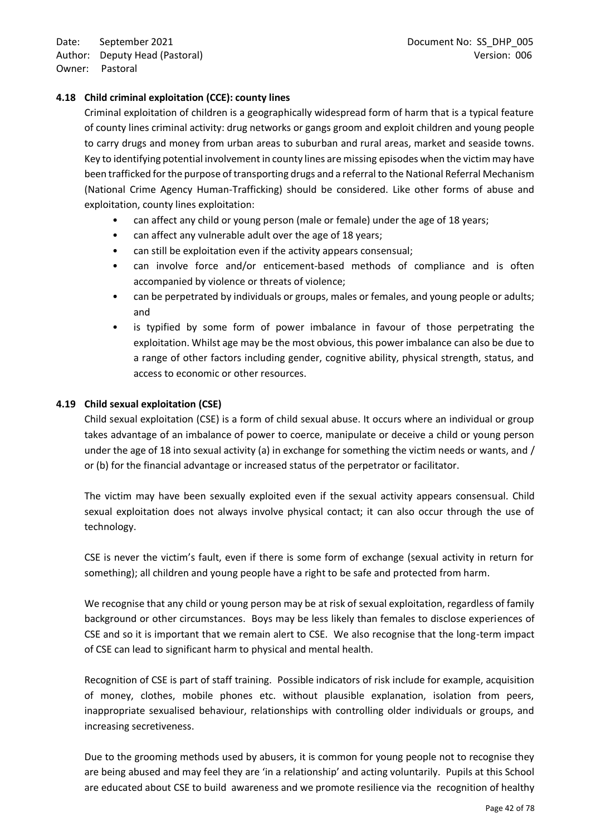Date: September 2021 **Date:** September 2021 Author: Deputy Head (Pastoral) and the control of the control of the control of the version: 006 Owner: Pastoral

## **4.18 Child criminal exploitation (CCE): county lines**

Criminal exploitation of children is a geographically widespread form of harm that is a typical feature of county lines criminal activity: drug networks or gangs groom and exploit children and young people to carry drugs and money from urban areas to suburban and rural areas, market and seaside towns. Key to identifying potential involvement in county lines are missing episodes when the victim may have been trafficked for the purpose of transporting drugs and a referral to the National Referral Mechanism (National Crime Agency Human-Trafficking) should be considered. Like other forms of abuse and exploitation, county lines exploitation:

- can affect any child or young person (male or female) under the age of 18 years;
- can affect any vulnerable adult over the age of 18 years;
- can still be exploitation even if the activity appears consensual;
- can involve force and/or enticement-based methods of compliance and is often accompanied by violence or threats of violence;
- can be perpetrated by individuals or groups, males or females, and young people or adults; and
- is typified by some form of power imbalance in favour of those perpetrating the exploitation. Whilst age may be the most obvious, this power imbalance can also be due to a range of other factors including gender, cognitive ability, physical strength, status, and access to economic or other resources.

#### **4.19 Child sexual exploitation (CSE)**

Child sexual exploitation (CSE) is a form of child sexual abuse. It occurs where an individual or group takes advantage of an imbalance of power to coerce, manipulate or deceive a child or young person under the age of 18 into sexual activity (a) in exchange for something the victim needs or wants, and / or (b) for the financial advantage or increased status of the perpetrator or facilitator.

The victim may have been sexually exploited even if the sexual activity appears consensual. Child sexual exploitation does not always involve physical contact; it can also occur through the use of technology.

CSE is never the victim's fault, even if there is some form of exchange (sexual activity in return for something); all children and young people have a right to be safe and protected from harm.

We recognise that any child or young person may be at risk of sexual exploitation, regardless of family background or other circumstances. Boys may be less likely than females to disclose experiences of CSE and so it is important that we remain alert to CSE. We also recognise that the long-term impact of CSE can lead to significant harm to physical and mental health.

Recognition of CSE is part of staff training. Possible indicators of risk include for example, acquisition of money, clothes, mobile phones etc. without plausible explanation, isolation from peers, inappropriate sexualised behaviour, relationships with controlling older individuals or groups, and increasing secretiveness.

Due to the grooming methods used by abusers, it is common for young people not to recognise they are being abused and may feel they are 'in a relationship' and acting voluntarily. Pupils at this School are educated about CSE to build awareness and we promote resilience via the recognition of healthy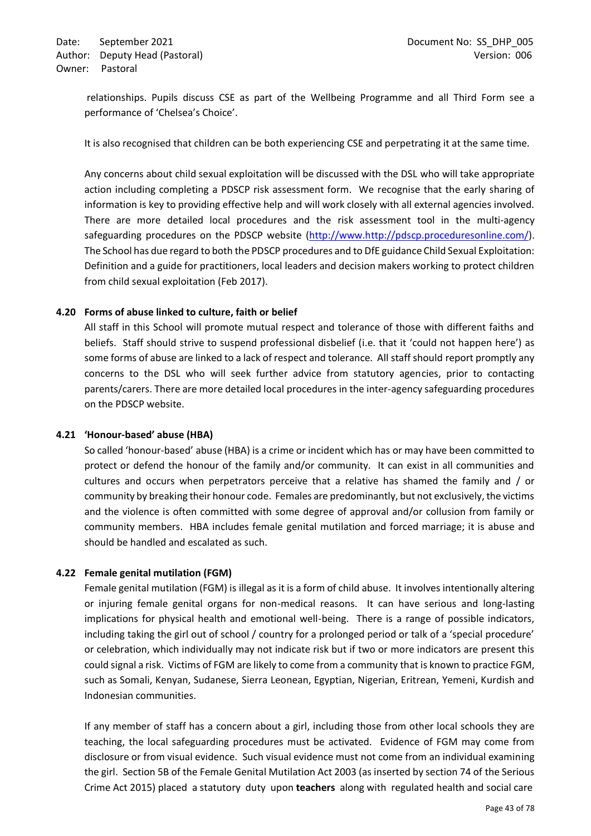relationships. Pupils discuss CSE as part of the Wellbeing Programme and all Third Form see a performance of 'Chelsea's Choice'.

It is also recognised that children can be both experiencing CSE and perpetrating it at the same time.

Any concerns about child sexual exploitation will be discussed with the DSL who will take appropriate action including completing a PDSCP risk assessment form. We recognise that the early sharing of information is key to providing effective help and will work closely with all external agencies involved. There are more detailed local procedures and the risk assessment tool in the multi-agency safeguarding procedures on the PDSCP website (http://www.http://pdscp.proceduresonline.com/). The School has due regard to both the PDSCP procedures and to DfE guidance Child Sexual Exploitation: Definition and a guide for practitioners, local leaders and decision makers working to protect children from child sexual exploitation (Feb 2017).

## **4.20 Forms of abuse linked to culture, faith or belief**

All staff in this School will promote mutual respect and tolerance of those with different faiths and beliefs. Staff should strive to suspend professional disbelief (i.e. that it 'could not happen here') as some forms of abuse are linked to a lack of respect and tolerance. All staff should report promptly any concerns to the DSL who will seek further advice from statutory agencies, prior to contacting parents/carers. There are more detailed local procedures in the inter-agency safeguarding procedures on the PDSCP website.

### **4.21 'Honour-based' abuse (HBA)**

So called 'honour-based' abuse (HBA) is a crime or incident which has or may have been committed to protect or defend the honour of the family and/or community. It can exist in all communities and cultures and occurs when perpetrators perceive that a relative has shamed the family and / or community by breaking their honour code. Females are predominantly, but not exclusively, the victims and the violence is often committed with some degree of approval and/or collusion from family or community members. HBA includes female genital mutilation and forced marriage; it is abuse and should be handled and escalated as such.

### **4.22 Female genital mutilation (FGM)**

Female genital mutilation (FGM) is illegal as it is a form of child abuse. It involves intentionally altering or injuring female genital organs for non-medical reasons. It can have serious and long-lasting implications for physical health and emotional well-being. There is a range of possible indicators, including taking the girl out of school / country for a prolonged period or talk of a 'special procedure' or celebration, which individually may not indicate risk but if two or more indicators are present this could signal a risk. Victims of FGM are likely to come from a community that is known to practice FGM, such as Somali, Kenyan, Sudanese, Sierra Leonean, Egyptian, Nigerian, Eritrean, Yemeni, Kurdish and Indonesian communities.

If any member of staff has a concern about a girl, including those from other local schools they are teaching, the local safeguarding procedures must be activated. Evidence of FGM may come from disclosure or from visual evidence. Such visual evidence must not come from an individual examining the girl. Section 5B of the Female Genital Mutilation Act 2003 (as inserted by section 74 of the Serious Crime Act 2015) placed a statutory duty upon **teachers** along with regulated health and social care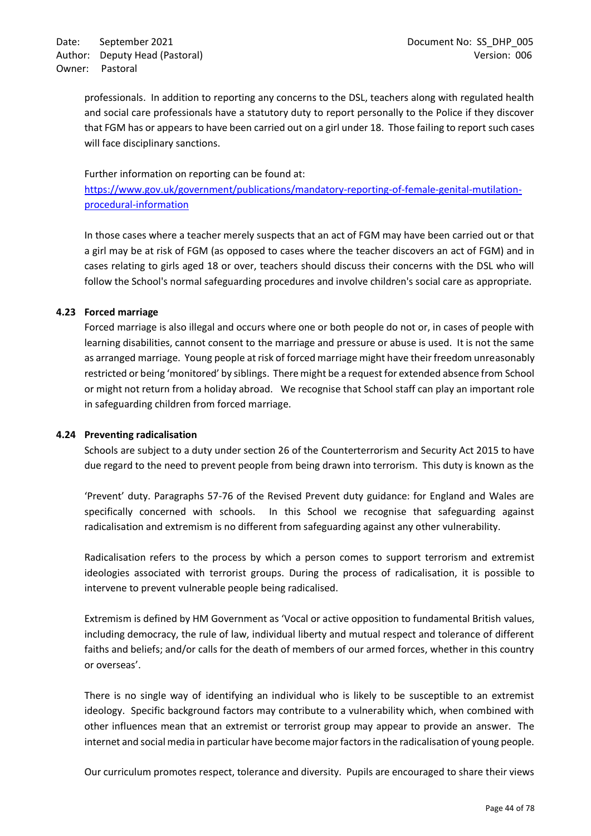professionals. In addition to reporting any concerns to the DSL, teachers along with regulated health and social care professionals have a statutory duty to report personally to the Police if they discover that FGM has or appears to have been carried out on a girl under 18. Those failing to report such cases will face disciplinary sanctions.

## Further information on reporting can be found at:

[https://www.gov.uk/government/publications/mandatory-reporting-of-female-genital-mutilation](https://www.gov.uk/government/publications/mandatory-reporting-of-female-genital-mutilation-procedural-information)[procedural-information](https://www.gov.uk/government/publications/mandatory-reporting-of-female-genital-mutilation-procedural-information)

In those cases where a teacher merely suspects that an act of FGM may have been carried out or that a girl may be at risk of FGM (as opposed to cases where the teacher discovers an act of FGM) and in cases relating to girls aged 18 or over, teachers should discuss their concerns with the DSL who will follow the School's normal safeguarding procedures and involve children's social care as appropriate.

## **4.23 Forced marriage**

Forced marriage is also illegal and occurs where one or both people do not or, in cases of people with learning disabilities, cannot consent to the marriage and pressure or abuse is used. It is not the same as arranged marriage. Young people at risk of forced marriage might have their freedom unreasonably restricted or being 'monitored' by siblings. There might be a request for extended absence from School or might not return from a holiday abroad. We recognise that School staff can play an important role in safeguarding children from forced marriage.

### **4.24 Preventing radicalisation**

Schools are subject to a duty under section 26 of the Counterterrorism and Security Act 2015 to have due regard to the need to prevent people from being drawn into terrorism. This duty is known as the

'Prevent' duty. Paragraphs 57-76 of the Revised Prevent duty guidance: for England and Wales are specifically concerned with schools. In this School we recognise that safeguarding against radicalisation and extremism is no different from safeguarding against any other vulnerability.

Radicalisation refers to the process by which a person comes to support terrorism and extremist ideologies associated with terrorist groups. During the process of radicalisation, it is possible to intervene to prevent vulnerable people being radicalised.

Extremism is defined by HM Government as 'Vocal or active opposition to fundamental British values, including democracy, the rule of law, individual liberty and mutual respect and tolerance of different faiths and beliefs; and/or calls for the death of members of our armed forces, whether in this country or overseas'.

There is no single way of identifying an individual who is likely to be susceptible to an extremist ideology. Specific background factors may contribute to a vulnerability which, when combined with other influences mean that an extremist or terrorist group may appear to provide an answer. The internet and social media in particular have become major factors in the radicalisation of young people.

Our curriculum promotes respect, tolerance and diversity. Pupils are encouraged to share their views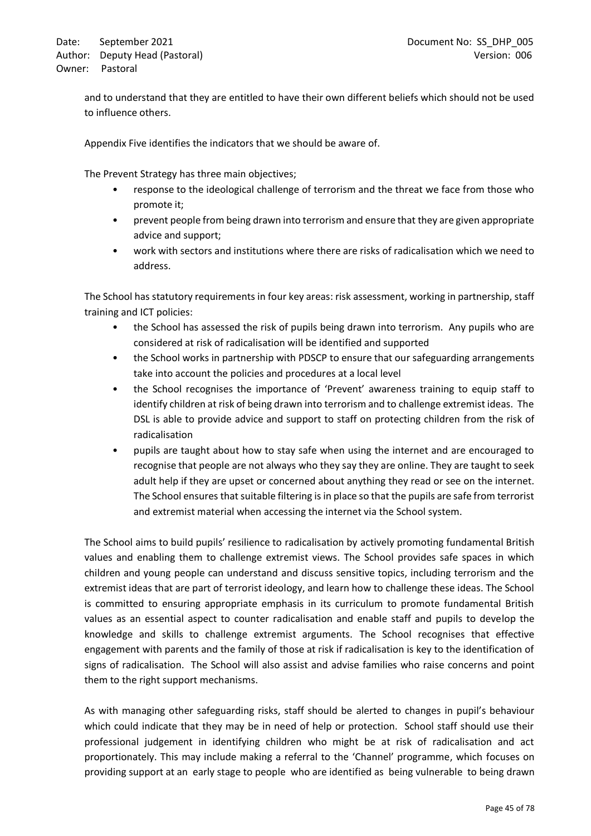and to understand that they are entitled to have their own different beliefs which should not be used to influence others.

Appendix Five identifies the indicators that we should be aware of.

The Prevent Strategy has three main objectives;

- response to the ideological challenge of terrorism and the threat we face from those who promote it;
- prevent people from being drawn into terrorism and ensure that they are given appropriate advice and support;
- work with sectors and institutions where there are risks of radicalisation which we need to address.

The School has statutory requirements in four key areas: risk assessment, working in partnership, staff training and ICT policies:

- the School has assessed the risk of pupils being drawn into terrorism. Any pupils who are considered at risk of radicalisation will be identified and supported
- the School works in partnership with PDSCP to ensure that our safeguarding arrangements take into account the policies and procedures at a local level
- the School recognises the importance of 'Prevent' awareness training to equip staff to identify children at risk of being drawn into terrorism and to challenge extremist ideas. The DSL is able to provide advice and support to staff on protecting children from the risk of radicalisation
- pupils are taught about how to stay safe when using the internet and are encouraged to recognise that people are not always who they say they are online. They are taught to seek adult help if they are upset or concerned about anything they read or see on the internet. The School ensures that suitable filtering is in place so that the pupils are safe from terrorist and extremist material when accessing the internet via the School system.

The School aims to build pupils' resilience to radicalisation by actively promoting fundamental British values and enabling them to challenge extremist views. The School provides safe spaces in which children and young people can understand and discuss sensitive topics, including terrorism and the extremist ideas that are part of terrorist ideology, and learn how to challenge these ideas. The School is committed to ensuring appropriate emphasis in its curriculum to promote fundamental British values as an essential aspect to counter radicalisation and enable staff and pupils to develop the knowledge and skills to challenge extremist arguments. The School recognises that effective engagement with parents and the family of those at risk if radicalisation is key to the identification of signs of radicalisation. The School will also assist and advise families who raise concerns and point them to the right support mechanisms.

As with managing other safeguarding risks, staff should be alerted to changes in pupil's behaviour which could indicate that they may be in need of help or protection. School staff should use their professional judgement in identifying children who might be at risk of radicalisation and act proportionately. This may include making a referral to the 'Channel' programme, which focuses on providing support at an early stage to people who are identified as being vulnerable to being drawn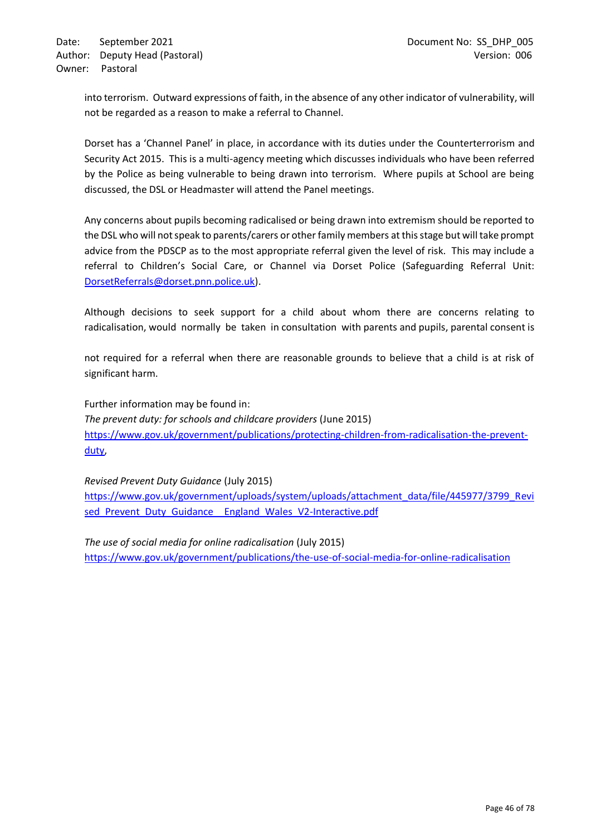into terrorism. Outward expressions of faith, in the absence of any other indicator of vulnerability, will not be regarded as a reason to make a referral to Channel.

Dorset has a 'Channel Panel' in place, in accordance with its duties under the Counterterrorism and Security Act 2015. This is a multi-agency meeting which discusses individuals who have been referred by the Police as being vulnerable to being drawn into terrorism. Where pupils at School are being discussed, the DSL or Headmaster will attend the Panel meetings.

Any concerns about pupils becoming radicalised or being drawn into extremism should be reported to the DSL who will not speak to parents/carers or other family members at this stage but will take prompt advice from the PDSCP as to the most appropriate referral given the level of risk. This may include a referral to Children's Social Care, or Channel via Dorset Police (Safeguarding Referral Unit: [DorsetReferrals@dorset.pnn.police.uk\)](mailto:DorsetReferrals@dorset.pnn.police.uk).

Although decisions to seek support for a child about whom there are concerns relating to radicalisation, would normally be taken in consultation with parents and pupils, parental consent is

not required for a referral when there are reasonable grounds to believe that a child is at risk of significant harm.

Further information may be found in: *The prevent duty: for schools and childcare providers* (June 2015) [https://www.gov.uk/government/publications/protecting-children-from-radicalisation-the-prevent](https://www.gov.uk/government/publications/protecting-children-from-radicalisation-the-prevent-duty)[duty,](https://www.gov.uk/government/publications/protecting-children-from-radicalisation-the-prevent-duty)

*Revised Prevent Duty Guidance* (July 2015)

[https://www.gov.uk/government/uploads/system/uploads/attachment\\_data/file/445977/3799\\_Revi](https://www.gov.uk/government/uploads/system/uploads/attachment_data/file/445977/3799_Revised_Prevent_Duty_Guidance__England_Wales_V2-Interactive.pdf) sed Prevent Duty Guidance England Wales V2-Interactive.pdf

*The use of social media for online radicalisation* (July 2015) <https://www.gov.uk/government/publications/the-use-of-social-media-for-online-radicalisation>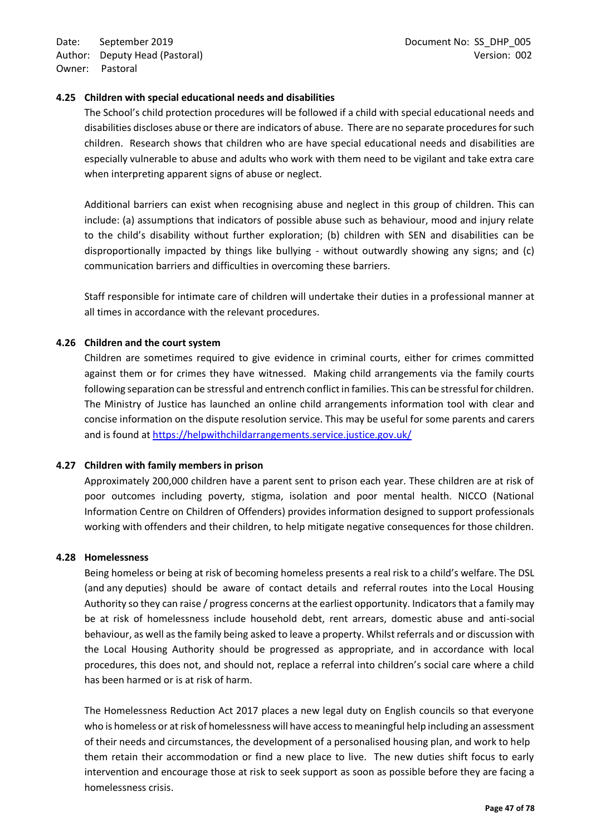### **4.25 Children with special educational needs and disabilities**

The School's child protection procedures will be followed if a child with special educational needs and disabilities discloses abuse or there are indicators of abuse. There are no separate procedures for such children. Research shows that children who are have special educational needs and disabilities are especially vulnerable to abuse and adults who work with them need to be vigilant and take extra care when interpreting apparent signs of abuse or neglect.

Additional barriers can exist when recognising abuse and neglect in this group of children. This can include: (a) assumptions that indicators of possible abuse such as behaviour, mood and injury relate to the child's disability without further exploration; (b) children with SEN and disabilities can be disproportionally impacted by things like bullying - without outwardly showing any signs; and (c) communication barriers and difficulties in overcoming these barriers.

Staff responsible for intimate care of children will undertake their duties in a professional manner at all times in accordance with the relevant procedures.

#### **4.26 Children and the court system**

Children are sometimes required to give evidence in criminal courts, either for crimes committed against them or for crimes they have witnessed. Making child arrangements via the family courts following separation can be stressful and entrench conflict in families. This can be stressful for children. The Ministry of Justice has launched an online child arrangements information tool with clear and concise information on the dispute resolution service. This may be useful for some parents and carers and is found at<https://helpwithchildarrangements.service.justice.gov.uk/>

### **4.27 Children with family members in prison**

Approximately 200,000 children have a parent sent to prison each year. These children are at risk of poor outcomes including poverty, stigma, isolation and poor mental health. NICCO (National Information Centre on Children of Offenders) provides information designed to support professionals working with offenders and their children, to help mitigate negative consequences for those children.

#### **4.28 Homelessness**

Being homeless or being at risk of becoming homeless presents a real risk to a child's welfare. The DSL (and any deputies) should be aware of contact details and referral routes into the Local Housing Authority so they can raise / progress concerns at the earliest opportunity. Indicators that a family may be at risk of homelessness include household debt, rent arrears, domestic abuse and anti-social behaviour, as well as the family being asked to leave a property. Whilst referrals and or discussion with the Local Housing Authority should be progressed as appropriate, and in accordance with local procedures, this does not, and should not, replace a referral into children's social care where a child has been harmed or is at risk of harm.

The Homelessness Reduction Act 2017 places a new legal duty on English councils so that everyone who is homeless or at risk of homelessness will have access to meaningful help including an assessment of their needs and circumstances, the development of a personalised housing plan, and work to help them retain their accommodation or find a new place to live. The new duties shift focus to early intervention and encourage those at risk to seek support as soon as possible before they are facing a homelessness crisis.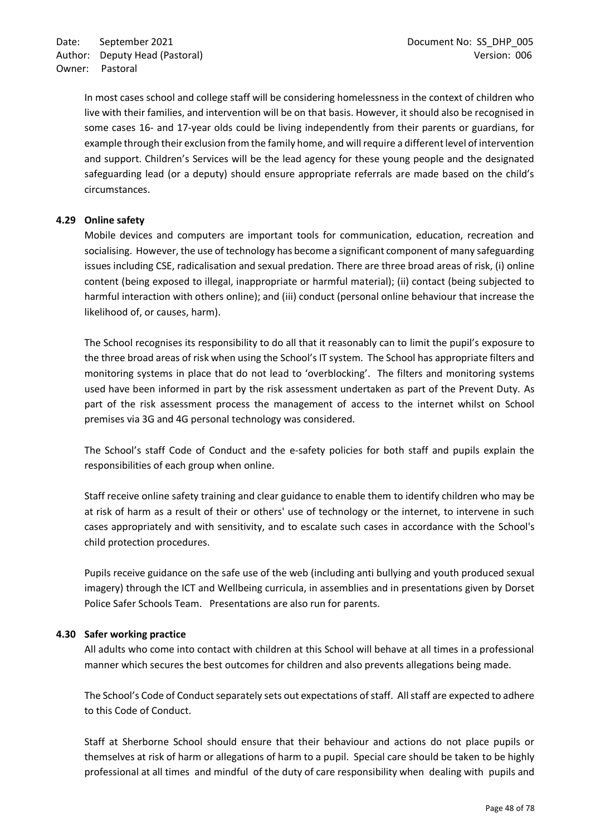In most cases school and college staff will be considering homelessness in the context of children who live with their families, and intervention will be on that basis. However, it should also be recognised in some cases 16- and 17-year olds could be living independently from their parents or guardians, for example through their exclusion from the family home, and will require a different level of intervention and support. Children's Services will be the lead agency for these young people and the designated safeguarding lead (or a deputy) should ensure appropriate referrals are made based on the child's circumstances.

## **4.29 Online safety**

Mobile devices and computers are important tools for communication, education, recreation and socialising. However, the use of technology has become a significant component of many safeguarding issues including CSE, radicalisation and sexual predation. There are three broad areas of risk, (i) online content (being exposed to illegal, inappropriate or harmful material); (ii) contact (being subjected to harmful interaction with others online); and (iii) conduct (personal online behaviour that increase the likelihood of, or causes, harm).

The School recognises its responsibility to do all that it reasonably can to limit the pupil's exposure to the three broad areas of risk when using the School's IT system. The School has appropriate filters and monitoring systems in place that do not lead to 'overblocking'. The filters and monitoring systems used have been informed in part by the risk assessment undertaken as part of the Prevent Duty. As part of the risk assessment process the management of access to the internet whilst on School premises via 3G and 4G personal technology was considered.

The School's staff Code of Conduct and the e-safety policies for both staff and pupils explain the responsibilities of each group when online.

Staff receive online safety training and clear guidance to enable them to identify children who may be at risk of harm as a result of their or others' use of technology or the internet, to intervene in such cases appropriately and with sensitivity, and to escalate such cases in accordance with the School's child protection procedures.

Pupils receive guidance on the safe use of the web (including anti bullying and youth produced sexual imagery) through the ICT and Wellbeing curricula, in assemblies and in presentations given by Dorset Police Safer Schools Team. Presentations are also run for parents.

### **4.30 Safer working practice**

All adults who come into contact with children at this School will behave at all times in a professional manner which secures the best outcomes for children and also prevents allegations being made.

The School's Code of Conduct separately sets out expectations of staff. All staff are expected to adhere to this Code of Conduct.

Staff at Sherborne School should ensure that their behaviour and actions do not place pupils or themselves at risk of harm or allegations of harm to a pupil. Special care should be taken to be highly professional at all times and mindful of the duty of care responsibility when dealing with pupils and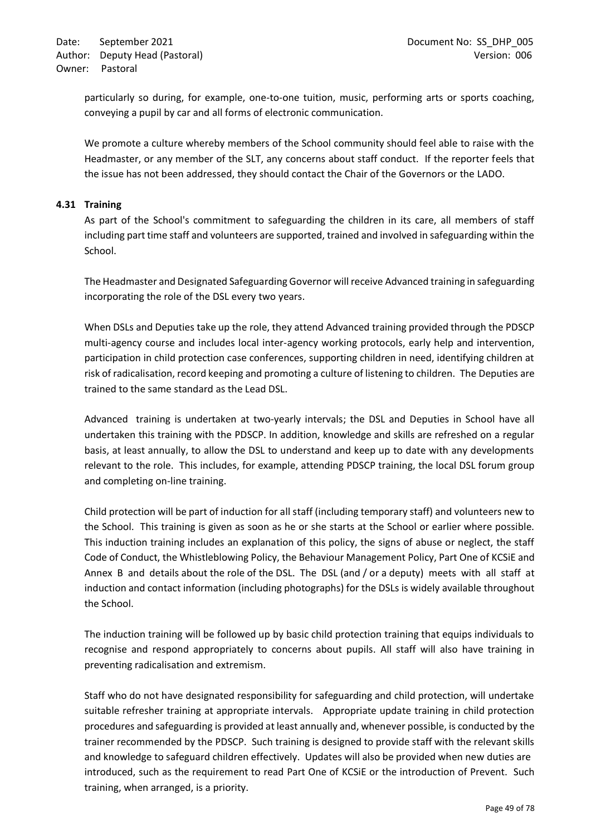particularly so during, for example, one-to-one tuition, music, performing arts or sports coaching, conveying a pupil by car and all forms of electronic communication.

We promote a culture whereby members of the School community should feel able to raise with the Headmaster, or any member of the SLT, any concerns about staff conduct. If the reporter feels that the issue has not been addressed, they should contact the Chair of the Governors or the LADO.

### **4.31 Training**

As part of the School's commitment to safeguarding the children in its care, all members of staff including part time staff and volunteers are supported, trained and involved in safeguarding within the School.

The Headmaster and Designated Safeguarding Governor will receive Advanced training in safeguarding incorporating the role of the DSL every two years.

When DSLs and Deputies take up the role, they attend Advanced training provided through the PDSCP multi-agency course and includes local inter-agency working protocols, early help and intervention, participation in child protection case conferences, supporting children in need, identifying children at risk of radicalisation, record keeping and promoting a culture of listening to children. The Deputies are trained to the same standard as the Lead DSL.

Advanced training is undertaken at two-yearly intervals; the DSL and Deputies in School have all undertaken this training with the PDSCP. In addition, knowledge and skills are refreshed on a regular basis, at least annually, to allow the DSL to understand and keep up to date with any developments relevant to the role. This includes, for example, attending PDSCP training, the local DSL forum group and completing on-line training.

Child protection will be part of induction for all staff (including temporary staff) and volunteers new to the School. This training is given as soon as he or she starts at the School or earlier where possible. This induction training includes an explanation of this policy, the signs of abuse or neglect, the staff Code of Conduct, the Whistleblowing Policy, the Behaviour Management Policy, Part One of KCSiE and Annex B and details about the role of the DSL. The DSL (and / or a deputy) meets with all staff at induction and contact information (including photographs) for the DSLs is widely available throughout the School.

The induction training will be followed up by basic child protection training that equips individuals to recognise and respond appropriately to concerns about pupils. All staff will also have training in preventing radicalisation and extremism.

Staff who do not have designated responsibility for safeguarding and child protection, will undertake suitable refresher training at appropriate intervals. Appropriate update training in child protection procedures and safeguarding is provided at least annually and, whenever possible, is conducted by the trainer recommended by the PDSCP. Such training is designed to provide staff with the relevant skills and knowledge to safeguard children effectively. Updates will also be provided when new duties are introduced, such as the requirement to read Part One of KCSiE or the introduction of Prevent. Such training, when arranged, is a priority.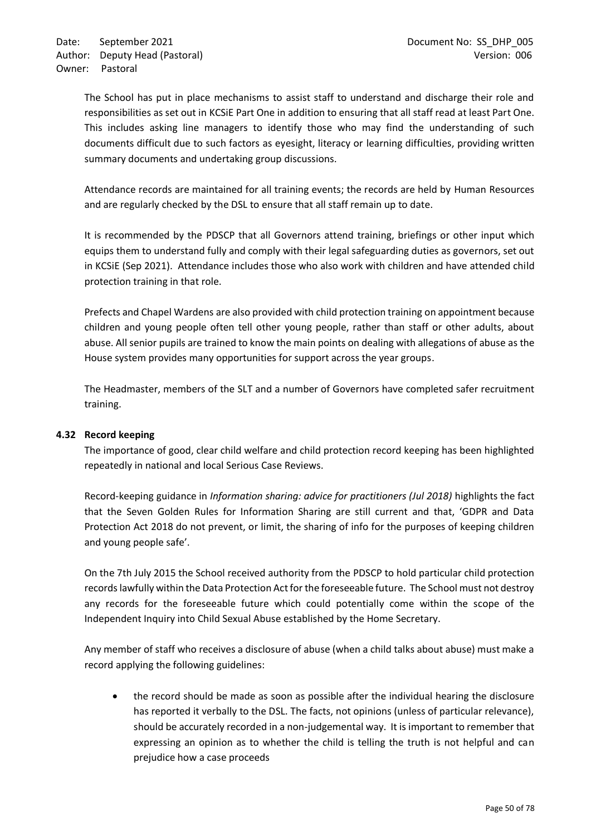The School has put in place mechanisms to assist staff to understand and discharge their role and responsibilities as set out in KCSiE Part One in addition to ensuring that all staff read at least Part One. This includes asking line managers to identify those who may find the understanding of such documents difficult due to such factors as eyesight, literacy or learning difficulties, providing written summary documents and undertaking group discussions.

Attendance records are maintained for all training events; the records are held by Human Resources and are regularly checked by the DSL to ensure that all staff remain up to date.

It is recommended by the PDSCP that all Governors attend training, briefings or other input which equips them to understand fully and comply with their legal safeguarding duties as governors, set out in KCSiE (Sep 2021). Attendance includes those who also work with children and have attended child protection training in that role.

Prefects and Chapel Wardens are also provided with child protection training on appointment because children and young people often tell other young people, rather than staff or other adults, about abuse. All senior pupils are trained to know the main points on dealing with allegations of abuse as the House system provides many opportunities for support across the year groups.

The Headmaster, members of the SLT and a number of Governors have completed safer recruitment training.

### **4.32 Record keeping**

The importance of good, clear child welfare and child protection record keeping has been highlighted repeatedly in national and local Serious Case Reviews.

Record-keeping guidance in *Information sharing: advice for practitioners (Jul 2018)* highlights the fact that the Seven Golden Rules for Information Sharing are still current and that, 'GDPR and Data Protection Act 2018 do not prevent, or limit, the sharing of info for the purposes of keeping children and young people safe'.

On the 7th July 2015 the School received authority from the PDSCP to hold particular child protection records lawfully within the Data Protection Act for the foreseeable future. The School must not destroy any records for the foreseeable future which could potentially come within the scope of the Independent Inquiry into Child Sexual Abuse established by the Home Secretary.

Any member of staff who receives a disclosure of abuse (when a child talks about abuse) must make a record applying the following guidelines:

• the record should be made as soon as possible after the individual hearing the disclosure has reported it verbally to the DSL. The facts, not opinions (unless of particular relevance), should be accurately recorded in a non-judgemental way. It is important to remember that expressing an opinion as to whether the child is telling the truth is not helpful and can prejudice how a case proceeds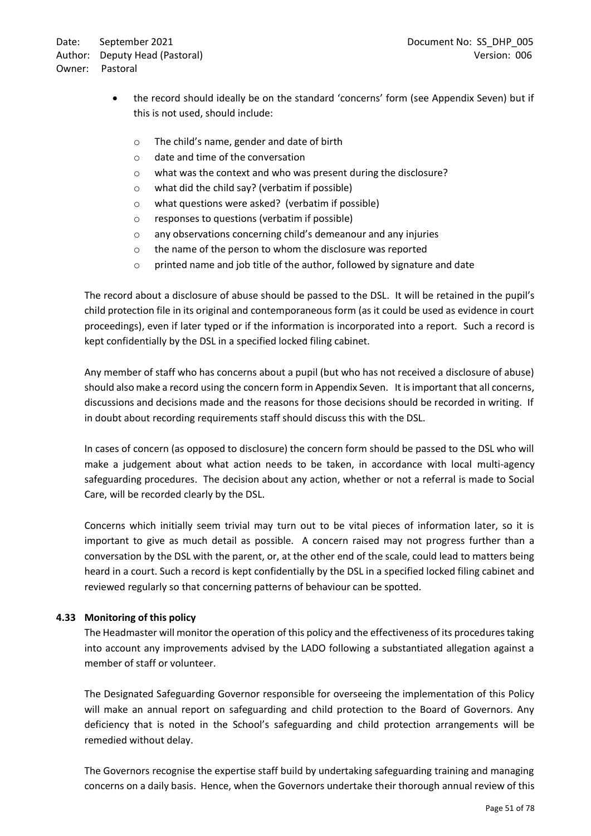- the record should ideally be on the standard 'concerns' form (see Appendix Seven) but if this is not used, should include:
	- o The child's name, gender and date of birth
	- o date and time of the conversation
	- o what was the context and who was present during the disclosure?
	- o what did the child say? (verbatim if possible)
	- o what questions were asked? (verbatim if possible)
	- o responses to questions (verbatim if possible)
	- o any observations concerning child's demeanour and any injuries
	- o the name of the person to whom the disclosure was reported
	- o printed name and job title of the author, followed by signature and date

The record about a disclosure of abuse should be passed to the DSL. It will be retained in the pupil's child protection file in its original and contemporaneous form (as it could be used as evidence in court proceedings), even if later typed or if the information is incorporated into a report. Such a record is kept confidentially by the DSL in a specified locked filing cabinet.

Any member of staff who has concerns about a pupil (but who has not received a disclosure of abuse) should also make a record using the concern form in Appendix Seven. It is important that all concerns, discussions and decisions made and the reasons for those decisions should be recorded in writing. If in doubt about recording requirements staff should discuss this with the DSL.

In cases of concern (as opposed to disclosure) the concern form should be passed to the DSL who will make a judgement about what action needs to be taken, in accordance with local multi-agency safeguarding procedures. The decision about any action, whether or not a referral is made to Social Care, will be recorded clearly by the DSL.

Concerns which initially seem trivial may turn out to be vital pieces of information later, so it is important to give as much detail as possible. A concern raised may not progress further than a conversation by the DSL with the parent, or, at the other end of the scale, could lead to matters being heard in a court. Such a record is kept confidentially by the DSL in a specified locked filing cabinet and reviewed regularly so that concerning patterns of behaviour can be spotted.

### **4.33 Monitoring of this policy**

The Headmaster will monitor the operation of this policy and the effectiveness of its procedures taking into account any improvements advised by the LADO following a substantiated allegation against a member of staff or volunteer.

The Designated Safeguarding Governor responsible for overseeing the implementation of this Policy will make an annual report on safeguarding and child protection to the Board of Governors. Any deficiency that is noted in the School's safeguarding and child protection arrangements will be remedied without delay.

The Governors recognise the expertise staff build by undertaking safeguarding training and managing concerns on a daily basis. Hence, when the Governors undertake their thorough annual review of this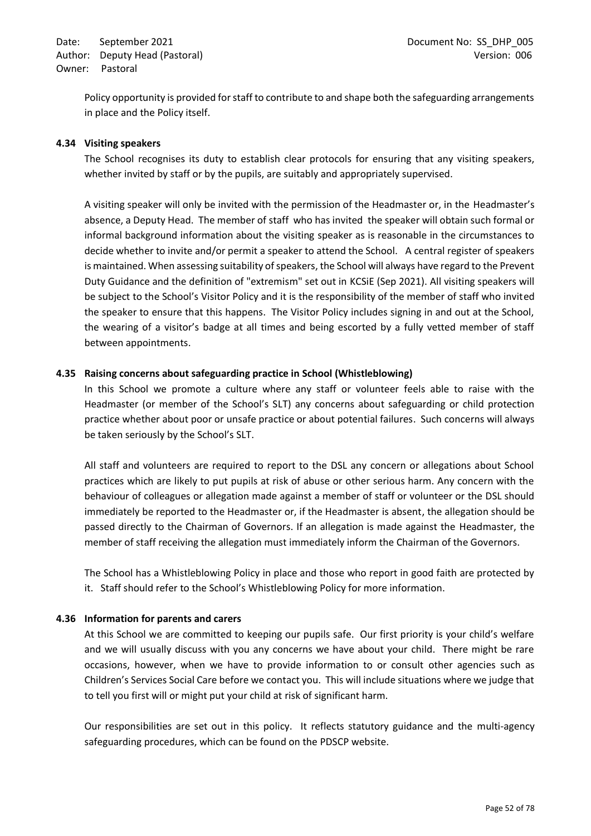Policy opportunity is provided for staff to contribute to and shape both the safeguarding arrangements in place and the Policy itself.

### **4.34 Visiting speakers**

The School recognises its duty to establish clear protocols for ensuring that any visiting speakers, whether invited by staff or by the pupils, are suitably and appropriately supervised.

A visiting speaker will only be invited with the permission of the Headmaster or, in the Headmaster's absence, a Deputy Head. The member of staff who has invited the speaker will obtain such formal or informal background information about the visiting speaker as is reasonable in the circumstances to decide whether to invite and/or permit a speaker to attend the School. A central register of speakers is maintained. When assessing suitability of speakers, the School will always have regard to the Prevent Duty Guidance and the definition of "extremism" set out in KCSiE (Sep 2021). All visiting speakers will be subject to the School's Visitor Policy and it is the responsibility of the member of staff who invited the speaker to ensure that this happens. The Visitor Policy includes signing in and out at the School, the wearing of a visitor's badge at all times and being escorted by a fully vetted member of staff between appointments.

### **4.35 Raising concerns about safeguarding practice in School (Whistleblowing)**

In this School we promote a culture where any staff or volunteer feels able to raise with the Headmaster (or member of the School's SLT) any concerns about safeguarding or child protection practice whether about poor or unsafe practice or about potential failures. Such concerns will always be taken seriously by the School's SLT.

All staff and volunteers are required to report to the DSL any concern or allegations about School practices which are likely to put pupils at risk of abuse or other serious harm. Any concern with the behaviour of colleagues or allegation made against a member of staff or volunteer or the DSL should immediately be reported to the Headmaster or, if the Headmaster is absent, the allegation should be passed directly to the Chairman of Governors. If an allegation is made against the Headmaster, the member of staff receiving the allegation must immediately inform the Chairman of the Governors.

The School has a Whistleblowing Policy in place and those who report in good faith are protected by it. Staff should refer to the School's Whistleblowing Policy for more information.

### **4.36 Information for parents and carers**

At this School we are committed to keeping our pupils safe. Our first priority is your child's welfare and we will usually discuss with you any concerns we have about your child. There might be rare occasions, however, when we have to provide information to or consult other agencies such as Children's Services Social Care before we contact you. This will include situations where we judge that to tell you first will or might put your child at risk of significant harm.

Our responsibilities are set out in this policy. It reflects statutory guidance and the multi-agency safeguarding procedures, which can be found on the PDSCP website.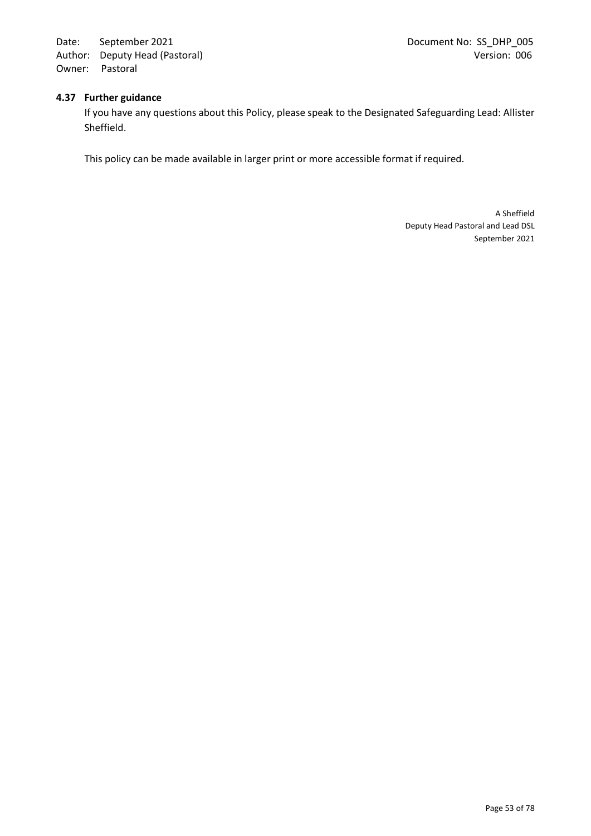Date: September 2021 <br>Author: Deputy Head (Pastoral) discussed by the control of the Document No: SS\_DHP\_005 Author: Deputy Head (Pastoral) Owner: Pastoral

### **4.37 Further guidance**

If you have any questions about this Policy, please speak to the Designated Safeguarding Lead: Allister Sheffield.

This policy can be made available in larger print or more accessible format if required.

A Sheffield Deputy Head Pastoral and Lead DSL September 2021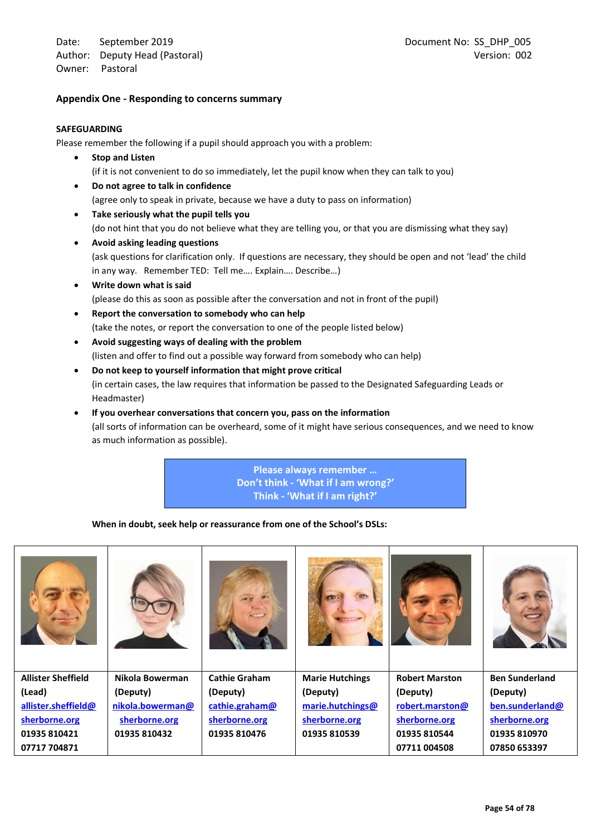### **Appendix One - Responding to concerns summary**

#### **SAFEGUARDING**

Please remember the following if a pupil should approach you with a problem:

- **Stop and Listen** (if it is not convenient to do so immediately, let the pupil know when they can talk to you)
- **Do not agree to talk in confidence** (agree only to speak in private, because we have a duty to pass on information)
- **Take seriously what the pupil tells you** (do not hint that you do not believe what they are telling you, or that you are dismissing what they say)
- **Avoid asking leading questions** (ask questions for clarification only. If questions are necessary, they should be open and not 'lead' the child in any way. Remember TED: Tell me…. Explain…. Describe…)
- **Write down what is said** (please do this as soon as possible after the conversation and not in front of the pupil)
- **Report the conversation to somebody who can help** (take the notes, or report the conversation to one of the people listed below)
- **Avoid suggesting ways of dealing with the problem** (listen and offer to find out a possible way forward from somebody who can help)
- **Do not keep to yourself information that might prove critical** (in certain cases, the law requires that information be passed to the Designated Safeguarding Leads or Headmaster)
- **If you overhear conversations that concern you, pass on the information** (all sorts of information can be overheard, some of it might have serious consequences, and we need to know as much information as possible).

**Please always remember … Don't think - 'What if I am wrong?' Think - 'What if I am right?'**

#### **When in doubt, seek help or reassurance from one of the School's DSLs:**

| <b>Allister Sheffield</b> | Nikola Bowerman  | <b>Cathie Graham</b> | <b>Marie Hutchings</b> | <b>Robert Marston</b> | <b>Ben Sunderland</b> |
|---------------------------|------------------|----------------------|------------------------|-----------------------|-----------------------|
| (Lead)                    | (Deputy)         | (Deputy)             | (Deputy)               | (Deputy)              | (Deputy)              |
| allister.sheffield@       | nikola.bowerman@ | cathie.graham@       | marie.hutchings@       | robert.marston@       | ben.sunderland@       |
| sherborne.org             | sherborne.org    | sherborne.org        | sherborne.org          | sherborne.org         | sherborne.org         |
| 01935 810421              | 01935 810432     | 01935 810476         | 01935 810539           | 01935 810544          | 01935 810970          |
| 07717 704871              |                  |                      |                        | 07711 004508          | 07850 653397          |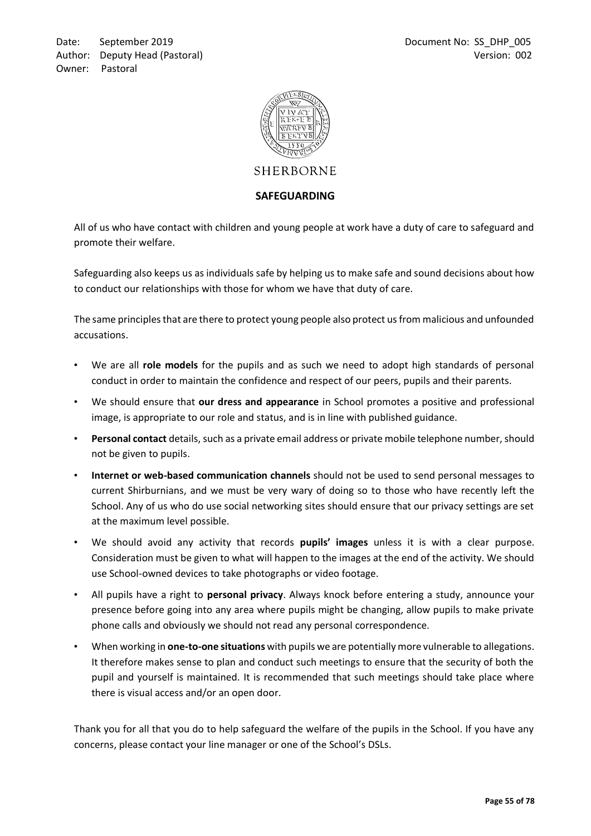

# **SHERBORNE**

### **SAFEGUARDING**

All of us who have contact with children and young people at work have a duty of care to safeguard and promote their welfare.

Safeguarding also keeps us as individuals safe by helping us to make safe and sound decisions about how to conduct our relationships with those for whom we have that duty of care.

The same principles that are there to protect young people also protect us from malicious and unfounded accusations.

- We are all **role models** for the pupils and as such we need to adopt high standards of personal conduct in order to maintain the confidence and respect of our peers, pupils and their parents.
- We should ensure that **our dress and appearance** in School promotes a positive and professional image, is appropriate to our role and status, and is in line with published guidance.
- **Personal contact** details, such as a private email address or private mobile telephone number, should not be given to pupils.
- **Internet or web-based communication channels** should not be used to send personal messages to current Shirburnians, and we must be very wary of doing so to those who have recently left the School. Any of us who do use social networking sites should ensure that our privacy settings are set at the maximum level possible.
- We should avoid any activity that records **pupils' images** unless it is with a clear purpose. Consideration must be given to what will happen to the images at the end of the activity. We should use School-owned devices to take photographs or video footage.
- All pupils have a right to **personal privacy**. Always knock before entering a study, announce your presence before going into any area where pupils might be changing, allow pupils to make private phone calls and obviously we should not read any personal correspondence.
- When working in **one-to-one situations** with pupils we are potentially more vulnerable to allegations. It therefore makes sense to plan and conduct such meetings to ensure that the security of both the pupil and yourself is maintained. It is recommended that such meetings should take place where there is visual access and/or an open door.

Thank you for all that you do to help safeguard the welfare of the pupils in the School. If you have any concerns, please contact your line manager or one of the School's DSLs.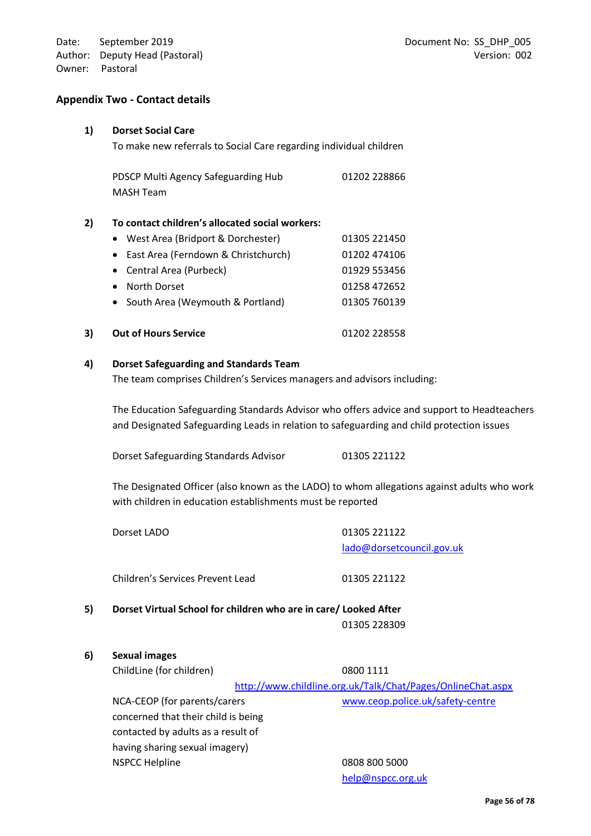Date: September 2019 **Document No: SS\_DHP\_005** Author: Deputy Head (Pastoral) and the control of the control of the Version: 002 Owner: Pastoral

### **Appendix Two - Contact details**

### **1) Dorset Social Care**

To make new referrals to Social Care regarding individual children

PDSCP Multi Agency Safeguarding Hub 01202 228866 MASH Team

### **2) To contact children's allocated social workers:**

| • West Area (Bridport & Dorchester)   | 01305 221450 |
|---------------------------------------|--------------|
| • East Area (Ferndown & Christchurch) | 01202 474106 |
| • Central Area (Purbeck)              | 01929 553456 |
| North Dorset                          | 01258 472652 |
| • South Area (Weymouth & Portland)    | 01305 760139 |
|                                       |              |

**3) Out of Hours Service** 01202 228558

# **4) Dorset Safeguarding and Standards Team**

The team comprises Children's Services managers and advisors including:

The Education Safeguarding Standards Advisor who offers advice and support to Headteachers and Designated Safeguarding Leads in relation to safeguarding and child protection issues

Dorset Safeguarding Standards Advisor 01305 221122

The Designated Officer (also known as the LADO) to whom allegations against adults who work with children in education establishments must be reported

| Dorset LADO                      | 01305 221122              |
|----------------------------------|---------------------------|
|                                  | lado@dorsetcouncil.gov.uk |
| Children's Services Prevent Lead | 01305 221122              |

## **5) Dorset Virtual School for children who are in care/ Looked After**

01305 228309

#### **6) Sexual images**

ChildLine (for children) 0800 1111

<http://www.childline.org.uk/Talk/Chat/Pages/OnlineChat.aspx>

NCA-CEOP (for parents/carers [www.ceop.police.uk/safety-centre](http://www.ceop.police.uk/safety-centre)

concerned that their child is being contacted by adults as a result of having sharing sexual imagery) NSPCC Helpline 0808 800 5000

[help@nspcc.org.uk](mailto:help@nspcc.org.uk)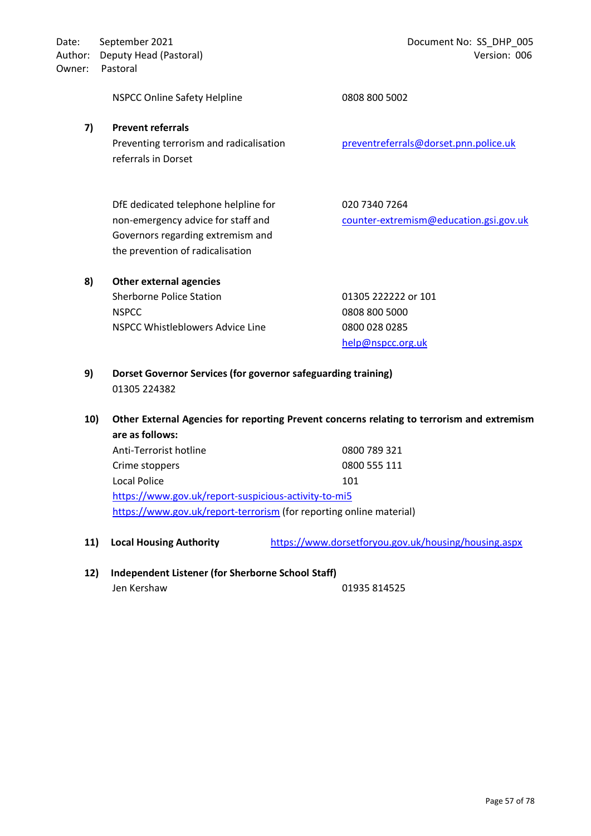Date: September 2021 and the contract of the Document No: SS\_DHP\_005 Author: Deputy Head (Pastoral) Version: 006 Owner: Pastoral

NSPCC Online Safety Helpline 0808 800 5002

**7) Prevent referrals** Preventing terrorism and radicalisation [preventreferrals@dorset.pnn.police.uk](mailto:preventreferrals@dorset.pnn.police.uk) referrals in Dorset

DfE dedicated telephone helpline for 020 7340 7264 [Governors regarding extremism and](mailto:counterGovernors%20regarding%20extremism%20and%20-extremism@education.gsi.gov.uk)  the prevention of radicalisation

non-emergency advice for staff and [counter-extremism@education.gsi.gov.uk](mailto:counterGovernors%20regarding%20extremism%20and%20-extremism@education.gsi.gov.uk)

### **8) Other external agencies**

Sherborne Police Station 01305 222222 or 101 NSPCC 0808 800 5000 NSPCC Whistleblowers Advice Line 0800 028 0285

[help@nspcc.org.uk](mailto:help@nspcc.org.uk)

- **9) Dorset Governor Services (for governor safeguarding training)** 01305 224382
- **10) Other External Agencies for reporting Prevent concerns relating to terrorism and extremism are as follows:**

| Anti-Terrorist hotline                                              | 0800 789 321 |  |  |  |
|---------------------------------------------------------------------|--------------|--|--|--|
| Crime stoppers                                                      | 0800 555 111 |  |  |  |
| Local Police                                                        | 101          |  |  |  |
| https://www.gov.uk/report-suspicious-activity-to-mi5                |              |  |  |  |
| https://www.gov.uk/report-terrorism (for reporting online material) |              |  |  |  |

- **11) Local Housing Authority** <https://www.dorsetforyou.gov.uk/housing/housing.aspx>
- **12) Independent Listener (for Sherborne School Staff)** Jen Kershaw 01935 814525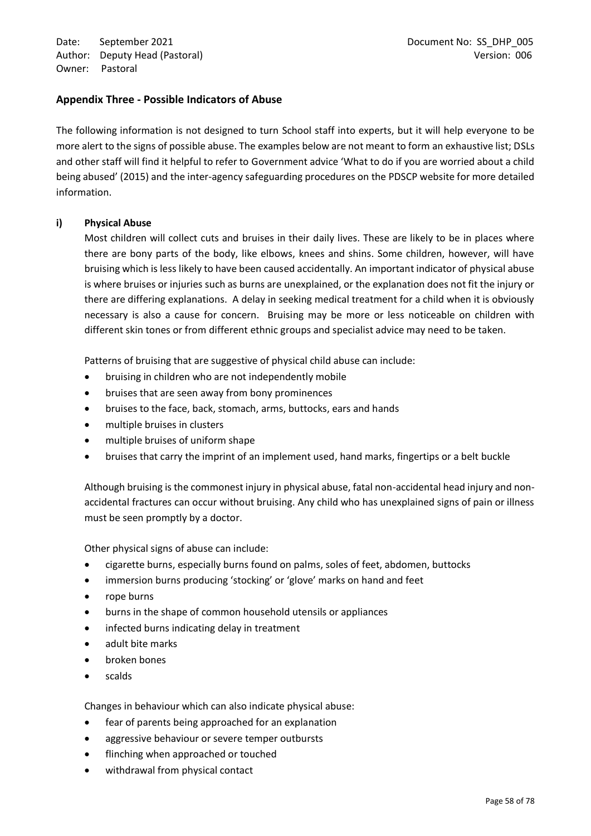Date: September 2021 **Document No: SS\_DHP\_005** Author: Deputy Head (Pastoral) Version: 006 Owner: Pastoral

# **Appendix Three - Possible Indicators of Abuse**

The following information is not designed to turn School staff into experts, but it will help everyone to be more alert to the signs of possible abuse. The examples below are not meant to form an exhaustive list; DSLs and other staff will find it helpful to refer to Government advice 'What to do if you are worried about a child being abused' (2015) and the inter-agency safeguarding procedures on the PDSCP website for more detailed information.

## **i) Physical Abuse**

Most children will collect cuts and bruises in their daily lives. These are likely to be in places where there are bony parts of the body, like elbows, knees and shins. Some children, however, will have bruising which is less likely to have been caused accidentally. An important indicator of physical abuse is where bruises or injuries such as burns are unexplained, or the explanation does not fit the injury or there are differing explanations. A delay in seeking medical treatment for a child when it is obviously necessary is also a cause for concern. Bruising may be more or less noticeable on children with different skin tones or from different ethnic groups and specialist advice may need to be taken.

Patterns of bruising that are suggestive of physical child abuse can include:

- bruising in children who are not independently mobile
- bruises that are seen away from bony prominences
- bruises to the face, back, stomach, arms, buttocks, ears and hands
- multiple bruises in clusters
- multiple bruises of uniform shape
- bruises that carry the imprint of an implement used, hand marks, fingertips or a belt buckle

Although bruising is the commonest injury in physical abuse, fatal non-accidental head injury and nonaccidental fractures can occur without bruising. Any child who has unexplained signs of pain or illness must be seen promptly by a doctor.

Other physical signs of abuse can include:

- cigarette burns, especially burns found on palms, soles of feet, abdomen, buttocks
- immersion burns producing 'stocking' or 'glove' marks on hand and feet
- rope burns
- burns in the shape of common household utensils or appliances
- infected burns indicating delay in treatment
- adult bite marks
- broken bones
- scalds

Changes in behaviour which can also indicate physical abuse:

- fear of parents being approached for an explanation
- aggressive behaviour or severe temper outbursts
- flinching when approached or touched
- withdrawal from physical contact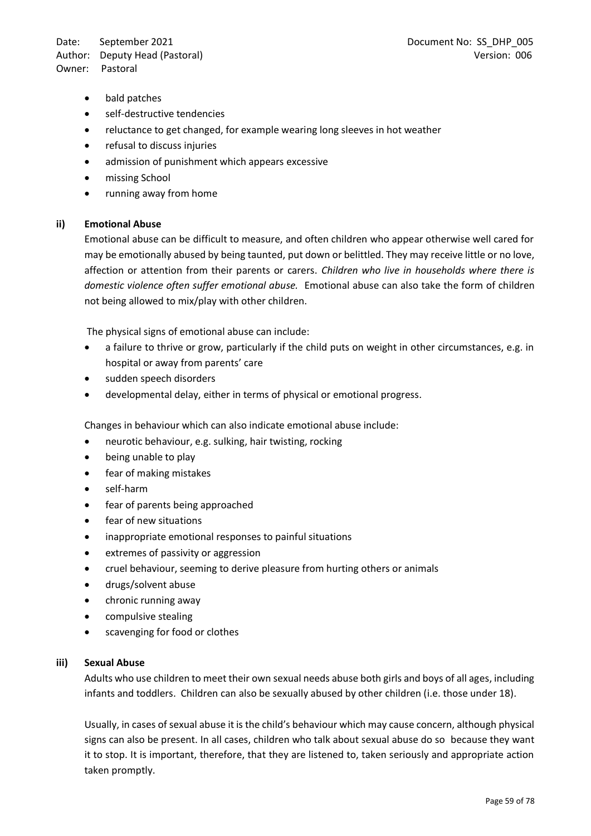Date: September 2021 **Document No: SS\_DHP\_005** Author: Deputy Head (Pastoral) Version: 006 Owner: Pastoral

- bald patches
- self-destructive tendencies
- reluctance to get changed, for example wearing long sleeves in hot weather
- refusal to discuss injuries
- admission of punishment which appears excessive
- missing School
- running away from home

# **ii) Emotional Abuse**

Emotional abuse can be difficult to measure, and often children who appear otherwise well cared for may be emotionally abused by being taunted, put down or belittled. They may receive little or no love, affection or attention from their parents or carers. *Children who live in households where there is domestic violence often suffer emotional abuse.* Emotional abuse can also take the form of children not being allowed to mix/play with other children.

The physical signs of emotional abuse can include:

- a failure to thrive or grow, particularly if the child puts on weight in other circumstances, e.g. in hospital or away from parents' care
- sudden speech disorders
- developmental delay, either in terms of physical or emotional progress.

Changes in behaviour which can also indicate emotional abuse include:

- neurotic behaviour, e.g. sulking, hair twisting, rocking
- being unable to play
- fear of making mistakes
- self-harm
- fear of parents being approached
- fear of new situations
- inappropriate emotional responses to painful situations
- extremes of passivity or aggression
- cruel behaviour, seeming to derive pleasure from hurting others or animals
- drugs/solvent abuse
- chronic running away
- compulsive stealing
- scavenging for food or clothes

### **iii) Sexual Abuse**

Adults who use children to meet their own sexual needs abuse both girls and boys of all ages, including infants and toddlers. Children can also be sexually abused by other children (i.e. those under 18).

Usually, in cases of sexual abuse it is the child's behaviour which may cause concern, although physical signs can also be present. In all cases, children who talk about sexual abuse do so because they want it to stop. It is important, therefore, that they are listened to, taken seriously and appropriate action taken promptly.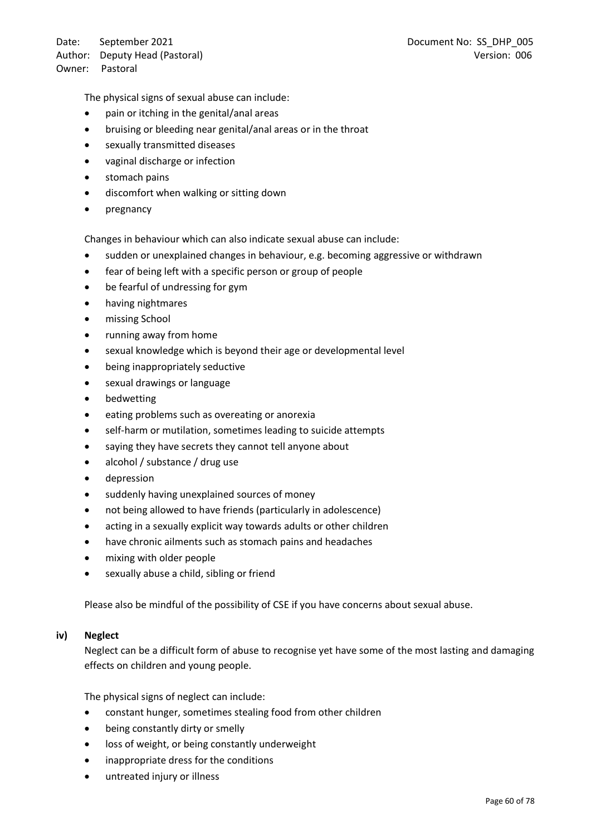The physical signs of sexual abuse can include:

- pain or itching in the genital/anal areas
- bruising or bleeding near genital/anal areas or in the throat
- sexually transmitted diseases
- vaginal discharge or infection
- stomach pains
- discomfort when walking or sitting down
- pregnancy

Changes in behaviour which can also indicate sexual abuse can include:

- sudden or unexplained changes in behaviour, e.g. becoming aggressive or withdrawn
- fear of being left with a specific person or group of people
- be fearful of undressing for gym
- having nightmares
- missing School
- running away from home
- sexual knowledge which is beyond their age or developmental level
- being inappropriately seductive
- sexual drawings or language
- **bedwetting**
- eating problems such as overeating or anorexia
- self-harm or mutilation, sometimes leading to suicide attempts
- saying they have secrets they cannot tell anyone about
- alcohol / substance / drug use
- depression
- suddenly having unexplained sources of money
- not being allowed to have friends (particularly in adolescence)
- acting in a sexually explicit way towards adults or other children
- have chronic ailments such as stomach pains and headaches
- mixing with older people
- sexually abuse a child, sibling or friend

Please also be mindful of the possibility of CSE if you have concerns about sexual abuse.

### **iv) Neglect**

Neglect can be a difficult form of abuse to recognise yet have some of the most lasting and damaging effects on children and young people.

The physical signs of neglect can include:

- constant hunger, sometimes stealing food from other children
- being constantly dirty or smelly
- loss of weight, or being constantly underweight
- inappropriate dress for the conditions
- untreated injury or illness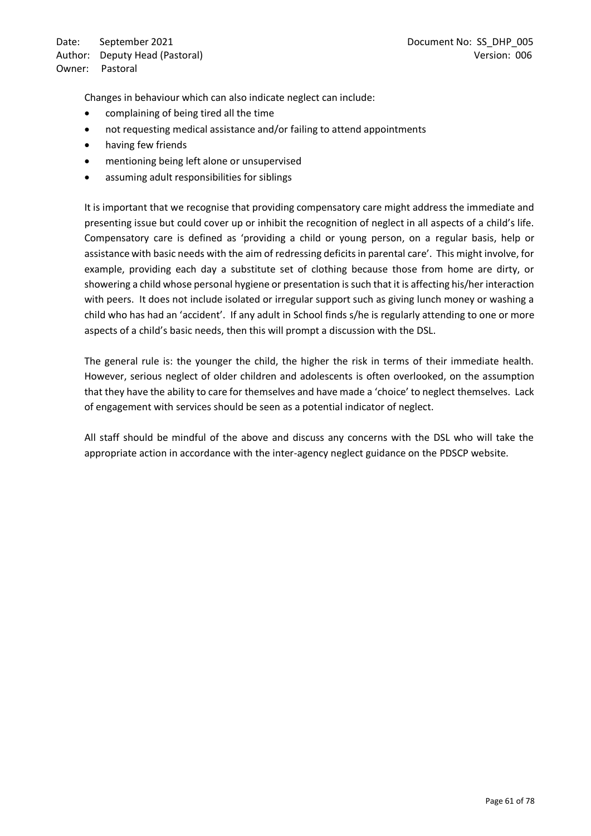Changes in behaviour which can also indicate neglect can include:

- complaining of being tired all the time
- not requesting medical assistance and/or failing to attend appointments
- having few friends
- mentioning being left alone or unsupervised
- assuming adult responsibilities for siblings

It is important that we recognise that providing compensatory care might address the immediate and presenting issue but could cover up or inhibit the recognition of neglect in all aspects of a child's life. Compensatory care is defined as 'providing a child or young person, on a regular basis, help or assistance with basic needs with the aim of redressing deficits in parental care'. This might involve, for example, providing each day a substitute set of clothing because those from home are dirty, or showering a child whose personal hygiene or presentation is such that it is affecting his/her interaction with peers. It does not include isolated or irregular support such as giving lunch money or washing a child who has had an 'accident'. If any adult in School finds s/he is regularly attending to one or more aspects of a child's basic needs, then this will prompt a discussion with the DSL.

The general rule is: the younger the child, the higher the risk in terms of their immediate health. However, serious neglect of older children and adolescents is often overlooked, on the assumption that they have the ability to care for themselves and have made a 'choice' to neglect themselves. Lack of engagement with services should be seen as a potential indicator of neglect.

All staff should be mindful of the above and discuss any concerns with the DSL who will take the appropriate action in accordance with the inter-agency neglect guidance on the PDSCP website.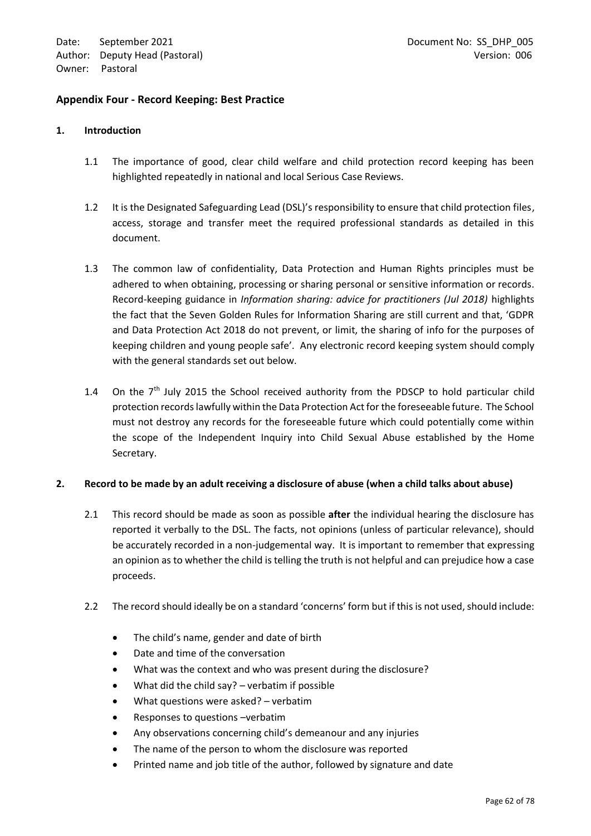## **Appendix Four - Record Keeping: Best Practice**

### **1. Introduction**

- 1.1 The importance of good, clear child welfare and child protection record keeping has been highlighted repeatedly in national and local Serious Case Reviews.
- 1.2 It is the Designated Safeguarding Lead (DSL)'s responsibility to ensure that child protection files, access, storage and transfer meet the required professional standards as detailed in this document.
- 1.3 The common law of confidentiality, Data Protection and Human Rights principles must be adhered to when obtaining, processing or sharing personal or sensitive information or records. Record-keeping guidance in *Information sharing: advice for practitioners (Jul 2018)* highlights the fact that the Seven Golden Rules for Information Sharing are still current and that, 'GDPR and Data Protection Act 2018 do not prevent, or limit, the sharing of info for the purposes of keeping children and young people safe'. Any electronic record keeping system should comply with the general standards set out below.
- 1.4 On the  $7<sup>th</sup>$  July 2015 the School received authority from the PDSCP to hold particular child protection records lawfully within the Data Protection Act for the foreseeable future. The School must not destroy any records for the foreseeable future which could potentially come within the scope of the Independent Inquiry into Child Sexual Abuse established by the Home Secretary.

### **2. Record to be made by an adult receiving a disclosure of abuse (when a child talks about abuse)**

- 2.1 This record should be made as soon as possible **after** the individual hearing the disclosure has reported it verbally to the DSL. The facts, not opinions (unless of particular relevance), should be accurately recorded in a non-judgemental way. It is important to remember that expressing an opinion as to whether the child is telling the truth is not helpful and can prejudice how a case proceeds.
- 2.2 The record should ideally be on a standard 'concerns' form but if this is not used, should include:
	- The child's name, gender and date of birth
	- Date and time of the conversation
	- What was the context and who was present during the disclosure?
	- What did the child say?  $-$  verbatim if possible
	- What questions were asked? verbatim
	- Responses to questions -verbatim
	- Any observations concerning child's demeanour and any injuries
	- The name of the person to whom the disclosure was reported
	- Printed name and job title of the author, followed by signature and date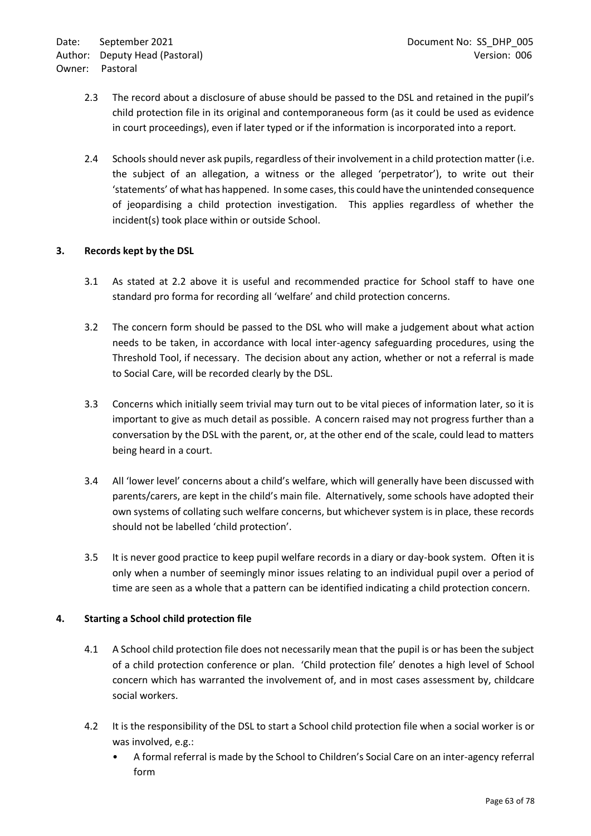- 2.3 The record about a disclosure of abuse should be passed to the DSL and retained in the pupil's child protection file in its original and contemporaneous form (as it could be used as evidence in court proceedings), even if later typed or if the information is incorporated into a report.
- 2.4 Schools should never ask pupils, regardless of their involvement in a child protection matter (i.e. the subject of an allegation, a witness or the alleged 'perpetrator'), to write out their 'statements' of what has happened. In some cases, this could have the unintended consequence of jeopardising a child protection investigation. This applies regardless of whether the incident(s) took place within or outside School.

## **3. Records kept by the DSL**

- 3.1 As stated at 2.2 above it is useful and recommended practice for School staff to have one standard pro forma for recording all 'welfare' and child protection concerns.
- 3.2 The concern form should be passed to the DSL who will make a judgement about what action needs to be taken, in accordance with local inter-agency safeguarding procedures, using the Threshold Tool, if necessary. The decision about any action, whether or not a referral is made to Social Care, will be recorded clearly by the DSL.
- 3.3 Concerns which initially seem trivial may turn out to be vital pieces of information later, so it is important to give as much detail as possible. A concern raised may not progress further than a conversation by the DSL with the parent, or, at the other end of the scale, could lead to matters being heard in a court.
- 3.4 All 'lower level' concerns about a child's welfare, which will generally have been discussed with parents/carers, are kept in the child's main file. Alternatively, some schools have adopted their own systems of collating such welfare concerns, but whichever system is in place, these records should not be labelled 'child protection'.
- 3.5 It is never good practice to keep pupil welfare records in a diary or day-book system. Often it is only when a number of seemingly minor issues relating to an individual pupil over a period of time are seen as a whole that a pattern can be identified indicating a child protection concern.

### **4. Starting a School child protection file**

- 4.1 A School child protection file does not necessarily mean that the pupil is or has been the subject of a child protection conference or plan. 'Child protection file' denotes a high level of School concern which has warranted the involvement of, and in most cases assessment by, childcare social workers.
- 4.2 It is the responsibility of the DSL to start a School child protection file when a social worker is or was involved, e.g.:
	- A formal referral is made by the School to Children's Social Care on an inter-agency referral form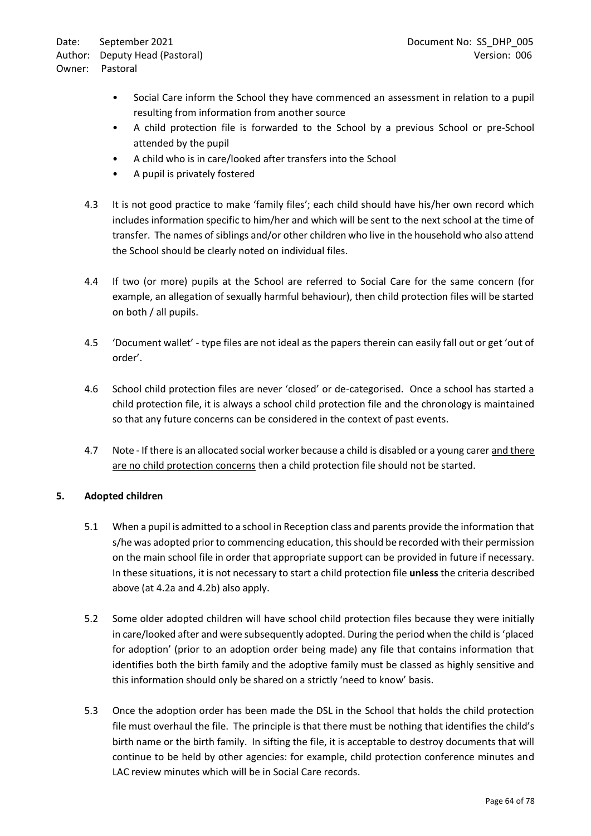- Social Care inform the School they have commenced an assessment in relation to a pupil resulting from information from another source
- A child protection file is forwarded to the School by a previous School or pre-School attended by the pupil
- A child who is in care/looked after transfers into the School
- A pupil is privately fostered
- 4.3 It is not good practice to make 'family files'; each child should have his/her own record which includes information specific to him/her and which will be sent to the next school at the time of transfer. The names of siblings and/or other children who live in the household who also attend the School should be clearly noted on individual files.
- 4.4 If two (or more) pupils at the School are referred to Social Care for the same concern (for example, an allegation of sexually harmful behaviour), then child protection files will be started on both / all pupils.
- 4.5 'Document wallet' type files are not ideal as the papers therein can easily fall out or get 'out of order'.
- 4.6 School child protection files are never 'closed' or de-categorised. Once a school has started a child protection file, it is always a school child protection file and the chronology is maintained so that any future concerns can be considered in the context of past events.
- 4.7 Note If there is an allocated social worker because a child is disabled or a young carer and there are no child protection concerns then a child protection file should not be started.

# **5. Adopted children**

- 5.1 When a pupil is admitted to a school in Reception class and parents provide the information that s/he was adopted prior to commencing education, this should be recorded with their permission on the main school file in order that appropriate support can be provided in future if necessary. In these situations, it is not necessary to start a child protection file **unless** the criteria described above (at 4.2a and 4.2b) also apply.
- 5.2 Some older adopted children will have school child protection files because they were initially in care/looked after and were subsequently adopted. During the period when the child is 'placed for adoption' (prior to an adoption order being made) any file that contains information that identifies both the birth family and the adoptive family must be classed as highly sensitive and this information should only be shared on a strictly 'need to know' basis.
- 5.3 Once the adoption order has been made the DSL in the School that holds the child protection file must overhaul the file. The principle is that there must be nothing that identifies the child's birth name or the birth family. In sifting the file, it is acceptable to destroy documents that will continue to be held by other agencies: for example, child protection conference minutes and LAC review minutes which will be in Social Care records.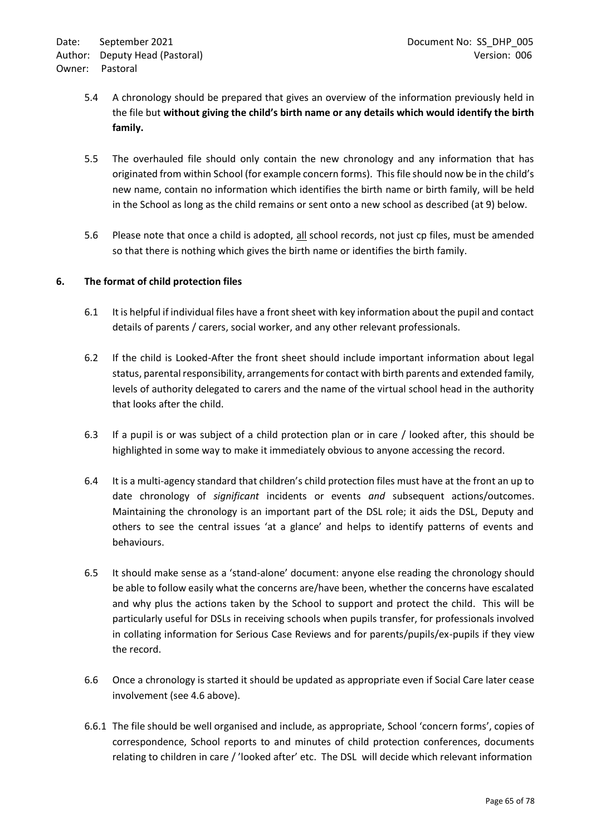- 5.4 A chronology should be prepared that gives an overview of the information previously held in the file but **without giving the child's birth name or any details which would identify the birth family.**
- 5.5 The overhauled file should only contain the new chronology and any information that has originated from within School (for example concern forms). This file should now be in the child's new name, contain no information which identifies the birth name or birth family, will be held in the School as long as the child remains or sent onto a new school as described (at 9) below.
- 5.6 Please note that once a child is adopted, all school records, not just cp files, must be amended so that there is nothing which gives the birth name or identifies the birth family.

## **6. The format of child protection files**

- 6.1 It is helpful if individual files have a front sheet with key information about the pupil and contact details of parents / carers, social worker, and any other relevant professionals.
- 6.2 If the child is Looked-After the front sheet should include important information about legal status, parental responsibility, arrangements for contact with birth parents and extended family, levels of authority delegated to carers and the name of the virtual school head in the authority that looks after the child.
- 6.3 If a pupil is or was subject of a child protection plan or in care / looked after, this should be highlighted in some way to make it immediately obvious to anyone accessing the record.
- 6.4 It is a multi-agency standard that children's child protection files must have at the front an up to date chronology of *significant* incidents or events *and* subsequent actions/outcomes. Maintaining the chronology is an important part of the DSL role; it aids the DSL, Deputy and others to see the central issues 'at a glance' and helps to identify patterns of events and behaviours.
- 6.5 It should make sense as a 'stand-alone' document: anyone else reading the chronology should be able to follow easily what the concerns are/have been, whether the concerns have escalated and why plus the actions taken by the School to support and protect the child. This will be particularly useful for DSLs in receiving schools when pupils transfer, for professionals involved in collating information for Serious Case Reviews and for parents/pupils/ex-pupils if they view the record.
- 6.6 Once a chronology is started it should be updated as appropriate even if Social Care later cease involvement (see 4.6 above).
- 6.6.1 The file should be well organised and include, as appropriate, School 'concern forms', copies of correspondence, School reports to and minutes of child protection conferences, documents relating to children in care / 'looked after' etc. The DSL will decide which relevant information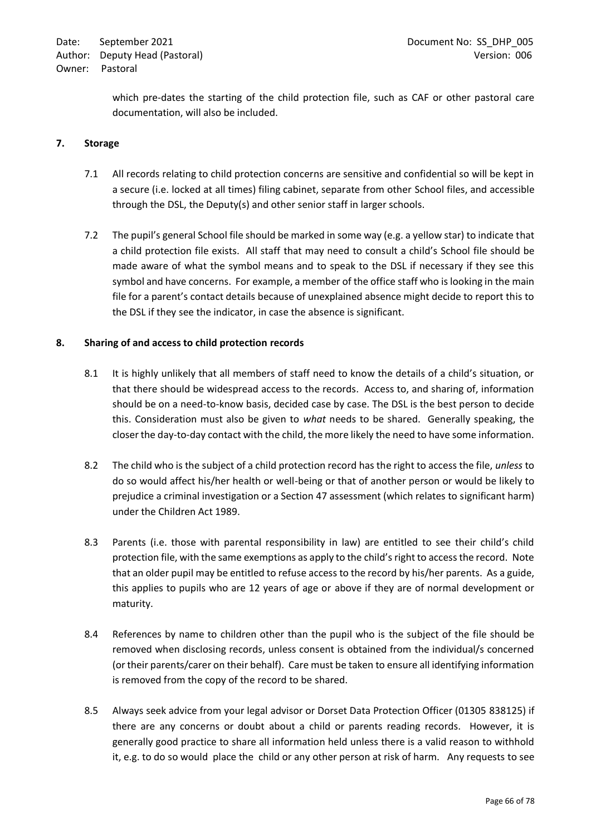which pre-dates the starting of the child protection file, such as CAF or other pastoral care documentation, will also be included.

### **7. Storage**

- 7.1 All records relating to child protection concerns are sensitive and confidential so will be kept in a secure (i.e. locked at all times) filing cabinet, separate from other School files, and accessible through the DSL, the Deputy(s) and other senior staff in larger schools.
- 7.2 The pupil's general School file should be marked in some way (e.g. a yellow star) to indicate that a child protection file exists. All staff that may need to consult a child's School file should be made aware of what the symbol means and to speak to the DSL if necessary if they see this symbol and have concerns. For example, a member of the office staff who is looking in the main file for a parent's contact details because of unexplained absence might decide to report this to the DSL if they see the indicator, in case the absence is significant.

### **8. Sharing of and access to child protection records**

- 8.1 It is highly unlikely that all members of staff need to know the details of a child's situation, or that there should be widespread access to the records. Access to, and sharing of, information should be on a need-to-know basis, decided case by case. The DSL is the best person to decide this. Consideration must also be given to *what* needs to be shared. Generally speaking, the closer the day-to-day contact with the child, the more likely the need to have some information.
- 8.2 The child who is the subject of a child protection record has the right to access the file, *unless* to do so would affect his/her health or well-being or that of another person or would be likely to prejudice a criminal investigation or a Section 47 assessment (which relates to significant harm) under the Children Act 1989.
- 8.3 Parents (i.e. those with parental responsibility in law) are entitled to see their child's child protection file, with the same exemptions as apply to the child's right to access the record. Note that an older pupil may be entitled to refuse access to the record by his/her parents. As a guide, this applies to pupils who are 12 years of age or above if they are of normal development or maturity.
- 8.4 References by name to children other than the pupil who is the subject of the file should be removed when disclosing records, unless consent is obtained from the individual/s concerned (or their parents/carer on their behalf). Care must be taken to ensure all identifying information is removed from the copy of the record to be shared.
- 8.5 Always seek advice from your legal advisor or Dorset Data Protection Officer (01305 838125) if there are any concerns or doubt about a child or parents reading records. However, it is generally good practice to share all information held unless there is a valid reason to withhold it, e.g. to do so would place the child or any other person at risk of harm. Any requests to see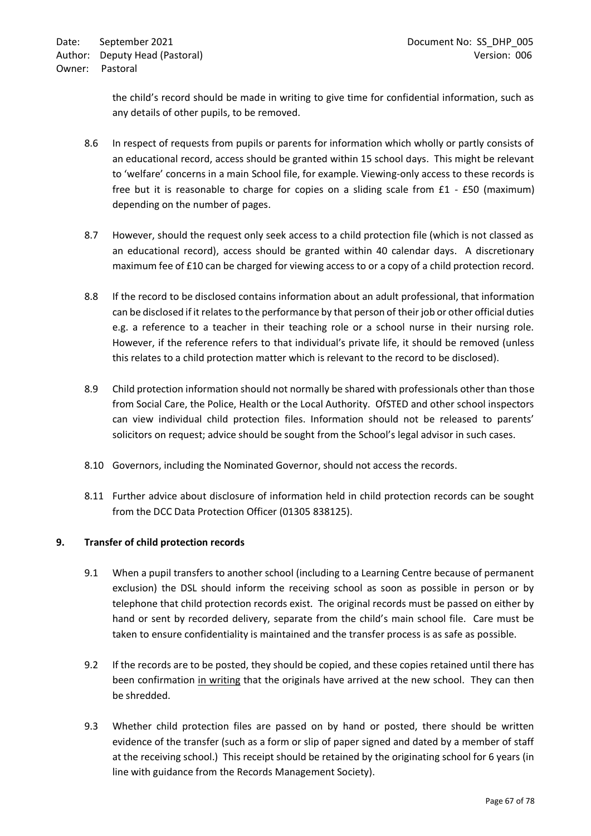the child's record should be made in writing to give time for confidential information, such as any details of other pupils, to be removed.

- 8.6 In respect of requests from pupils or parents for information which wholly or partly consists of an educational record, access should be granted within 15 school days. This might be relevant to 'welfare' concerns in a main School file, for example. Viewing-only access to these records is free but it is reasonable to charge for copies on a sliding scale from £1 - £50 (maximum) depending on the number of pages.
- 8.7 However, should the request only seek access to a child protection file (which is not classed as an educational record), access should be granted within 40 calendar days. A discretionary maximum fee of £10 can be charged for viewing access to or a copy of a child protection record.
- 8.8 If the record to be disclosed contains information about an adult professional, that information can be disclosed if it relates to the performance by that person of their job or other official duties e.g. a reference to a teacher in their teaching role or a school nurse in their nursing role. However, if the reference refers to that individual's private life, it should be removed (unless this relates to a child protection matter which is relevant to the record to be disclosed).
- 8.9 Child protection information should not normally be shared with professionals other than those from Social Care, the Police, Health or the Local Authority. OfSTED and other school inspectors can view individual child protection files. Information should not be released to parents' solicitors on request; advice should be sought from the School's legal advisor in such cases.
- 8.10 Governors, including the Nominated Governor, should not access the records.
- 8.11 Further advice about disclosure of information held in child protection records can be sought from the DCC Data Protection Officer (01305 838125).

### **9. Transfer of child protection records**

- 9.1 When a pupil transfers to another school (including to a Learning Centre because of permanent exclusion) the DSL should inform the receiving school as soon as possible in person or by telephone that child protection records exist. The original records must be passed on either by hand or sent by recorded delivery, separate from the child's main school file. Care must be taken to ensure confidentiality is maintained and the transfer process is as safe as possible.
- 9.2 If the records are to be posted, they should be copied, and these copies retained until there has been confirmation in writing that the originals have arrived at the new school. They can then be shredded.
- 9.3 Whether child protection files are passed on by hand or posted, there should be written evidence of the transfer (such as a form or slip of paper signed and dated by a member of staff at the receiving school.) This receipt should be retained by the originating school for 6 years (in line with guidance from the Records Management Society).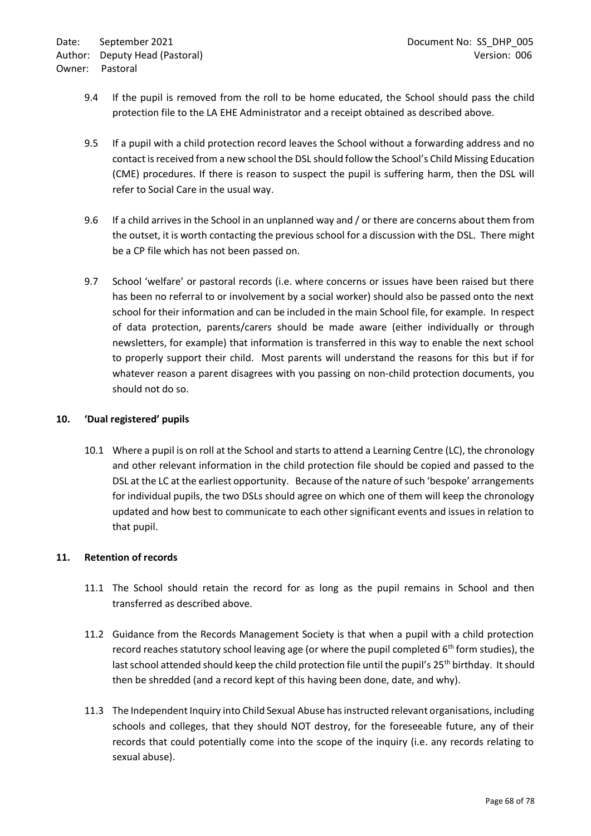- 9.4 If the pupil is removed from the roll to be home educated, the School should pass the child protection file to the LA EHE Administrator and a receipt obtained as described above.
- 9.5 If a pupil with a child protection record leaves the School without a forwarding address and no contact is received from a new school the DSL should follow the School's Child Missing Education (CME) procedures. If there is reason to suspect the pupil is suffering harm, then the DSL will refer to Social Care in the usual way.
- 9.6 If a child arrives in the School in an unplanned way and / or there are concerns about them from the outset, it is worth contacting the previous school for a discussion with the DSL. There might be a CP file which has not been passed on.
- 9.7 School 'welfare' or pastoral records (i.e. where concerns or issues have been raised but there has been no referral to or involvement by a social worker) should also be passed onto the next school for their information and can be included in the main School file, for example. In respect of data protection, parents/carers should be made aware (either individually or through newsletters, for example) that information is transferred in this way to enable the next school to properly support their child. Most parents will understand the reasons for this but if for whatever reason a parent disagrees with you passing on non-child protection documents, you should not do so.

# **10. 'Dual registered' pupils**

10.1 Where a pupil is on roll at the School and starts to attend a Learning Centre (LC), the chronology and other relevant information in the child protection file should be copied and passed to the DSL at the LC at the earliest opportunity. Because of the nature of such 'bespoke' arrangements for individual pupils, the two DSLs should agree on which one of them will keep the chronology updated and how best to communicate to each other significant events and issues in relation to that pupil.

# **11. Retention of records**

- 11.1 The School should retain the record for as long as the pupil remains in School and then transferred as described above.
- 11.2 Guidance from the Records Management Society is that when a pupil with a child protection record reaches statutory school leaving age (or where the pupil completed  $6<sup>th</sup>$  form studies), the last school attended should keep the child protection file until the pupil's 25<sup>th</sup> birthday. It should then be shredded (and a record kept of this having been done, date, and why).
- 11.3 The Independent Inquiry into Child Sexual Abuse has instructed relevant organisations, including schools and colleges, that they should NOT destroy, for the foreseeable future, any of their records that could potentially come into the scope of the inquiry (i.e. any records relating to sexual abuse).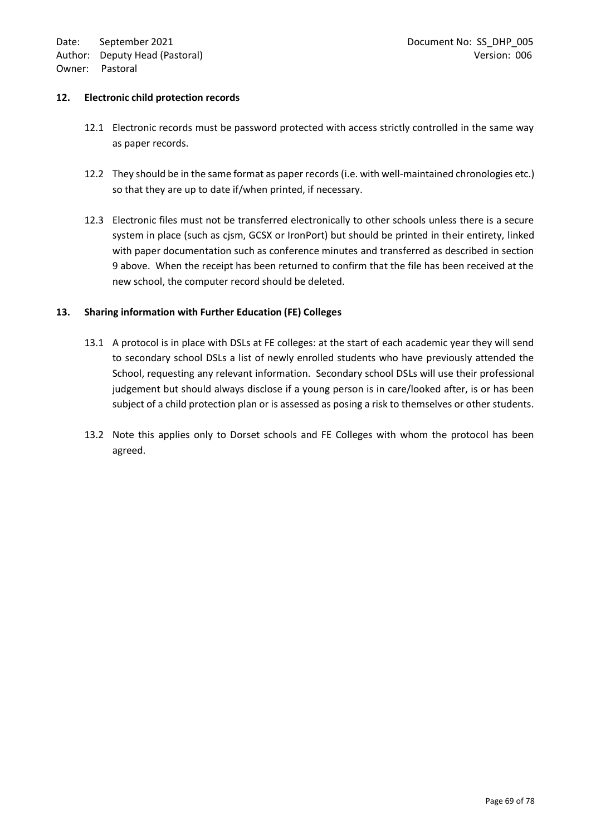### **12. Electronic child protection records**

- 12.1 Electronic records must be password protected with access strictly controlled in the same way as paper records.
- 12.2 They should be in the same format as paper records (i.e. with well-maintained chronologies etc.) so that they are up to date if/when printed, if necessary.
- 12.3 Electronic files must not be transferred electronically to other schools unless there is a secure system in place (such as cjsm, GCSX or IronPort) but should be printed in their entirety, linked with paper documentation such as conference minutes and transferred as described in section 9 above. When the receipt has been returned to confirm that the file has been received at the new school, the computer record should be deleted.

## **13. Sharing information with Further Education (FE) Colleges**

- 13.1 A protocol is in place with DSLs at FE colleges: at the start of each academic year they will send to secondary school DSLs a list of newly enrolled students who have previously attended the School, requesting any relevant information. Secondary school DSLs will use their professional judgement but should always disclose if a young person is in care/looked after, is or has been subject of a child protection plan or is assessed as posing a risk to themselves or other students.
- 13.2 Note this applies only to Dorset schools and FE Colleges with whom the protocol has been agreed.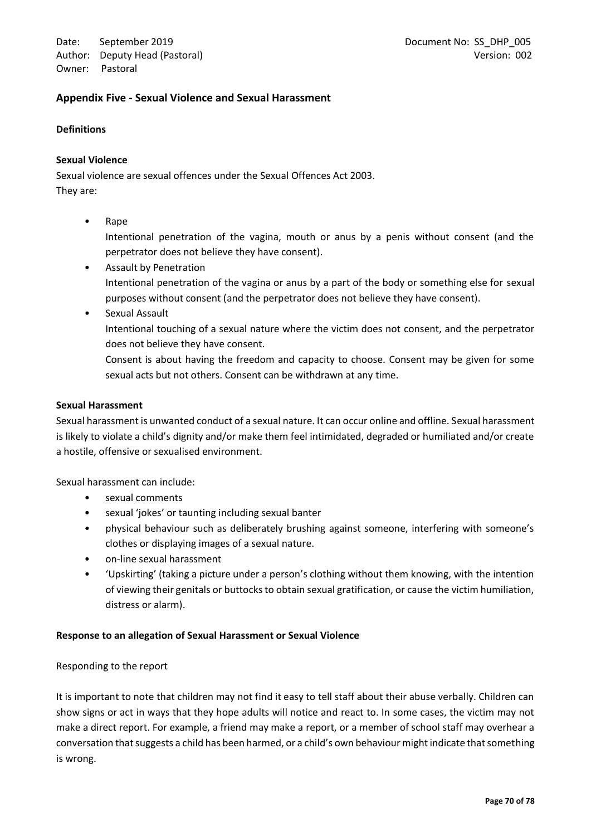Date: September 2019 **Document No: SS\_DHP\_005** Author: Deputy Head (Pastoral) and the control of the control of the Version: 002 Owner: Pastoral

# **Appendix Five - Sexual Violence and Sexual Harassment**

#### **Definitions**

### **Sexual Violence**

Sexual violence are sexual offences under the Sexual Offences Act 2003. They are:

• Rape

Intentional penetration of the vagina, mouth or anus by a penis without consent (and the perpetrator does not believe they have consent).

- Assault by Penetration Intentional penetration of the vagina or anus by a part of the body or something else for sexual purposes without consent (and the perpetrator does not believe they have consent).
- Sexual Assault

Intentional touching of a sexual nature where the victim does not consent, and the perpetrator does not believe they have consent.

Consent is about having the freedom and capacity to choose. Consent may be given for some sexual acts but not others. Consent can be withdrawn at any time.

#### **Sexual Harassment**

Sexual harassment is unwanted conduct of a sexual nature. It can occur online and offline. Sexual harassment is likely to violate a child's dignity and/or make them feel intimidated, degraded or humiliated and/or create a hostile, offensive or sexualised environment.

Sexual harassment can include:

- sexual comments
- sexual 'jokes' or taunting including sexual banter
- physical behaviour such as deliberately brushing against someone, interfering with someone's clothes or displaying images of a sexual nature.
- on-line sexual harassment
- 'Upskirting' (taking a picture under a person's clothing without them knowing, with the intention of viewing their genitals or buttocks to obtain sexual gratification, or cause the victim humiliation, distress or alarm).

#### **Response to an allegation of Sexual Harassment or Sexual Violence**

### Responding to the report

It is important to note that children may not find it easy to tell staff about their abuse verbally. Children can show signs or act in ways that they hope adults will notice and react to. In some cases, the victim may not make a direct report. For example, a friend may make a report, or a member of school staff may overhear a conversation that suggests a child has been harmed, or a child's own behaviour might indicate that something is wrong.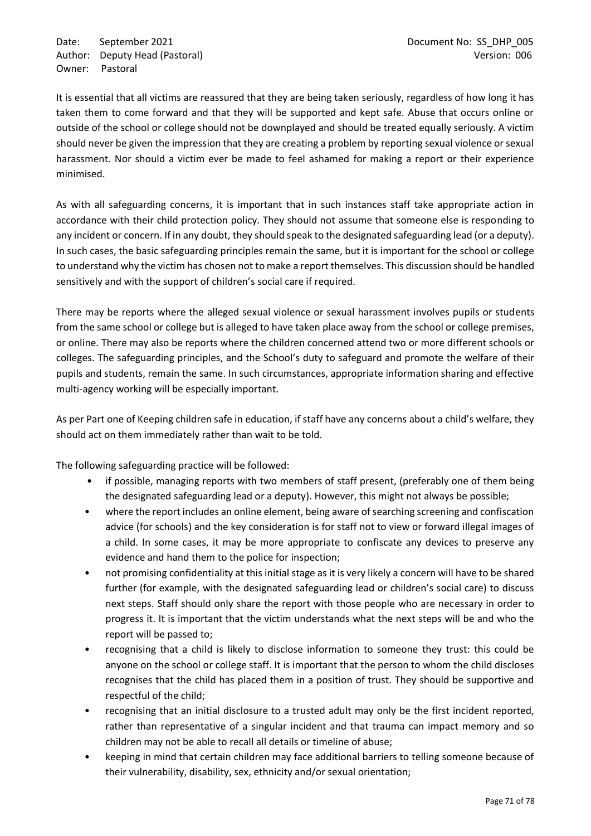It is essential that all victims are reassured that they are being taken seriously, regardless of how long it has taken them to come forward and that they will be supported and kept safe. Abuse that occurs online or outside of the school or college should not be downplayed and should be treated equally seriously. A victim should never be given the impression that they are creating a problem by reporting sexual violence or sexual harassment. Nor should a victim ever be made to feel ashamed for making a report or their experience minimised.

As with all safeguarding concerns, it is important that in such instances staff take appropriate action in accordance with their child protection policy. They should not assume that someone else is responding to any incident or concern. If in any doubt, they should speak to the designated safeguarding lead (or a deputy). In such cases, the basic safeguarding principles remain the same, but it is important for the school or college to understand why the victim has chosen not to make a report themselves. This discussion should be handled sensitively and with the support of children's social care if required.

There may be reports where the alleged sexual violence or sexual harassment involves pupils or students from the same school or college but is alleged to have taken place away from the school or college premises, or online. There may also be reports where the children concerned attend two or more different schools or colleges. The safeguarding principles, and the School's duty to safeguard and promote the welfare of their pupils and students, remain the same. In such circumstances, appropriate information sharing and effective multi-agency working will be especially important.

As per Part one of Keeping children safe in education, if staff have any concerns about a child's welfare, they should act on them immediately rather than wait to be told.

The following safeguarding practice will be followed:

- if possible, managing reports with two members of staff present, (preferably one of them being the designated safeguarding lead or a deputy). However, this might not always be possible;
- where the report includes an online element, being aware of searching screening and confiscation advice (for schools) and the key consideration is for staff not to view or forward illegal images of a child. In some cases, it may be more appropriate to confiscate any devices to preserve any evidence and hand them to the police for inspection;
- not promising confidentiality at this initial stage as it is very likely a concern will have to be shared further (for example, with the designated safeguarding lead or children's social care) to discuss next steps. Staff should only share the report with those people who are necessary in order to progress it. It is important that the victim understands what the next steps will be and who the report will be passed to;
- recognising that a child is likely to disclose information to someone they trust: this could be anyone on the school or college staff. It is important that the person to whom the child discloses recognises that the child has placed them in a position of trust. They should be supportive and respectful of the child;
- recognising that an initial disclosure to a trusted adult may only be the first incident reported, rather than representative of a singular incident and that trauma can impact memory and so children may not be able to recall all details or timeline of abuse;
- keeping in mind that certain children may face additional barriers to telling someone because of their vulnerability, disability, sex, ethnicity and/or sexual orientation;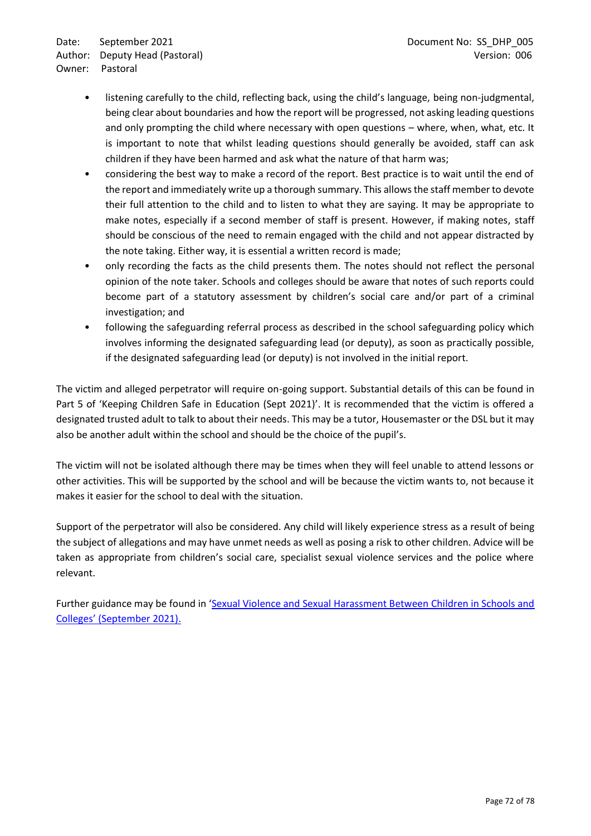- listening carefully to the child, reflecting back, using the child's language, being non-judgmental, being clear about boundaries and how the report will be progressed, not asking leading questions and only prompting the child where necessary with open questions – where, when, what, etc. It is important to note that whilst leading questions should generally be avoided, staff can ask children if they have been harmed and ask what the nature of that harm was;
- considering the best way to make a record of the report. Best practice is to wait until the end of the report and immediately write up a thorough summary. This allows the staff member to devote their full attention to the child and to listen to what they are saying. It may be appropriate to make notes, especially if a second member of staff is present. However, if making notes, staff should be conscious of the need to remain engaged with the child and not appear distracted by the note taking. Either way, it is essential a written record is made;
- only recording the facts as the child presents them. The notes should not reflect the personal opinion of the note taker. Schools and colleges should be aware that notes of such reports could become part of a statutory assessment by children's social care and/or part of a criminal investigation; and
- following the safeguarding referral process as described in the school safeguarding policy which involves informing the designated safeguarding lead (or deputy), as soon as practically possible, if the designated safeguarding lead (or deputy) is not involved in the initial report.

The victim and alleged perpetrator will require on-going support. Substantial details of this can be found in Part 5 of 'Keeping Children Safe in Education (Sept 2021)'. It is recommended that the victim is offered a designated trusted adult to talk to about their needs. This may be a tutor, Housemaster or the DSL but it may also be another adult within the school and should be the choice of the pupil's.

The victim will not be isolated although there may be times when they will feel unable to attend lessons or other activities. This will be supported by the school and will be because the victim wants to, not because it makes it easier for the school to deal with the situation.

Support of the perpetrator will also be considered. Any child will likely experience stress as a result of being the subject of allegations and may have unmet needs as well as posing a risk to other children. Advice will be taken as appropriate from children's social care, specialist sexual violence services and the police where relevant.

Further guidance may be found in '[Sexual Violence and Sexual Harassment Between Children in Schools and](https://assets.publishing.service.gov.uk/government/uploads/system/uploads/attachment_data/file/1014224/Sexual_violence_and_sexual_harassment_between_children_in_schools_and_colleges.pdf)  [Colleges' \(September 2021\).](https://assets.publishing.service.gov.uk/government/uploads/system/uploads/attachment_data/file/1014224/Sexual_violence_and_sexual_harassment_between_children_in_schools_and_colleges.pdf)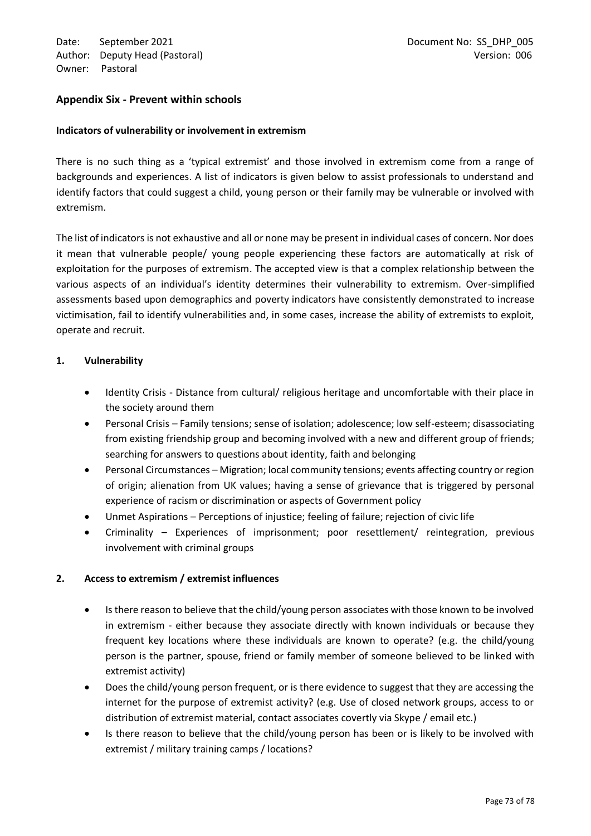Date: September 2021 **Document No: SS\_DHP\_005** Author: Deputy Head (Pastoral) Version: 006 Owner: Pastoral

### **Appendix Six - Prevent within schools**

#### **Indicators of vulnerability or involvement in extremism**

There is no such thing as a 'typical extremist' and those involved in extremism come from a range of backgrounds and experiences. A list of indicators is given below to assist professionals to understand and identify factors that could suggest a child, young person or their family may be vulnerable or involved with extremism.

The list of indicators is not exhaustive and all or none may be present in individual cases of concern. Nor does it mean that vulnerable people/ young people experiencing these factors are automatically at risk of exploitation for the purposes of extremism. The accepted view is that a complex relationship between the various aspects of an individual's identity determines their vulnerability to extremism. Over-simplified assessments based upon demographics and poverty indicators have consistently demonstrated to increase victimisation, fail to identify vulnerabilities and, in some cases, increase the ability of extremists to exploit, operate and recruit.

#### **1. Vulnerability**

- Identity Crisis Distance from cultural/ religious heritage and uncomfortable with their place in the society around them
- Personal Crisis Family tensions; sense of isolation; adolescence; low self-esteem; disassociating from existing friendship group and becoming involved with a new and different group of friends; searching for answers to questions about identity, faith and belonging
- Personal Circumstances Migration; local community tensions; events affecting country or region of origin; alienation from UK values; having a sense of grievance that is triggered by personal experience of racism or discrimination or aspects of Government policy
- Unmet Aspirations Perceptions of injustice; feeling of failure; rejection of civic life
- Criminality Experiences of imprisonment; poor resettlement/ reintegration, previous involvement with criminal groups

#### **2. Access to extremism / extremist influences**

- Is there reason to believe that the child/young person associates with those known to be involved in extremism - either because they associate directly with known individuals or because they frequent key locations where these individuals are known to operate? (e.g. the child/young person is the partner, spouse, friend or family member of someone believed to be linked with extremist activity)
- Does the child/young person frequent, or is there evidence to suggest that they are accessing the internet for the purpose of extremist activity? (e.g. Use of closed network groups, access to or distribution of extremist material, contact associates covertly via Skype / email etc.)
- Is there reason to believe that the child/young person has been or is likely to be involved with extremist / military training camps / locations?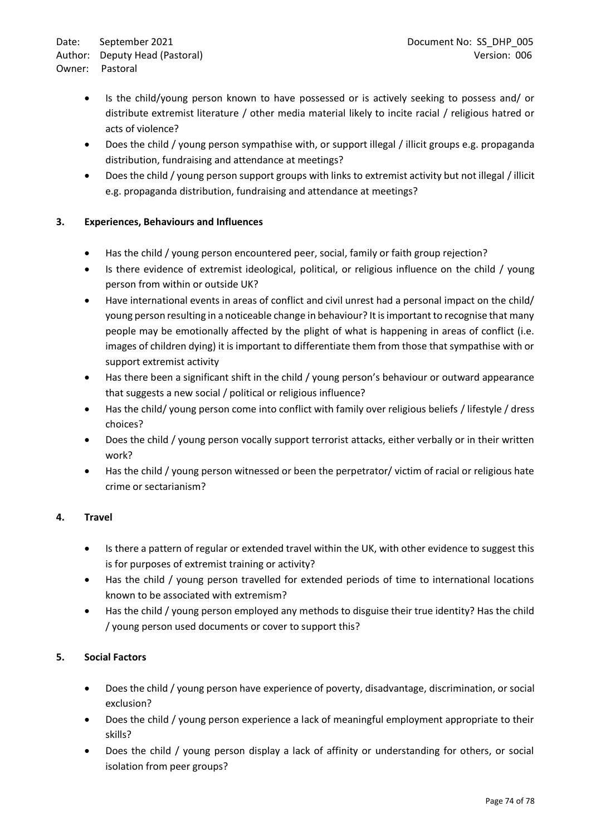- Is the child/young person known to have possessed or is actively seeking to possess and/ or distribute extremist literature / other media material likely to incite racial / religious hatred or acts of violence?
- Does the child / young person sympathise with, or support illegal / illicit groups e.g. propaganda distribution, fundraising and attendance at meetings?
- Does the child / young person support groups with links to extremist activity but not illegal / illicit e.g. propaganda distribution, fundraising and attendance at meetings?

# **3. Experiences, Behaviours and Influences**

- Has the child / young person encountered peer, social, family or faith group rejection?
- Is there evidence of extremist ideological, political, or religious influence on the child / young person from within or outside UK?
- Have international events in areas of conflict and civil unrest had a personal impact on the child/ young person resulting in a noticeable change in behaviour? It is important to recognise that many people may be emotionally affected by the plight of what is happening in areas of conflict (i.e. images of children dying) it is important to differentiate them from those that sympathise with or support extremist activity
- Has there been a significant shift in the child / young person's behaviour or outward appearance that suggests a new social / political or religious influence?
- Has the child/ young person come into conflict with family over religious beliefs / lifestyle / dress choices?
- Does the child / young person vocally support terrorist attacks, either verbally or in their written work?
- Has the child / young person witnessed or been the perpetrator/ victim of racial or religious hate crime or sectarianism?

# **4. Travel**

- Is there a pattern of regular or extended travel within the UK, with other evidence to suggest this is for purposes of extremist training or activity?
- Has the child / young person travelled for extended periods of time to international locations known to be associated with extremism?
- Has the child / young person employed any methods to disguise their true identity? Has the child / young person used documents or cover to support this?

# **5. Social Factors**

- Does the child / young person have experience of poverty, disadvantage, discrimination, or social exclusion?
- Does the child / young person experience a lack of meaningful employment appropriate to their skills?
- Does the child / young person display a lack of affinity or understanding for others, or social isolation from peer groups?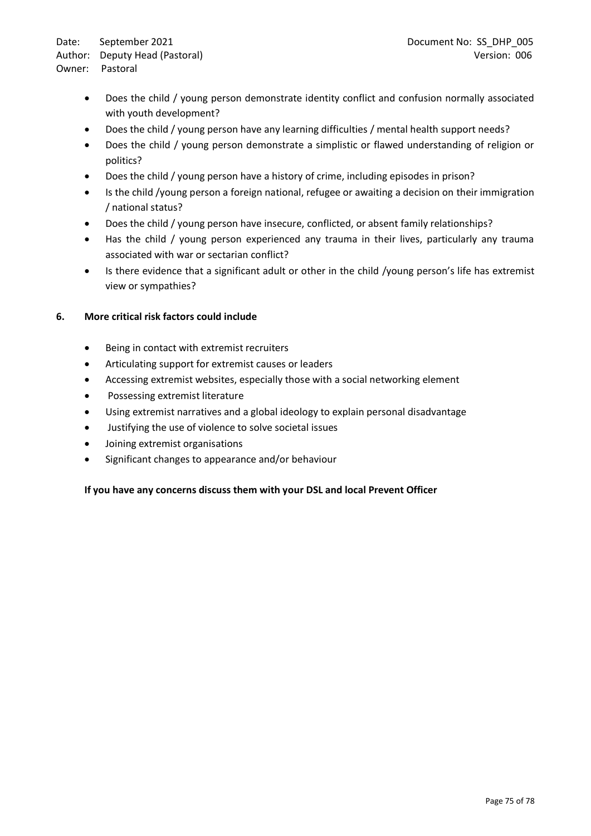Date: September 2021 and Document No: SS\_DHP\_005 Author: Deputy Head (Pastoral) and the control of the control of the Version: 006 Owner: Pastoral

- Does the child / young person demonstrate identity conflict and confusion normally associated with youth development?
- Does the child / young person have any learning difficulties / mental health support needs?
- Does the child / young person demonstrate a simplistic or flawed understanding of religion or politics?
- Does the child / young person have a history of crime, including episodes in prison?
- Is the child /young person a foreign national, refugee or awaiting a decision on their immigration / national status?
- Does the child / young person have insecure, conflicted, or absent family relationships?
- Has the child / young person experienced any trauma in their lives, particularly any trauma associated with war or sectarian conflict?
- Is there evidence that a significant adult or other in the child /young person's life has extremist view or sympathies?

## **6. More critical risk factors could include**

- Being in contact with extremist recruiters
- Articulating support for extremist causes or leaders
- Accessing extremist websites, especially those with a social networking element
- Possessing extremist literature
- Using extremist narratives and a global ideology to explain personal disadvantage
- Justifying the use of violence to solve societal issues
- Joining extremist organisations
- Significant changes to appearance and/or behaviour

#### **If you have any concerns discuss them with your DSL and local Prevent Officer**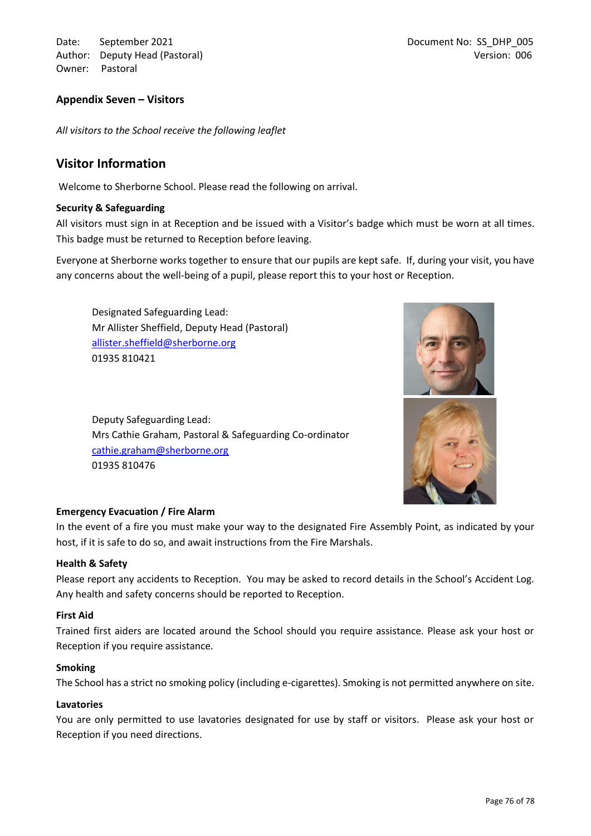Date: September 2021 **Document No: SS\_DHP\_005** Author: Deputy Head (Pastoral) and the control of the control of the Version: 006 Owner: Pastoral

### **Appendix Seven – Visitors**

*All visitors to the School receive the following leaflet*

# **Visitor Information**

Welcome to Sherborne School. Please read the following on arrival.

## **Security & Safeguarding**

All visitors must sign in at Reception and be issued with a Visitor's badge which must be worn at all times. This badge must be returned to Reception before leaving.

Everyone at Sherborne works together to ensure that our pupils are kept safe. If, during your visit, you have any concerns about the well-being of a pupil, please report this to your host or Reception.

Designated Safeguarding Lead: Mr Allister Sheffield, Deputy Head (Pastoral) [allister.sheffield@sherborne.org](mailto:allister.sheffield@sherborne.org) 01935 810421



Deputy Safeguarding Lead: Mrs Cathie Graham, Pastoral & Safeguarding Co-ordinator [cathie.graham@sherborne.org](mailto:cathie.graham@sherborne.org) 01935 810476



#### **Emergency Evacuation / Fire Alarm**

In the event of a fire you must make your way to the designated Fire Assembly Point, as indicated by your host, if it is safe to do so, and await instructions from the Fire Marshals.

#### **Health & Safety**

Please report any accidents to Reception. You may be asked to record details in the School's Accident Log. Any health and safety concerns should be reported to Reception.

#### **First Aid**

Trained first aiders are located around the School should you require assistance. Please ask your host or Reception if you require assistance.

#### **Smoking**

The School has a strict no smoking policy (including e-cigarettes). Smoking is not permitted anywhere on site.

#### **Lavatories**

You are only permitted to use lavatories designated for use by staff or visitors. Please ask your host or Reception if you need directions.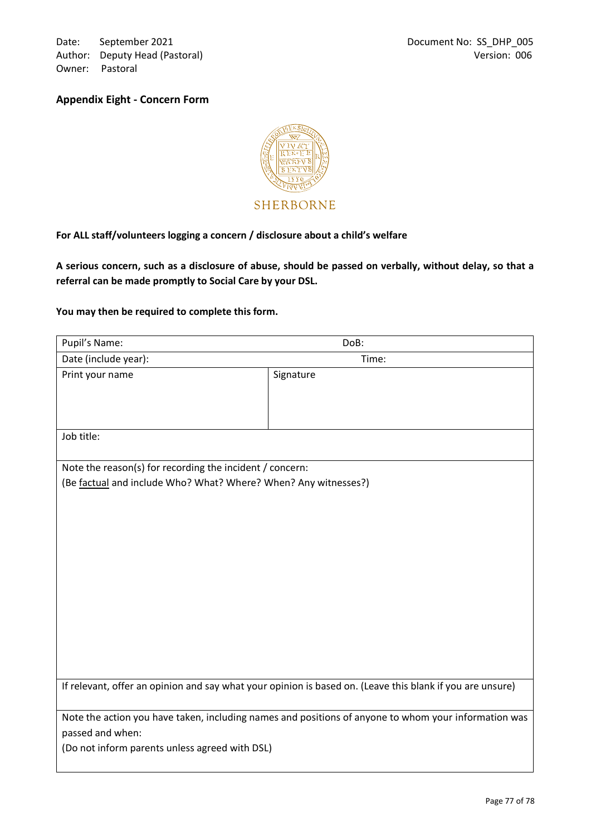Date: September 2021 Document No: SS\_DHP\_005 Author: Deputy Head (Pastoral) Owner: Pastoral

## **Appendix Eight - Concern Form**



## **For ALL staff/volunteers logging a concern / disclosure about a child's welfare**

**A serious concern, such as a disclosure of abuse, should be passed on verbally, without delay, so that a referral can be made promptly to Social Care by your DSL.**

## **You may then be required to complete this form.**

| Pupil's Name:                                                                                             | DoB:      |  |
|-----------------------------------------------------------------------------------------------------------|-----------|--|
| Date (include year):                                                                                      | Time:     |  |
| Print your name                                                                                           | Signature |  |
| Job title:                                                                                                |           |  |
|                                                                                                           |           |  |
| Note the reason(s) for recording the incident / concern:                                                  |           |  |
| (Be factual and include Who? What? Where? When? Any witnesses?)                                           |           |  |
|                                                                                                           |           |  |
|                                                                                                           |           |  |
|                                                                                                           |           |  |
|                                                                                                           |           |  |
|                                                                                                           |           |  |
|                                                                                                           |           |  |
|                                                                                                           |           |  |
|                                                                                                           |           |  |
|                                                                                                           |           |  |
|                                                                                                           |           |  |
|                                                                                                           |           |  |
|                                                                                                           |           |  |
| If relevant, offer an opinion and say what your opinion is based on. (Leave this blank if you are unsure) |           |  |
| Note the action you have taken, including names and positions of anyone to whom your information was      |           |  |
| passed and when:                                                                                          |           |  |
| (Do not inform parents unless agreed with DSL)                                                            |           |  |